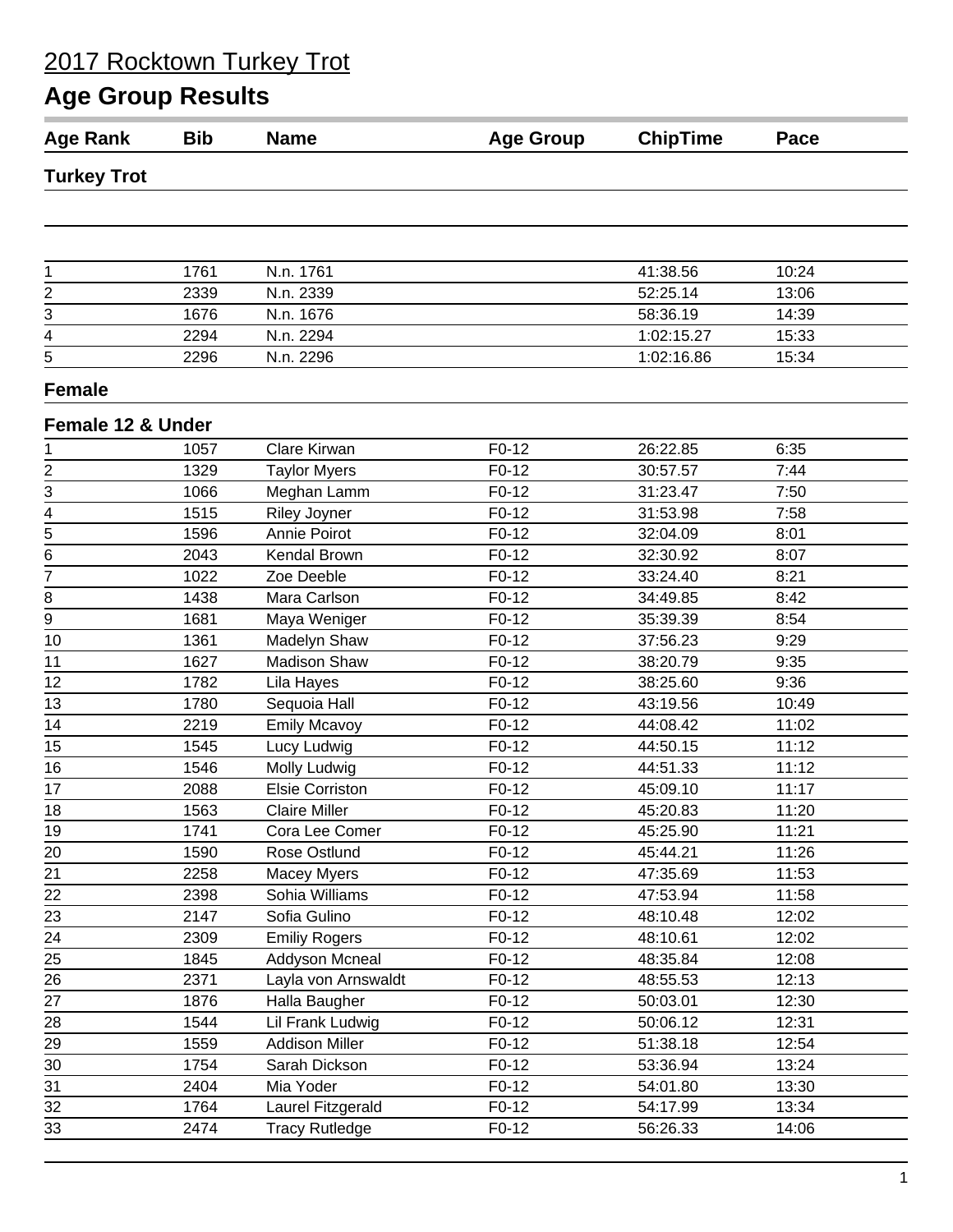| <b>Age Rank</b>         | <b>Bib</b> | <b>Name</b>            | <b>Age Group</b> | <b>ChipTime</b> | Pace  |
|-------------------------|------------|------------------------|------------------|-----------------|-------|
| <b>Turkey Trot</b>      |            |                        |                  |                 |       |
|                         |            |                        |                  |                 |       |
|                         |            |                        |                  |                 |       |
| 1                       | 1761       | N.n. 1761              |                  | 41:38.56        | 10:24 |
| $\overline{\mathbf{c}}$ | 2339       | N.n. 2339              |                  | 52:25.14        | 13:06 |
| 3                       | 1676       | N.n. 1676              |                  | 58:36.19        | 14:39 |
| 4                       | 2294       | N.n. 2294              |                  | 1:02:15.27      | 15:33 |
| $\overline{5}$          | 2296       | N.n. 2296              |                  | 1:02:16.86      | 15:34 |
| <b>Female</b>           |            |                        |                  |                 |       |
| Female 12 & Under       |            |                        |                  |                 |       |
| 1                       | 1057       | Clare Kirwan           | F0-12            | 26:22.85        | 6:35  |
| $\overline{2}$          | 1329       | <b>Taylor Myers</b>    | $F0-12$          | 30:57.57        | 7:44  |
| 3                       | 1066       | Meghan Lamm            | $F0-12$          | 31:23.47        | 7:50  |
|                         | 1515       | <b>Riley Joyner</b>    | F0-12            | 31:53.98        | 7:58  |
| $\frac{4}{5}$           | 1596       | Annie Poirot           | F0-12            | 32:04.09        | 8:01  |
| 6                       | 2043       | Kendal Brown           | $F0-12$          | 32:30.92        | 8:07  |
| 7                       | 1022       | Zoe Deeble             | $F0-12$          | 33:24.40        | 8:21  |
| 8                       | 1438       | Mara Carlson           | F0-12            | 34:49.85        | 8:42  |
| $\overline{9}$          | 1681       | Maya Weniger           | $F0-12$          | 35:39.39        | 8:54  |
| 10                      | 1361       | Madelyn Shaw           | $F0-12$          | 37:56.23        | 9:29  |
| 11                      | 1627       | <b>Madison Shaw</b>    | $F0-12$          | 38:20.79        | 9:35  |
| 12                      | 1782       | Lila Hayes             | F0-12            | 38:25.60        | 9:36  |
| 13                      | 1780       | Sequoia Hall           | $F0-12$          | 43:19.56        | 10:49 |
| 14                      | 2219       | <b>Emily Mcavoy</b>    | F0-12            | 44:08.42        | 11:02 |
| 15                      | 1545       | Lucy Ludwig            | $F0-12$          | 44:50.15        | 11:12 |
| 16                      | 1546       | Molly Ludwig           | F0-12            | 44:51.33        | 11:12 |
| 17                      | 2088       | <b>Elsie Corriston</b> | $F0-12$          | 45:09.10        | 11:17 |
| 18                      | 1563       | <b>Claire Miller</b>   | $F0-12$          | 45:20.83        | 11:20 |
| 19                      | 1741       | Cora Lee Comer         | $F0-12$          | 45:25.90        | 11:21 |
| 20                      | 1590       | Rose Ostlund           | $F0-12$          | 45:44.21        | 11:26 |
| 21                      | 2258       | Macey Myers            | $F0-12$          | 47:35.69        | 11:53 |
| $\frac{22}{1}$          | 2398       | Sohia Williams         | $F0-12$          | 47:53.94        | 11:58 |
| $\overline{23}$         | 2147       | Sofia Gulino           | $F0-12$          | 48:10.48        | 12:02 |
| 24                      | 2309       | <b>Emiliy Rogers</b>   | $F0-12$          | 48:10.61        | 12:02 |
| 25                      | 1845       | Addyson Mcneal         | $F0-12$          | 48:35.84        | 12:08 |
| 26                      | 2371       | Layla von Arnswaldt    | $F0-12$          | 48:55.53        | 12:13 |
| 27                      | 1876       | Halla Baugher          | $F0-12$          | 50:03.01        | 12:30 |
| 28                      | 1544       | Lil Frank Ludwig       | $F0-12$          | 50:06.12        | 12:31 |
| 29                      | 1559       | <b>Addison Miller</b>  | $F0-12$          | 51:38.18        | 12:54 |
| 30                      | 1754       | Sarah Dickson          | $F0-12$          | 53:36.94        | 13:24 |
| 31                      | 2404       | Mia Yoder              | $F0-12$          | 54:01.80        | 13:30 |
| 32                      | 1764       | Laurel Fitzgerald      | $F0-12$          | 54:17.99        | 13:34 |
| 33                      | 2474       | <b>Tracy Rutledge</b>  | F0-12            | 56:26.33        | 14:06 |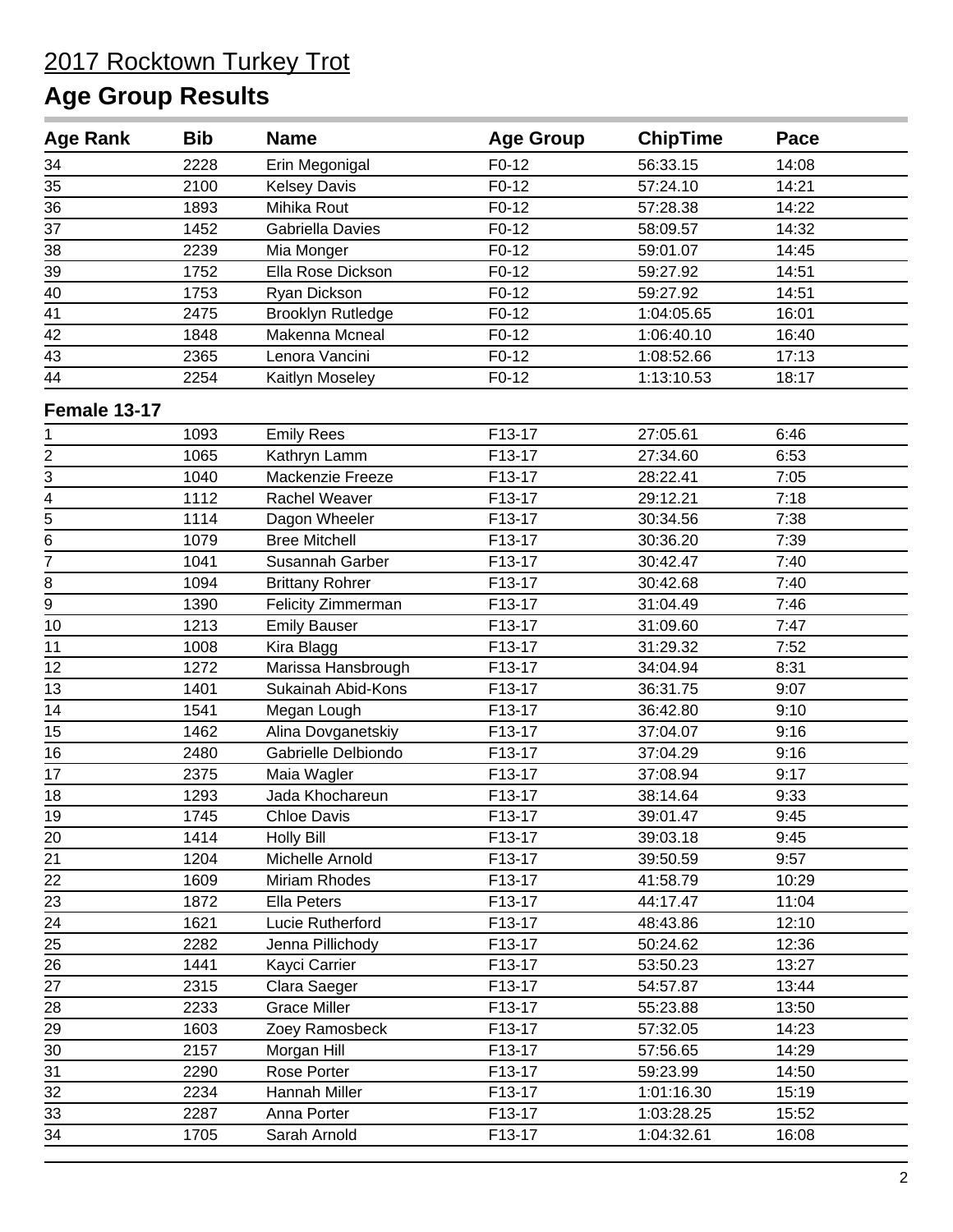| <b>Age Rank</b> | <b>Bib</b> | <b>Name</b>              | <b>Age Group</b> | <b>ChipTime</b> | Pace  |  |
|-----------------|------------|--------------------------|------------------|-----------------|-------|--|
| 34              | 2228       | Erin Megonigal           | $F0-12$          | 56:33.15        | 14:08 |  |
| 35              | 2100       | <b>Kelsey Davis</b>      | $F0-12$          | 57:24.10        | 14:21 |  |
| 36              | 1893       | Mihika Rout              | $F0-12$          | 57:28.38        | 14:22 |  |
| 37              | 1452       | Gabriella Davies         | F0-12            | 58:09.57        | 14:32 |  |
| 38              | 2239       | Mia Monger               | $F0-12$          | 59:01.07        | 14:45 |  |
| 39              | 1752       | Ella Rose Dickson        | $F0-12$          | 59:27.92        | 14:51 |  |
| 40              | 1753       | Ryan Dickson             | $F0-12$          | 59:27.92        | 14:51 |  |
| $\overline{41}$ | 2475       | <b>Brooklyn Rutledge</b> | F0-12            | 1:04:05.65      | 16:01 |  |
| 42              | 1848       | Makenna Mcneal           | F0-12            | 1:06:40.10      | 16:40 |  |
| 43              | 2365       | Lenora Vancini           | $F0-12$          | 1:08:52.66      | 17:13 |  |
| 44              | 2254       | Kaitlyn Moseley          | F0-12            | 1:13:10.53      | 18:17 |  |
| Female 13-17    |            |                          |                  |                 |       |  |
| 1               | 1093       | <b>Emily Rees</b>        | F13-17           | 27:05.61        | 6:46  |  |
| $\frac{2}{3}$   | 1065       | Kathryn Lamm             | F13-17           | 27:34.60        | 6:53  |  |
|                 | 1040       | Mackenzie Freeze         | F13-17           | 28:22.41        | 7:05  |  |
| $\frac{4}{5}$   | 1112       | Rachel Weaver            | F13-17           | 29:12.21        | 7:18  |  |
|                 | 1114       | Dagon Wheeler            | F13-17           | 30:34.56        | 7:38  |  |
| 6               | 1079       | <b>Bree Mitchell</b>     | F13-17           | 30:36.20        | 7:39  |  |
| 7               | 1041       | Susannah Garber          | F13-17           | 30:42.47        | 7:40  |  |
| 8               | 1094       | <b>Brittany Rohrer</b>   | F13-17           | 30:42.68        | 7:40  |  |
| $\overline{9}$  | 1390       | Felicity Zimmerman       | F13-17           | 31:04.49        | 7:46  |  |
| 10              | 1213       | <b>Emily Bauser</b>      | F13-17           | 31:09.60        | 7:47  |  |
| 11              | 1008       | Kira Blagg               | F13-17           | 31:29.32        | 7:52  |  |
| 12              | 1272       | Marissa Hansbrough       | F13-17           | 34:04.94        | 8:31  |  |
| 13              | 1401       | Sukainah Abid-Kons       | F13-17           | 36:31.75        | 9:07  |  |
| 14              | 1541       | Megan Lough              | F13-17           | 36:42.80        | 9:10  |  |
| 15              | 1462       | Alina Dovganetskiy       | F13-17           | 37:04.07        | 9:16  |  |
| 16              | 2480       | Gabrielle Delbiondo      | F13-17           | 37:04.29        | 9:16  |  |
| 17              | 2375       | Maia Wagler              | F13-17           | 37:08.94        | 9:17  |  |
| 18              | 1293       | Jada Khochareun          | F13-17           | 38:14.64        | 9:33  |  |
| 19              | 1745       | <b>Chloe Davis</b>       | F13-17           | 39:01.47        | 9:45  |  |
| 20              | 1414       | <b>Holly Bill</b>        | F13-17           | 39:03.18        | 9:45  |  |
| 21              | 1204       | Michelle Arnold          | F13-17           | 39:50.59        | 9:57  |  |
| $\frac{22}{1}$  | 1609       | Miriam Rhodes            | F13-17           | 41:58.79        | 10:29 |  |
| $\overline{23}$ | 1872       | Ella Peters              | F13-17           | 44:17.47        | 11:04 |  |
| $\overline{24}$ | 1621       | Lucie Rutherford         | F13-17           | 48:43.86        | 12:10 |  |
| 25              | 2282       | Jenna Pillichody         | F13-17           | 50:24.62        | 12:36 |  |
| 26              | 1441       | Kayci Carrier            | F13-17           | 53:50.23        | 13:27 |  |
| 27              | 2315       | Clara Saeger             | F13-17           | 54:57.87        | 13:44 |  |
| 28              | 2233       | <b>Grace Miller</b>      | F13-17           | 55:23.88        | 13:50 |  |
| 29              | 1603       | Zoey Ramosbeck           | F13-17           | 57:32.05        | 14:23 |  |
| 30              | 2157       | Morgan Hill              | F13-17           | 57:56.65        | 14:29 |  |
| 31              | 2290       | Rose Porter              | F13-17           | 59:23.99        | 14:50 |  |
| 32              | 2234       | Hannah Miller            | F13-17           | 1:01:16.30      | 15:19 |  |
| 33              | 2287       | Anna Porter              | F13-17           | 1:03:28.25      | 15:52 |  |
| $\overline{34}$ | 1705       | Sarah Arnold             | F13-17           | 1:04:32.61      | 16:08 |  |
|                 |            |                          |                  |                 |       |  |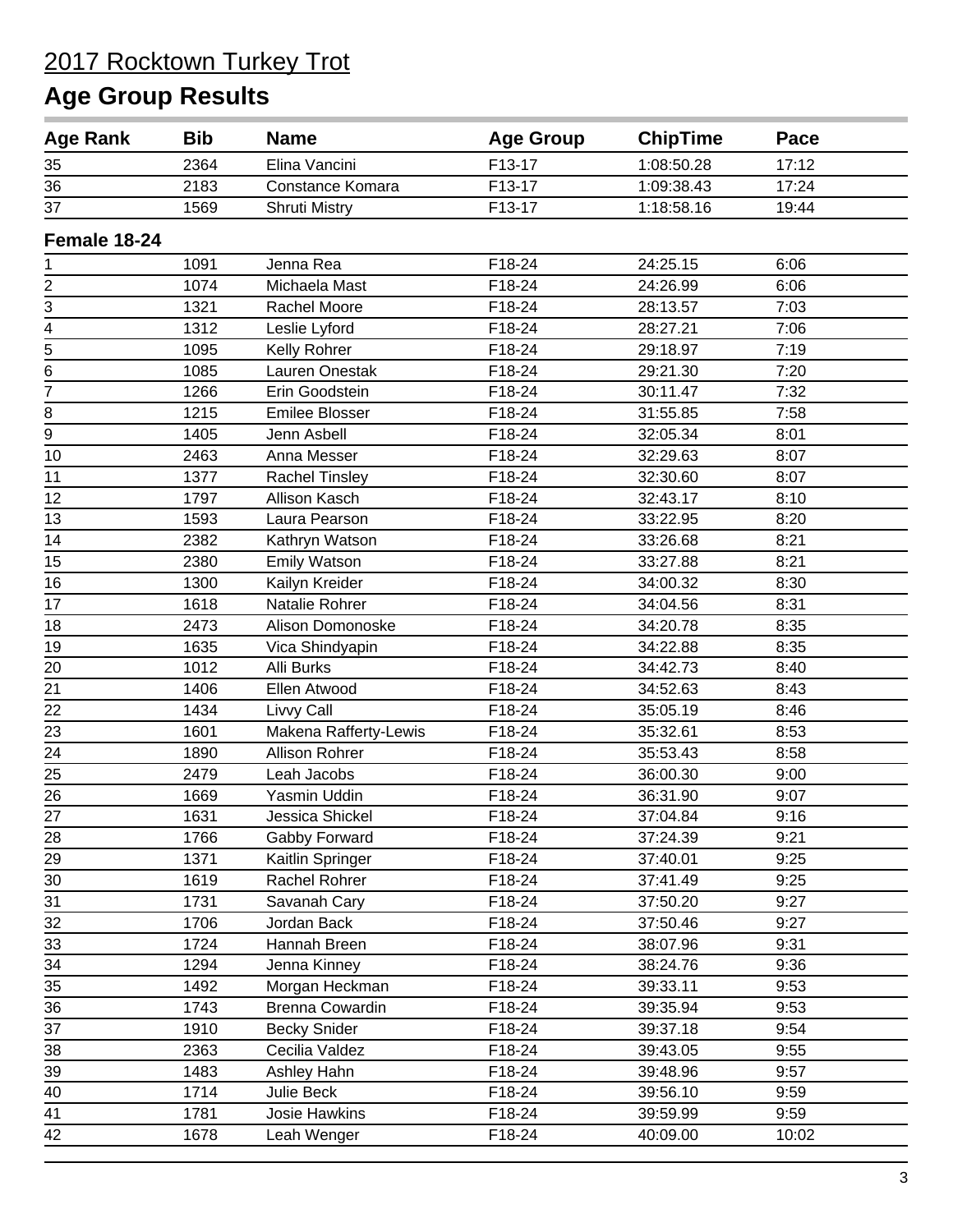| <b>Age Rank</b> | <b>Bib</b> | <b>Name</b>            | <b>Age Group</b> | <b>ChipTime</b> | Pace  |
|-----------------|------------|------------------------|------------------|-----------------|-------|
| 35              | 2364       | Elina Vancini          | F13-17           | 1:08:50.28      | 17:12 |
| 36              | 2183       | Constance Komara       | F13-17           | 1:09:38.43      | 17:24 |
| 37              | 1569       | <b>Shruti Mistry</b>   | F13-17           | 1:18:58.16      | 19:44 |
| Female 18-24    |            |                        |                  |                 |       |
| 1               | 1091       | Jenna Rea              | F18-24           | 24:25.15        | 6:06  |
|                 | 1074       | Michaela Mast          | F18-24           | 24:26.99        | 6:06  |
| $rac{2}{3}$     | 1321       | Rachel Moore           | F18-24           | 28:13.57        | 7:03  |
| $\frac{4}{5}$   | 1312       | Leslie Lyford          | F18-24           | 28:27.21        | 7:06  |
|                 | 1095       | Kelly Rohrer           | F18-24           | 29:18.97        | 7:19  |
| 6               | 1085       | Lauren Onestak         | F18-24           | 29:21.30        | 7:20  |
| $\overline{7}$  | 1266       | Erin Goodstein         | F18-24           | 30:11.47        | 7:32  |
| 8               | 1215       | <b>Emilee Blosser</b>  | F18-24           | 31:55.85        | 7:58  |
| $\overline{9}$  | 1405       | Jenn Asbell            | F18-24           | 32:05.34        | 8:01  |
| 10              | 2463       | Anna Messer            | F18-24           | 32:29.63        | 8:07  |
| 11              | 1377       | <b>Rachel Tinsley</b>  | F18-24           | 32:30.60        | 8:07  |
| 12              | 1797       | Allison Kasch          | F18-24           | 32:43.17        | 8:10  |
| 13              | 1593       | Laura Pearson          | F18-24           | 33:22.95        | 8:20  |
| 14              | 2382       | Kathryn Watson         | F18-24           | 33:26.68        | 8:21  |
| 15              | 2380       | <b>Emily Watson</b>    | F18-24           | 33:27.88        | 8:21  |
| 16              | 1300       | Kailyn Kreider         | F18-24           | 34:00.32        | 8:30  |
| 17              | 1618       | Natalie Rohrer         | F18-24           | 34:04.56        | 8:31  |
| 18              | 2473       | Alison Domonoske       | F18-24           | 34:20.78        | 8:35  |
| 19              | 1635       | Vica Shindyapin        | F18-24           | 34:22.88        | 8:35  |
| $20\,$          | 1012       | Alli Burks             | F18-24           | 34:42.73        | 8:40  |
| 21              | 1406       | Ellen Atwood           | F18-24           | 34:52.63        | 8:43  |
|                 | 1434       | Livvy Call             | F18-24           | 35:05.19        | 8:46  |
| $\frac{22}{23}$ | 1601       | Makena Rafferty-Lewis  | F18-24           | 35:32.61        | 8:53  |
| $\overline{24}$ | 1890       | <b>Allison Rohrer</b>  | F18-24           | 35:53.43        | 8:58  |
| 25              | 2479       | Leah Jacobs            | F18-24           | 36:00.30        | 9:00  |
| 26              | 1669       | Yasmin Uddin           | F18-24           | 36:31.90        | 9:07  |
| 27              | 1631       | Jessica Shickel        | F18-24           | 37:04.84        | 9:16  |
| 28              | 1766       | Gabby Forward          | F18-24           | 37:24.39        | 9:21  |
| 29              | 1371       | Kaitlin Springer       | F18-24           | 37:40.01        | 9:25  |
| 30              | 1619       | Rachel Rohrer          | F18-24           | 37:41.49        | 9:25  |
| 31              | 1731       | Savanah Cary           | F18-24           | 37:50.20        | 9:27  |
| 32              | 1706       | Jordan Back            | F18-24           | 37:50.46        | 9:27  |
| 33              | 1724       | Hannah Breen           | F18-24           | 38:07.96        | 9:31  |
| $\overline{34}$ | 1294       | Jenna Kinney           | F18-24           | 38:24.76        | 9:36  |
| 35              | 1492       | Morgan Heckman         | F18-24           | 39:33.11        | 9:53  |
| 36              | 1743       | <b>Brenna Cowardin</b> | F18-24           | 39:35.94        | 9:53  |
| 37              | 1910       | <b>Becky Snider</b>    | F18-24           | 39:37.18        | 9:54  |
| 38              | 2363       | Cecilia Valdez         | F18-24           | 39:43.05        | 9:55  |
| 39              | 1483       | Ashley Hahn            | F18-24           | 39:48.96        | 9:57  |
| 40              | 1714       | Julie Beck             | F18-24           | 39:56.10        | 9:59  |
| 41              | 1781       | Josie Hawkins          | F18-24           | 39:59.99        | 9:59  |
| 42              | 1678       | Leah Wenger            | F18-24           | 40:09.00        | 10:02 |
|                 |            |                        |                  |                 |       |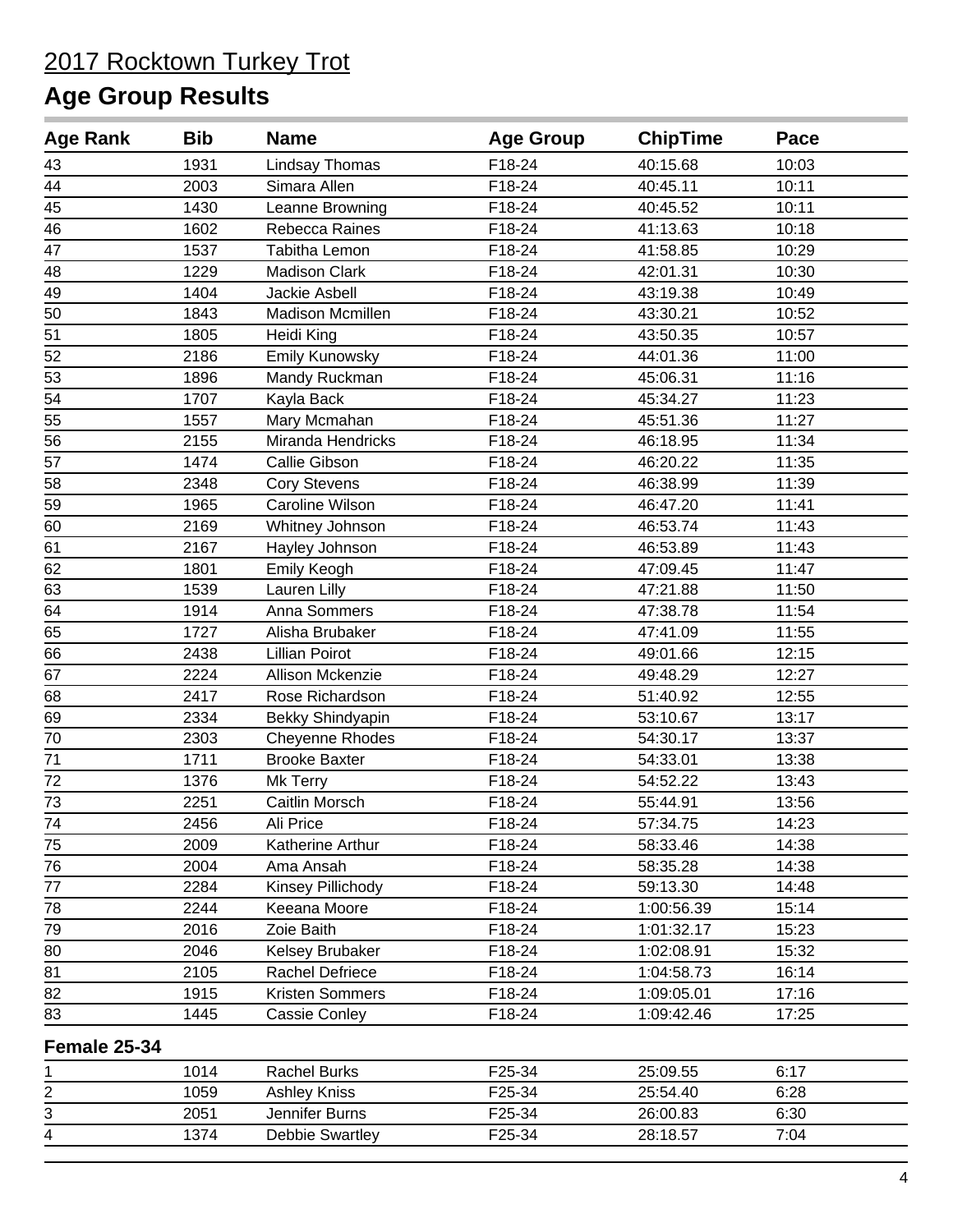### **Age Group Results**

| <b>Age Rank</b> | <b>Bib</b> | <b>Name</b>           | <b>Age Group</b> | <b>ChipTime</b> | Pace  |  |
|-----------------|------------|-----------------------|------------------|-----------------|-------|--|
| 43              | 1931       | <b>Lindsay Thomas</b> | F18-24           | 40:15.68        | 10:03 |  |
| 44              | 2003       | Simara Allen          | F18-24           | 40:45.11        | 10:11 |  |
| 45              | 1430       | Leanne Browning       | F18-24           | 40:45.52        | 10:11 |  |
| 46              | 1602       | Rebecca Raines        | F18-24           | 41:13.63        | 10:18 |  |
| 47              | 1537       | Tabitha Lemon         | F18-24           | 41:58.85        | 10:29 |  |
| 48              | 1229       | <b>Madison Clark</b>  | F18-24           | 42:01.31        | 10:30 |  |
| 49              | 1404       | Jackie Asbell         | F18-24           | 43:19.38        | 10:49 |  |
| $\overline{50}$ | 1843       | Madison Mcmillen      | F18-24           | 43:30.21        | 10:52 |  |
| 51              | 1805       | Heidi King            | F18-24           | 43:50.35        | 10:57 |  |
| 52              | 2186       | Emily Kunowsky        | $F18-24$         | 44:01.36        | 11:00 |  |
| 53              | 1896       | Mandy Ruckman         | F18-24           | 45:06.31        | 11:16 |  |
| 54              | 1707       | Kayla Back            | F18-24           | 45:34.27        | 11:23 |  |
| 55              | 1557       | Mary Mcmahan          | F18-24           | 45:51.36        | 11:27 |  |
| 56              | 2155       | Miranda Hendricks     | F18-24           | 46:18.95        | 11:34 |  |
| 57              | 1474       | Callie Gibson         | F18-24           | 46:20.22        | 11:35 |  |
| 58              | 2348       | <b>Cory Stevens</b>   | F18-24           | 46:38.99        | 11:39 |  |
| 59              | 1965       | Caroline Wilson       | F18-24           | 46:47.20        | 11:41 |  |
| 60              | 2169       | Whitney Johnson       | F18-24           | 46:53.74        | 11:43 |  |
| 61              | 2167       | Hayley Johnson        | F18-24           | 46:53.89        | 11:43 |  |
| 62              | 1801       | Emily Keogh           | F18-24           | 47:09.45        | 11:47 |  |
| 63              | 1539       | Lauren Lilly          | F18-24           | 47:21.88        | 11:50 |  |
| 64              | 1914       | Anna Sommers          | F18-24           | 47:38.78        | 11:54 |  |
| 65              | 1727       | Alisha Brubaker       | F18-24           | 47:41.09        | 11:55 |  |
| 66              | 2438       | <b>Lillian Poirot</b> | F18-24           | 49:01.66        | 12:15 |  |
| 67              | 2224       | Allison Mckenzie      | F18-24           | 49:48.29        | 12:27 |  |
| 68              | 2417       | Rose Richardson       | F18-24           | 51:40.92        | 12:55 |  |
| 69              | 2334       | Bekky Shindyapin      | F18-24           | 53:10.67        | 13:17 |  |
| 70              | 2303       | Cheyenne Rhodes       | F18-24           | 54:30.17        | 13:37 |  |
| 71              | 1711       | <b>Brooke Baxter</b>  | F18-24           | 54:33.01        | 13:38 |  |
| 72              | 1376       | Mk Terry              | F18-24           | 54:52.22        | 13:43 |  |
| 73              | 2251       | Caitlin Morsch        | F18-24           | 55:44.91        | 13:56 |  |
| 74              | 2456       | Ali Price             | F18-24           | 57:34.75        | 14:23 |  |
| 75              | 2009       | Katherine Arthur      | F18-24           | 58:33.46        | 14:38 |  |
| 76              | 2004       | Ama Ansah             | F18-24           | 58:35.28        | 14:38 |  |
| 77              | 2284       | Kinsey Pillichody     | F18-24           | 59:13.30        | 14:48 |  |
| 78              | 2244       | Keeana Moore          | F18-24           | 1:00:56.39      | 15:14 |  |
| 79              | 2016       | Zoie Baith            | F18-24           | 1:01:32.17      | 15:23 |  |
| 80              | 2046       | Kelsey Brubaker       | F18-24           | 1:02:08.91      | 15:32 |  |
| 81              | 2105       | Rachel Defriece       | F18-24           | 1:04:58.73      | 16:14 |  |
| 82              | 1915       | Kristen Sommers       | F18-24           | 1:09:05.01      | 17:16 |  |
| 83              | 1445       | <b>Cassie Conley</b>  | F18-24           | 1:09:42.46      | 17:25 |  |
| Female 25-34    |            |                       |                  |                 |       |  |
| 1               | 1014       | <b>Rachel Burks</b>   | F25-34           | 25:09.55        | 6:17  |  |
| 2               | 1059       | <b>Ashley Kniss</b>   | F25-34           | 25:54.40        | 6:28  |  |
| 3               | 2051       | Jennifer Burns        | F25-34           | 26:00.83        | 6:30  |  |

1374 Debbie Swartley F25-34 28:18.57 7:04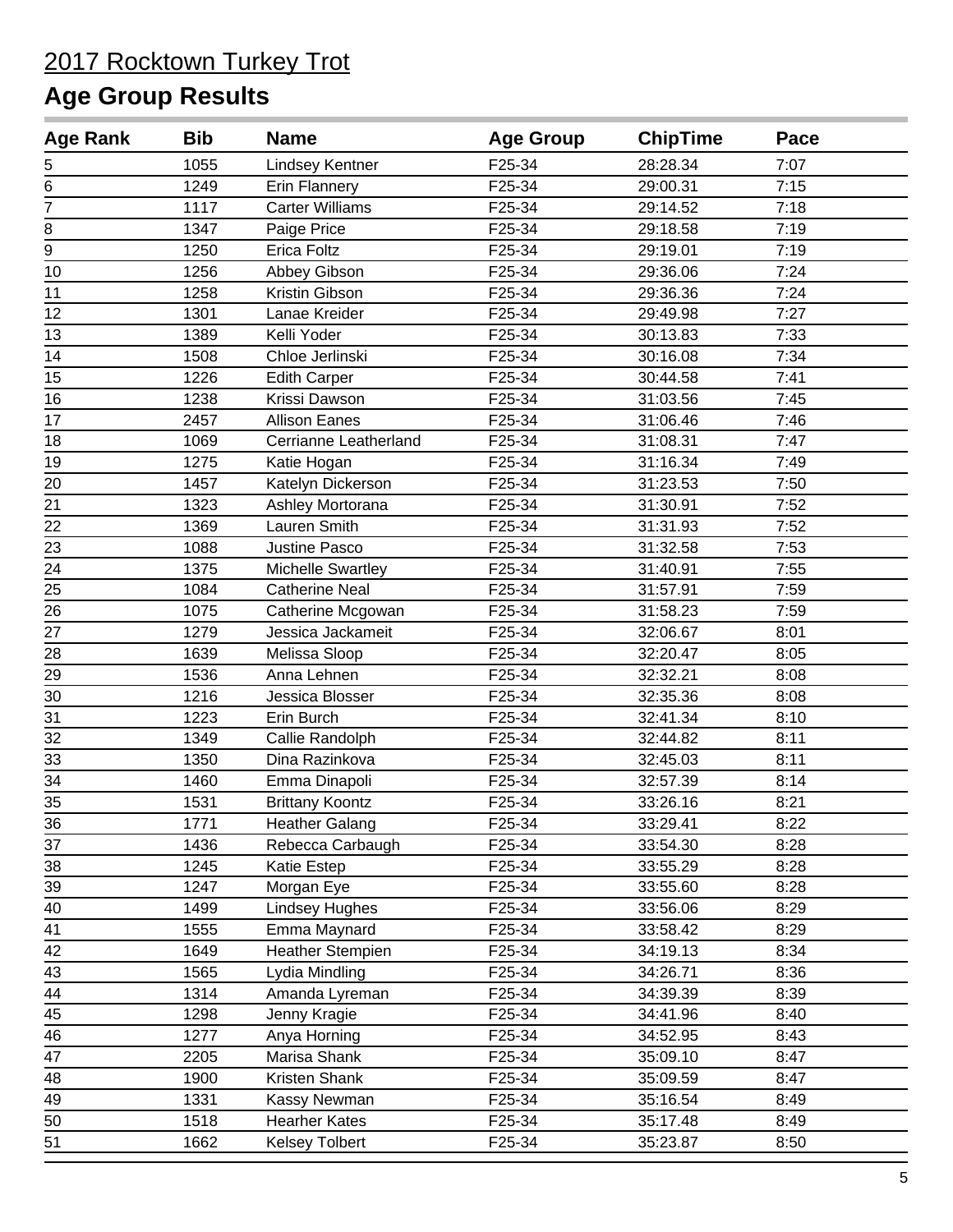| <b>Age Rank</b> | <b>Bib</b> | <b>Name</b>             | <b>Age Group</b> | <b>ChipTime</b> | Pace |  |
|-----------------|------------|-------------------------|------------------|-----------------|------|--|
| 5               | 1055       | Lindsey Kentner         | F25-34           | 28:28.34        | 7:07 |  |
| 6               | 1249       | Erin Flannery           | F25-34           | 29:00.31        | 7:15 |  |
| $\overline{7}$  | 1117       | <b>Carter Williams</b>  | F25-34           | 29:14.52        | 7:18 |  |
| 8               | 1347       | Paige Price             | F25-34           | 29:18.58        | 7:19 |  |
| $\overline{9}$  | 1250       | <b>Erica Foltz</b>      | F25-34           | 29:19.01        | 7:19 |  |
| 10              | 1256       | Abbey Gibson            | F25-34           | 29:36.06        | 7:24 |  |
| 11              | 1258       | Kristin Gibson          | F25-34           | 29:36.36        | 7:24 |  |
| 12              | 1301       | Lanae Kreider           | F25-34           | 29:49.98        | 7:27 |  |
| 13              | 1389       | Kelli Yoder             | F25-34           | 30:13.83        | 7:33 |  |
| 14              | 1508       | Chloe Jerlinski         | F25-34           | 30:16.08        | 7:34 |  |
| 15              | 1226       | <b>Edith Carper</b>     | F25-34           | 30:44.58        | 7:41 |  |
| 16              | 1238       | Krissi Dawson           | F25-34           | 31:03.56        | 7:45 |  |
| 17              | 2457       | <b>Allison Eanes</b>    | F25-34           | 31:06.46        | 7:46 |  |
| 18              | 1069       | Cerrianne Leatherland   | F25-34           | 31:08.31        | 7:47 |  |
| 19              | 1275       | Katie Hogan             | F25-34           | 31:16.34        | 7:49 |  |
| 20              | 1457       | Katelyn Dickerson       | F25-34           | 31:23.53        | 7:50 |  |
| 21              | 1323       | Ashley Mortorana        | F25-34           | 31:30.91        | 7:52 |  |
| 22              | 1369       | Lauren Smith            | F25-34           | 31:31.93        | 7:52 |  |
| 23              | 1088       | Justine Pasco           | F25-34           | 31:32.58        | 7:53 |  |
| 24              | 1375       | Michelle Swartley       | F25-34           | 31:40.91        | 7:55 |  |
| 25              | 1084       | <b>Catherine Neal</b>   | F25-34           | 31:57.91        | 7:59 |  |
| 26              | 1075       | Catherine Mcgowan       | F25-34           | 31:58.23        | 7:59 |  |
| 27              | 1279       | Jessica Jackameit       | F25-34           | 32:06.67        | 8:01 |  |
| 28              | 1639       | Melissa Sloop           | F25-34           | 32:20.47        | 8:05 |  |
| 29              | 1536       | Anna Lehnen             | F25-34           | 32:32.21        | 8:08 |  |
| 30              | 1216       | Jessica Blosser         | F25-34           | 32:35.36        | 8:08 |  |
| 31              | 1223       | Erin Burch              | F25-34           | 32:41.34        | 8:10 |  |
| 32              | 1349       | Callie Randolph         | F25-34           | 32:44.82        | 8:11 |  |
| 33              | 1350       | Dina Razinkova          | F25-34           | 32:45.03        | 8:11 |  |
| $\overline{34}$ | 1460       | Emma Dinapoli           | F25-34           | 32:57.39        | 8:14 |  |
| 35              | 1531       | <b>Brittany Koontz</b>  | F25-34           | 33:26.16        | 8:21 |  |
| 36              | 1771       | <b>Heather Galang</b>   | F25-34           | 33:29.41        | 8:22 |  |
| 37              | 1436       | Rebecca Carbaugh        | F25-34           | 33:54.30        | 8:28 |  |
| 38              | 1245       | Katie Estep             | F25-34           | 33:55.29        | 8:28 |  |
| 39              | 1247       | Morgan Eye              | F25-34           | 33:55.60        | 8:28 |  |
| 40              | 1499       | <b>Lindsey Hughes</b>   | F25-34           | 33:56.06        | 8:29 |  |
| 41              | 1555       | Emma Maynard            | F25-34           | 33:58.42        | 8:29 |  |
| 42              | 1649       | <b>Heather Stempien</b> | F25-34           | 34:19.13        | 8:34 |  |
| 43              | 1565       | Lydia Mindling          | F25-34           | 34:26.71        | 8:36 |  |
| 44              | 1314       | Amanda Lyreman          | F25-34           | 34:39.39        | 8:39 |  |
| 45              | 1298       | Jenny Kragie            | F25-34           | 34:41.96        | 8:40 |  |
| 46              | 1277       | Anya Horning            | F25-34           | 34:52.95        | 8:43 |  |
| 47              | 2205       | Marisa Shank            | F25-34           | 35:09.10        | 8:47 |  |
| 48              | 1900       | Kristen Shank           | F25-34           | 35:09.59        | 8:47 |  |
| 49              | 1331       | Kassy Newman            | F25-34           | 35:16.54        | 8:49 |  |
| 50              | 1518       | <b>Hearher Kates</b>    | F25-34           | 35:17.48        | 8:49 |  |
| 51              | 1662       | <b>Kelsey Tolbert</b>   | F25-34           | 35:23.87        | 8:50 |  |
|                 |            |                         |                  |                 |      |  |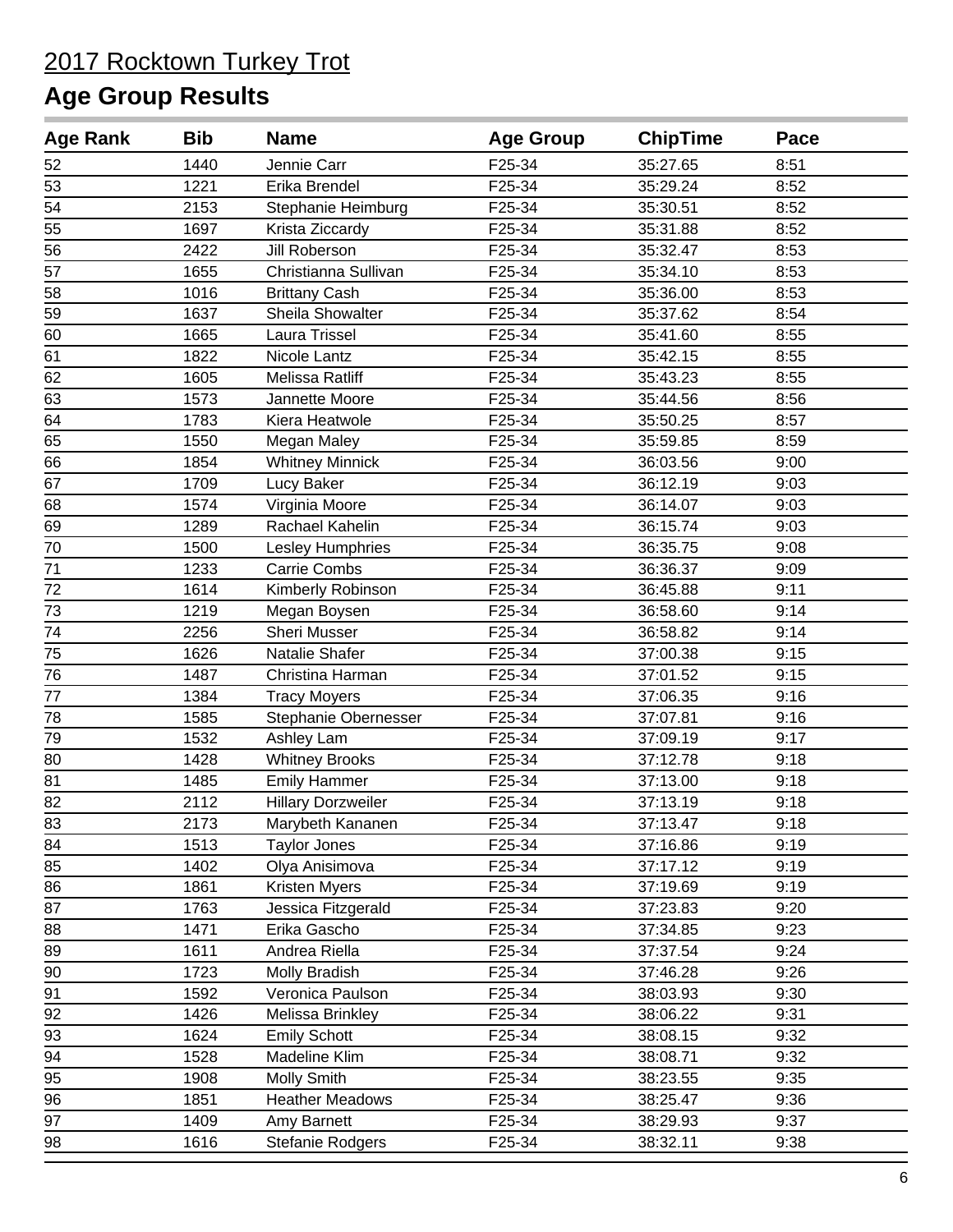| <b>Age Rank</b> | <b>Bib</b> | <b>Name</b>               | <b>Age Group</b> | <b>ChipTime</b> | Pace |  |
|-----------------|------------|---------------------------|------------------|-----------------|------|--|
| 52              | 1440       | Jennie Carr               | F25-34           | 35:27.65        | 8:51 |  |
| 53              | 1221       | Erika Brendel             | F25-34           | 35:29.24        | 8:52 |  |
| 54              | 2153       | Stephanie Heimburg        | F25-34           | 35:30.51        | 8:52 |  |
| 55              | 1697       | Krista Ziccardy           | F25-34           | 35:31.88        | 8:52 |  |
| 56              | 2422       | Jill Roberson             | F25-34           | 35:32.47        | 8:53 |  |
| 57              | 1655       | Christianna Sullivan      | F25-34           | 35:34.10        | 8:53 |  |
| 58              | 1016       | <b>Brittany Cash</b>      | F25-34           | 35:36.00        | 8:53 |  |
| 59              | 1637       | Sheila Showalter          | F25-34           | 35:37.62        | 8:54 |  |
| 60              | 1665       | Laura Trissel             | F25-34           | 35:41.60        | 8:55 |  |
| 61              | 1822       | Nicole Lantz              | F25-34           | 35:42.15        | 8:55 |  |
| 62              | 1605       | Melissa Ratliff           | F25-34           | 35:43.23        | 8:55 |  |
| 63              | 1573       | Jannette Moore            | F25-34           | 35:44.56        | 8:56 |  |
| 64              | 1783       | Kiera Heatwole            | F25-34           | 35:50.25        | 8:57 |  |
| 65              | 1550       | Megan Maley               | F25-34           | 35:59.85        | 8:59 |  |
| 66              | 1854       | <b>Whitney Minnick</b>    | F25-34           | 36:03.56        | 9:00 |  |
| 67              | 1709       | Lucy Baker                | F25-34           | 36:12.19        | 9:03 |  |
| 68              | 1574       | Virginia Moore            | F25-34           | 36:14.07        | 9:03 |  |
| 69              | 1289       | Rachael Kahelin           | F25-34           | 36:15.74        | 9:03 |  |
| $70\,$          | 1500       | Lesley Humphries          | F25-34           | 36:35.75        | 9:08 |  |
| 71              | 1233       | <b>Carrie Combs</b>       | F25-34           | 36:36.37        | 9:09 |  |
| 72              | 1614       | Kimberly Robinson         | F25-34           | 36:45.88        | 9:11 |  |
| 73              | 1219       | Megan Boysen              | F25-34           | 36:58.60        | 9:14 |  |
| 74              | 2256       | Sheri Musser              | F25-34           | 36:58.82        | 9:14 |  |
| 75              | 1626       | Natalie Shafer            | F25-34           | 37:00.38        | 9:15 |  |
| 76              | 1487       | Christina Harman          | F25-34           | 37:01.52        | 9:15 |  |
| $77 \,$         | 1384       | <b>Tracy Moyers</b>       | F25-34           | 37:06.35        | 9:16 |  |
| 78              | 1585       | Stephanie Obernesser      | F25-34           | 37:07.81        | 9:16 |  |
| 79              | 1532       | Ashley Lam                | F25-34           | 37:09.19        | 9:17 |  |
| 80              | 1428       | <b>Whitney Brooks</b>     | F25-34           | 37:12.78        | 9:18 |  |
| 81              | 1485       | <b>Emily Hammer</b>       | F25-34           | 37:13.00        | 9:18 |  |
| 82              | 2112       | <b>Hillary Dorzweiler</b> | F25-34           | 37:13.19        | 9:18 |  |
| 83              | 2173       | Marybeth Kananen          | F25-34           | 37:13.47        | 9:18 |  |
| 84              | 1513       | <b>Taylor Jones</b>       | F25-34           | 37:16.86        | 9:19 |  |
| 85              | 1402       | Olya Anisimova            | F25-34           | 37:17.12        | 9:19 |  |
| 86              | 1861       | Kristen Myers             | F25-34           | 37:19.69        | 9:19 |  |
| 87              | 1763       | Jessica Fitzgerald        | F25-34           | 37:23.83        | 9:20 |  |
| 88              | 1471       | Erika Gascho              | F25-34           | 37:34.85        | 9:23 |  |
| 89              | 1611       | Andrea Riella             | F25-34           | 37:37.54        | 9:24 |  |
| 90              | 1723       | Molly Bradish             | F25-34           | 37:46.28        | 9:26 |  |
| 91              | 1592       | Veronica Paulson          | F25-34           | 38:03.93        | 9:30 |  |
| 92              | 1426       | Melissa Brinkley          | F25-34           | 38:06.22        | 9:31 |  |
| 93              | 1624       | <b>Emily Schott</b>       | F25-34           | 38:08.15        | 9:32 |  |
| 94              | 1528       | Madeline Klim             | F25-34           | 38:08.71        | 9:32 |  |
| 95              | 1908       | <b>Molly Smith</b>        | F25-34           | 38:23.55        | 9:35 |  |
| 96              | 1851       | <b>Heather Meadows</b>    | F25-34           | 38:25.47        | 9:36 |  |
| 97              | 1409       | Amy Barnett               | F25-34           | 38:29.93        | 9:37 |  |
| 98              | 1616       | Stefanie Rodgers          | F25-34           | 38:32.11        | 9:38 |  |
|                 |            |                           |                  |                 |      |  |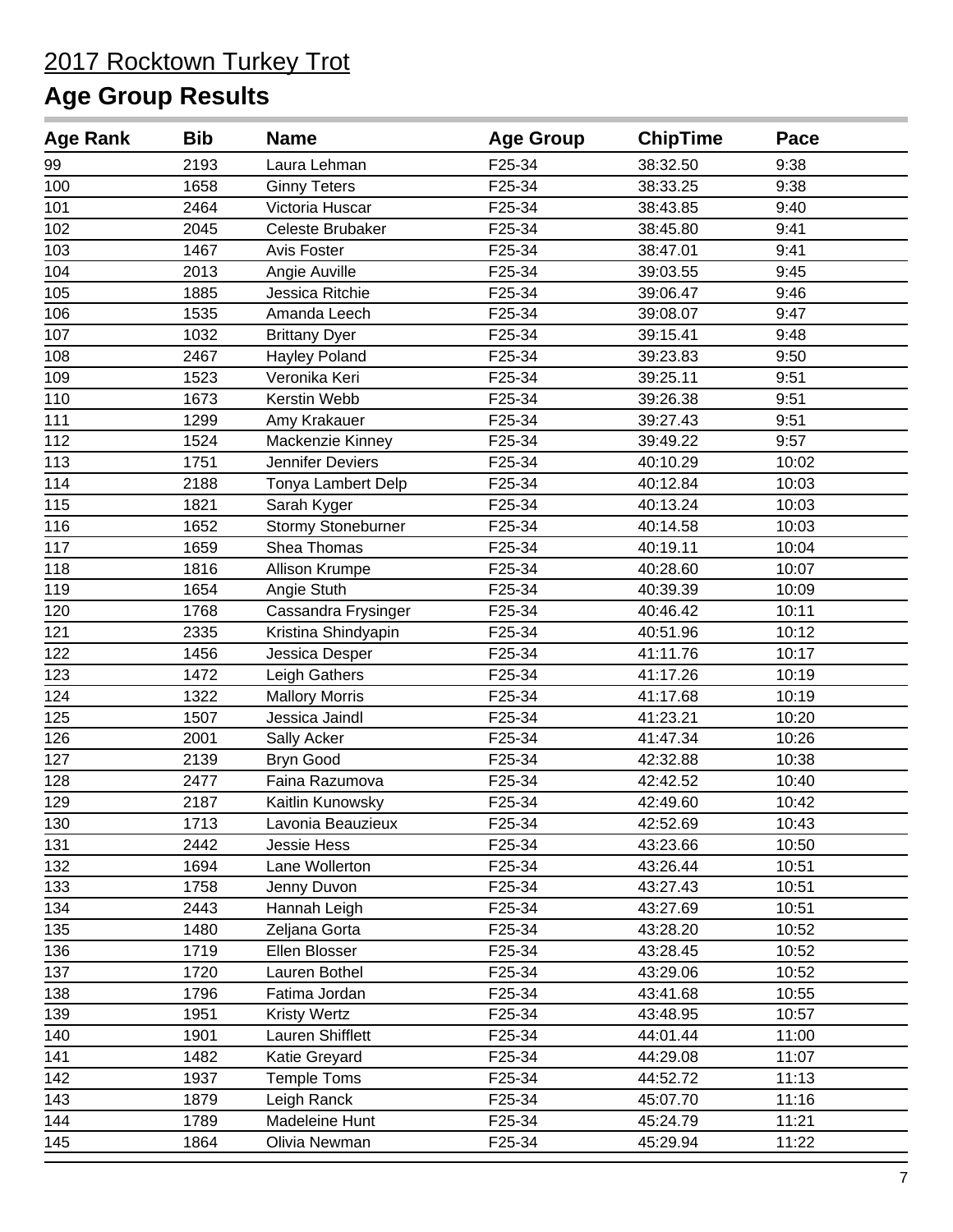| <b>Age Rank</b> | <b>Bib</b> | <b>Name</b>           | <b>Age Group</b> | <b>ChipTime</b> | Pace  |
|-----------------|------------|-----------------------|------------------|-----------------|-------|
| 99              | 2193       | Laura Lehman          | F25-34           | 38:32.50        | 9:38  |
| 100             | 1658       | <b>Ginny Teters</b>   | F25-34           | 38:33.25        | 9:38  |
| 101             | 2464       | Victoria Huscar       | F25-34           | 38:43.85        | 9:40  |
| 102             | 2045       | Celeste Brubaker      | F25-34           | 38:45.80        | 9:41  |
| 103             | 1467       | Avis Foster           | F25-34           | 38:47.01        | 9:41  |
| 104             | 2013       | Angie Auville         | F25-34           | 39:03.55        | 9:45  |
| 105             | 1885       | Jessica Ritchie       | F25-34           | 39:06.47        | 9:46  |
| 106             | 1535       | Amanda Leech          | F25-34           | 39:08.07        | 9:47  |
| 107             | 1032       | <b>Brittany Dyer</b>  | F25-34           | 39:15.41        | 9:48  |
| 108             | 2467       | Hayley Poland         | F25-34           | 39:23.83        | 9:50  |
| 109             | 1523       | Veronika Keri         | F25-34           | 39:25.11        | 9:51  |
| 110             | 1673       | Kerstin Webb          | F25-34           | 39:26.38        | 9:51  |
| 111             | 1299       | Amy Krakauer          | F25-34           | 39:27.43        | 9:51  |
| 112             | 1524       | Mackenzie Kinney      | F25-34           | 39:49.22        | 9:57  |
| 113             | 1751       | Jennifer Deviers      | F25-34           | 40:10.29        | 10:02 |
| 114             | 2188       | Tonya Lambert Delp    | F25-34           | 40:12.84        | 10:03 |
| 115             | 1821       | Sarah Kyger           | F25-34           | 40:13.24        | 10:03 |
| 116             | 1652       | Stormy Stoneburner    | F25-34           | 40:14.58        | 10:03 |
| 117             | 1659       | Shea Thomas           | F25-34           | 40:19.11        | 10:04 |
| 118             | 1816       | Allison Krumpe        | F25-34           | 40:28.60        | 10:07 |
| 119             | 1654       | Angie Stuth           | F25-34           | 40:39.39        | 10:09 |
| 120             | 1768       | Cassandra Frysinger   | F25-34           | 40:46.42        | 10:11 |
| 121             | 2335       | Kristina Shindyapin   | F25-34           | 40:51.96        | 10:12 |
| 122             | 1456       | Jessica Desper        | F25-34           | 41:11.76        | 10:17 |
| 123             | 1472       | Leigh Gathers         | F25-34           | 41:17.26        | 10:19 |
| 124             | 1322       | <b>Mallory Morris</b> | F25-34           | 41:17.68        | 10:19 |
| 125             | 1507       | Jessica Jaindl        | F25-34           | 41:23.21        | 10:20 |
| 126             | 2001       | Sally Acker           | F25-34           | 41:47.34        | 10:26 |
| 127             | 2139       | <b>Bryn Good</b>      | F25-34           | 42:32.88        | 10:38 |
| 128             | 2477       | Faina Razumova        | F25-34           | 42:42.52        | 10:40 |
| 129             | 2187       | Kaitlin Kunowsky      | F25-34           | 42:49.60        | 10:42 |
| 130             | 1713       | Lavonia Beauzieux     | F25-34           | 42:52.69        | 10:43 |
| 131             | 2442       | Jessie Hess           | F25-34           | 43:23.66        | 10:50 |
| 132             | 1694       | Lane Wollerton        | F25-34           | 43:26.44        | 10:51 |
| 133             | 1758       | Jenny Duvon           | F25-34           | 43:27.43        | 10:51 |
| 134             | 2443       | Hannah Leigh          | F25-34           | 43:27.69        | 10:51 |
| 135             | 1480       | Zeljana Gorta         | F25-34           | 43:28.20        | 10:52 |
| 136             | 1719       | Ellen Blosser         | F25-34           | 43:28.45        | 10:52 |
| 137             | 1720       | Lauren Bothel         | F25-34           | 43:29.06        | 10:52 |
| 138             | 1796       | Fatima Jordan         | F25-34           | 43:41.68        | 10:55 |
| 139             | 1951       | <b>Kristy Wertz</b>   | F25-34           | 43:48.95        | 10:57 |
| 140             | 1901       | Lauren Shifflett      | F25-34           | 44:01.44        | 11:00 |
| 141             | 1482       | Katie Greyard         | F25-34           | 44:29.08        | 11:07 |
| 142             | 1937       | <b>Temple Toms</b>    | F25-34           | 44:52.72        | 11:13 |
| 143             | 1879       | Leigh Ranck           | F25-34           | 45:07.70        | 11:16 |
| 144             | 1789       | Madeleine Hunt        | F25-34           | 45:24.79        | 11:21 |
| 145             | 1864       | Olivia Newman         | F25-34           | 45:29.94        | 11:22 |
|                 |            |                       |                  |                 |       |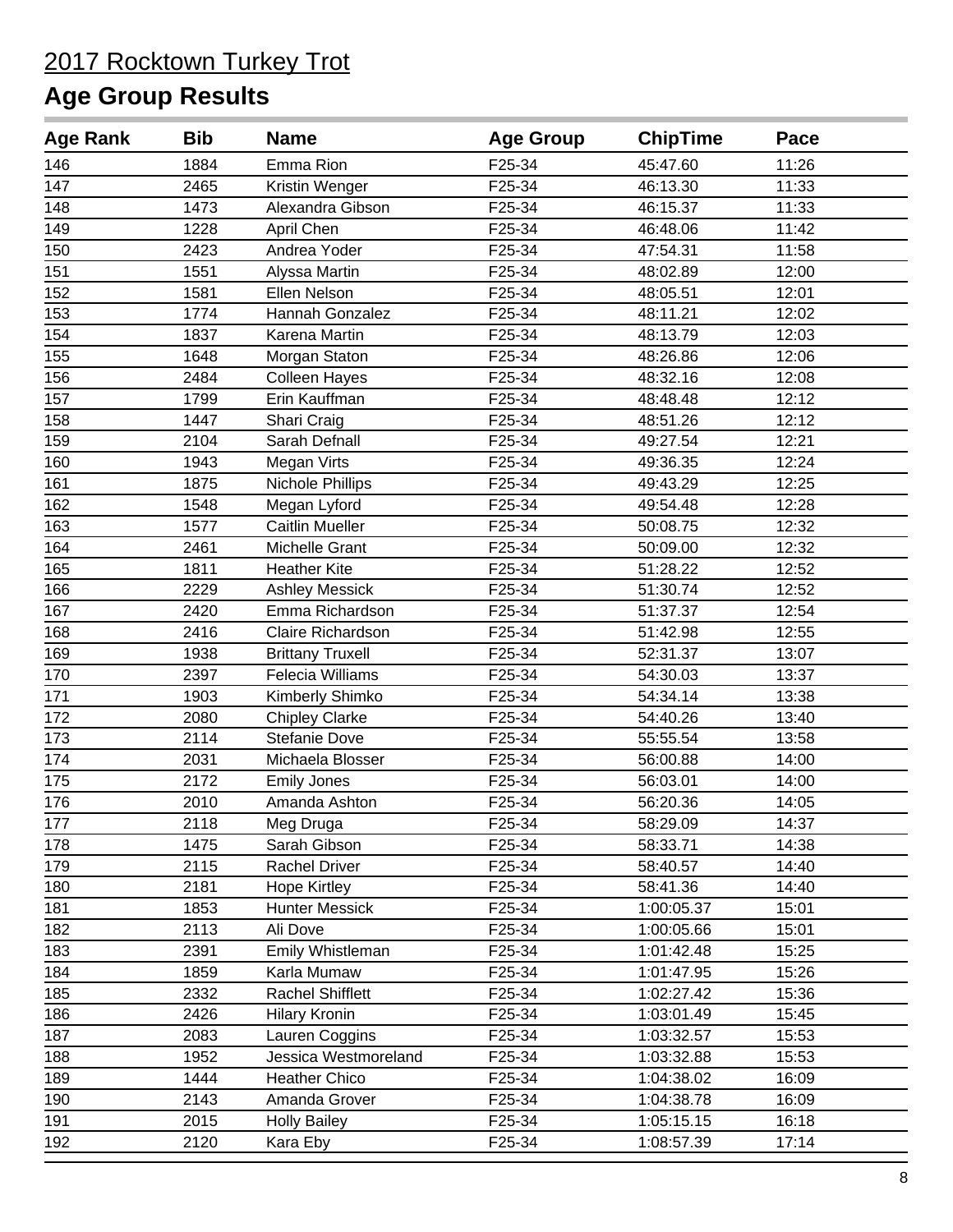| <b>Age Rank</b> | <b>Bib</b> | <b>Name</b>             | <b>Age Group</b> | <b>ChipTime</b> | Pace  |
|-----------------|------------|-------------------------|------------------|-----------------|-------|
| 146             | 1884       | Emma Rion               | F25-34           | 45:47.60        | 11:26 |
| 147             | 2465       | Kristin Wenger          | F25-34           | 46:13.30        | 11:33 |
| 148             | 1473       | Alexandra Gibson        | F25-34           | 46:15.37        | 11:33 |
| 149             | 1228       | April Chen              | F25-34           | 46:48.06        | 11:42 |
| 150             | 2423       | Andrea Yoder            | F25-34           | 47:54.31        | 11:58 |
| 151             | 1551       | Alyssa Martin           | F25-34           | 48:02.89        | 12:00 |
| 152             | 1581       | Ellen Nelson            | F25-34           | 48:05.51        | 12:01 |
| 153             | 1774       | Hannah Gonzalez         | F25-34           | 48:11.21        | 12:02 |
| 154             | 1837       | Karena Martin           | F25-34           | 48:13.79        | 12:03 |
| 155             | 1648       | Morgan Staton           | F25-34           | 48:26.86        | 12:06 |
| 156             | 2484       | <b>Colleen Hayes</b>    | F25-34           | 48:32.16        | 12:08 |
| 157             | 1799       | Erin Kauffman           | F25-34           | 48:48.48        | 12:12 |
| 158             | 1447       | Shari Craig             | F25-34           | 48:51.26        | 12:12 |
| 159             | 2104       | Sarah Defnall           | F25-34           | 49:27.54        | 12:21 |
| 160             | 1943       | Megan Virts             | F25-34           | 49:36.35        | 12:24 |
| 161             | 1875       | Nichole Phillips        | F25-34           | 49:43.29        | 12:25 |
| 162             | 1548       | Megan Lyford            | F25-34           | 49:54.48        | 12:28 |
| 163             | 1577       | <b>Caitlin Mueller</b>  | F25-34           | 50:08.75        | 12:32 |
| 164             | 2461       | Michelle Grant          | F25-34           | 50:09.00        | 12:32 |
| 165             | 1811       | <b>Heather Kite</b>     | F25-34           | 51:28.22        | 12:52 |
| 166             | 2229       | <b>Ashley Messick</b>   | F25-34           | 51:30.74        | 12:52 |
| 167             | 2420       | Emma Richardson         | F25-34           | 51:37.37        | 12:54 |
| 168             | 2416       | Claire Richardson       | F25-34           | 51:42.98        | 12:55 |
| 169             | 1938       | <b>Brittany Truxell</b> | F25-34           | 52:31.37        | 13:07 |
| 170             | 2397       | Felecia Williams        | F25-34           | 54:30.03        | 13:37 |
| 171             | 1903       | Kimberly Shimko         | F25-34           | 54:34.14        | 13:38 |
| 172             | 2080       | <b>Chipley Clarke</b>   | F25-34           | 54:40.26        | 13:40 |
| 173             | 2114       | Stefanie Dove           | F25-34           | 55:55.54        | 13:58 |
| 174             | 2031       | Michaela Blosser        | F25-34           | 56:00.88        | 14:00 |
| 175             | 2172       | <b>Emily Jones</b>      | F25-34           | 56:03.01        | 14:00 |
| 176             | 2010       | Amanda Ashton           | F25-34           | 56:20.36        | 14:05 |
| 177             | 2118       | Meg Druga               | F25-34           | 58:29.09        | 14:37 |
| 178             | 1475       | Sarah Gibson            | F25-34           | 58:33.71        | 14:38 |
| 179             | 2115       | Rachel Driver           | F25-34           | 58:40.57        | 14:40 |
| 180             | 2181       | <b>Hope Kirtley</b>     | F25-34           | 58:41.36        | 14:40 |
| 181             | 1853       | <b>Hunter Messick</b>   | F25-34           | 1:00:05.37      | 15:01 |
| 182             | 2113       | Ali Dove                | F25-34           | 1:00:05.66      | 15:01 |
| 183             | 2391       | Emily Whistleman        | F25-34           | 1:01:42.48      | 15:25 |
| 184             | 1859       | Karla Mumaw             | F25-34           | 1:01:47.95      | 15:26 |
| 185             | 2332       | Rachel Shifflett        | F25-34           | 1:02:27.42      | 15:36 |
| 186             | 2426       | <b>Hilary Kronin</b>    | F25-34           | 1:03:01.49      | 15:45 |
| 187             | 2083       | Lauren Coggins          | F25-34           | 1:03:32.57      | 15:53 |
| 188             | 1952       | Jessica Westmoreland    | F25-34           | 1:03:32.88      | 15:53 |
| 189             | 1444       | <b>Heather Chico</b>    | F25-34           | 1:04:38.02      | 16:09 |
| 190             | 2143       | Amanda Grover           | F25-34           | 1:04:38.78      | 16:09 |
| 191             | 2015       | <b>Holly Bailey</b>     | F25-34           | 1:05:15.15      | 16:18 |
| 192             | 2120       | Kara Eby                | F25-34           | 1:08:57.39      | 17:14 |
|                 |            |                         |                  |                 |       |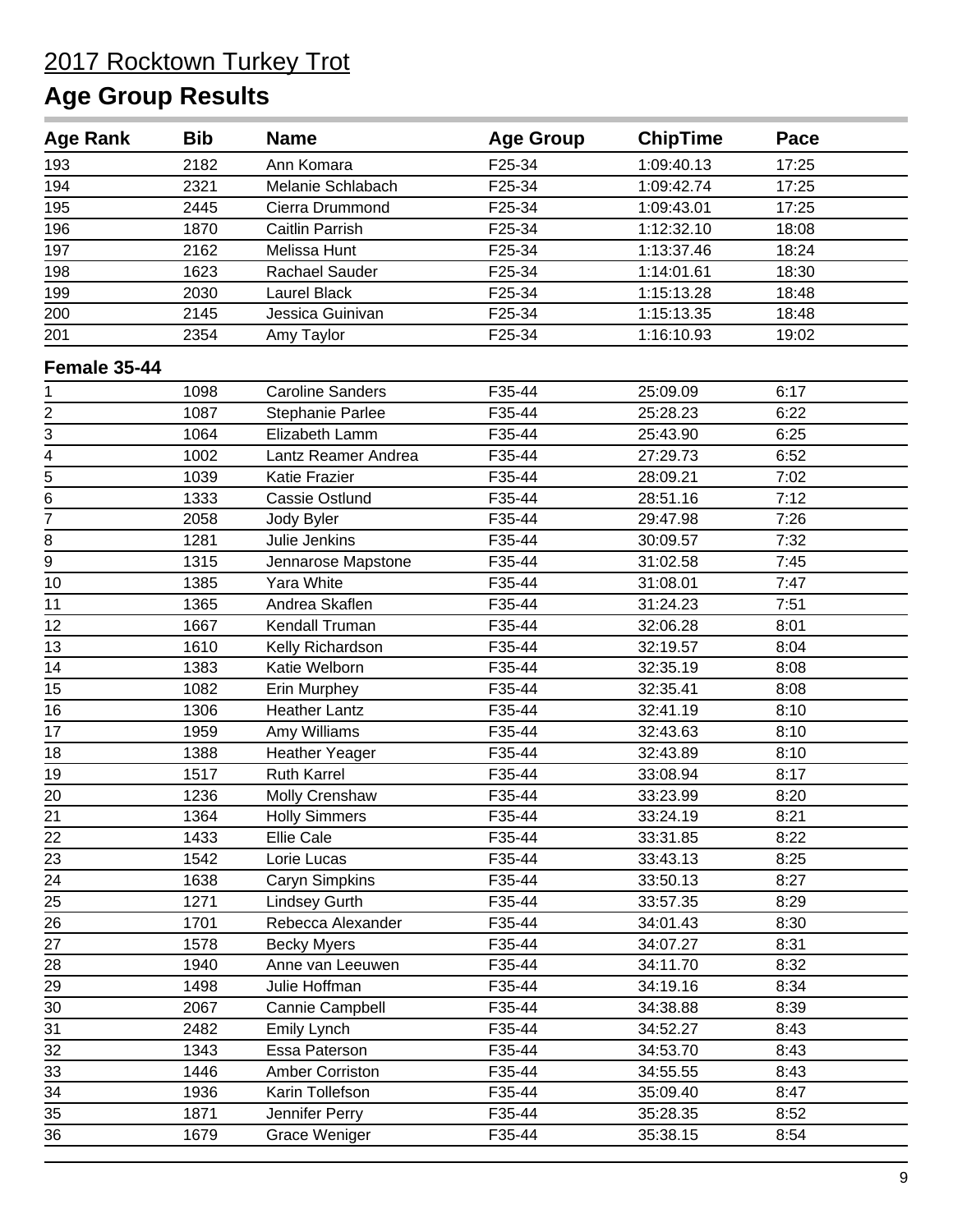| <b>Age Rank</b>             | <b>Bib</b> | <b>Name</b>             | <b>Age Group</b> | <b>ChipTime</b> | Pace  |
|-----------------------------|------------|-------------------------|------------------|-----------------|-------|
| 193                         | 2182       | Ann Komara              | F25-34           | 1:09:40.13      | 17:25 |
| 194                         | 2321       | Melanie Schlabach       | F25-34           | 1:09:42.74      | 17:25 |
| 195                         | 2445       | Cierra Drummond         | F25-34           | 1:09:43.01      | 17:25 |
| 196                         | 1870       | Caitlin Parrish         | F25-34           | 1:12:32.10      | 18:08 |
| 197                         | 2162       | Melissa Hunt            | F25-34           | 1:13:37.46      | 18:24 |
| 198                         | 1623       | Rachael Sauder          | F25-34           | 1:14:01.61      | 18:30 |
| 199                         | 2030       | Laurel Black            | F25-34           | 1:15:13.28      | 18:48 |
| 200                         | 2145       | Jessica Guinivan        | F25-34           | 1:15:13.35      | 18:48 |
| 201                         | 2354       | Amy Taylor              | F25-34           | 1:16:10.93      | 19:02 |
| Female 35-44                |            |                         |                  |                 |       |
| 1                           | 1098       | <b>Caroline Sanders</b> | F35-44           | 25:09.09        | 6:17  |
|                             | 1087       | Stephanie Parlee        | F35-44           | 25:28.23        | 6:22  |
| $\frac{2}{3} - \frac{4}{5}$ | 1064       | Elizabeth Lamm          | F35-44           | 25:43.90        | 6:25  |
|                             | 1002       | Lantz Reamer Andrea     | F35-44           | 27:29.73        | 6:52  |
|                             | 1039       | Katie Frazier           | F35-44           | 28:09.21        | 7:02  |
| $\overline{6}$              | 1333       | Cassie Ostlund          | F35-44           | 28:51.16        | 7:12  |
| $\overline{7}$              | 2058       | Jody Byler              | F35-44           | 29:47.98        | 7:26  |
| 8                           | 1281       | Julie Jenkins           | F35-44           | 30:09.57        | 7:32  |
| 9                           | 1315       | Jennarose Mapstone      | F35-44           | 31:02.58        | 7:45  |
| 10                          | 1385       | Yara White              | F35-44           | 31:08.01        | 7:47  |
| 11                          | 1365       | Andrea Skaflen          | F35-44           | 31:24.23        | 7:51  |
| 12                          | 1667       | Kendall Truman          | F35-44           | 32:06.28        | 8:01  |
| 13                          | 1610       | Kelly Richardson        | F35-44           | 32:19.57        | 8:04  |
| 14                          | 1383       | Katie Welborn           | F35-44           | 32:35.19        | 8:08  |
| 15                          | 1082       | Erin Murphey            | F35-44           | 32:35.41        | 8:08  |
| 16                          | 1306       | <b>Heather Lantz</b>    | F35-44           | 32:41.19        | 8:10  |
| 17                          | 1959       | Amy Williams            | F35-44           | 32:43.63        | 8:10  |
| 18                          | 1388       | <b>Heather Yeager</b>   | F35-44           | 32:43.89        | 8:10  |
| 19                          | 1517       | <b>Ruth Karrel</b>      | F35-44           | 33:08.94        | 8:17  |
| 20                          | 1236       | Molly Crenshaw          | F35-44           | 33:23.99        | 8:20  |
| 21                          | 1364       | <b>Holly Simmers</b>    | F35-44           | 33:24.19        | 8:21  |
| 22                          | 1433       | Ellie Cale              | F35-44           | 33:31.85        | 8:22  |
| 23                          | 1542       | Lorie Lucas             | F35-44           | 33:43.13        | 8:25  |
| 24                          | 1638       | Caryn Simpkins          | F35-44           | 33:50.13        | 8:27  |
| $\overline{25}$             | 1271       | <b>Lindsey Gurth</b>    | F35-44           | 33:57.35        | 8:29  |
| $\overline{26}$             | 1701       | Rebecca Alexander       | F35-44           | 34:01.43        | 8:30  |
| 27                          | 1578       | <b>Becky Myers</b>      | F35-44           | 34:07.27        | 8:31  |
| 28                          | 1940       | Anne van Leeuwen        | F35-44           | 34:11.70        | 8:32  |
| 29                          | 1498       | Julie Hoffman           | F35-44           | 34:19.16        | 8:34  |
| 30                          | 2067       | Cannie Campbell         | F35-44           | 34:38.88        | 8:39  |
| 31                          | 2482       | Emily Lynch             | F35-44           | 34:52.27        | 8:43  |
| 32                          | 1343       | Essa Paterson           | F35-44           | 34:53.70        | 8:43  |
| 33                          | 1446       | Amber Corriston         | F35-44           | 34:55.55        | 8:43  |
| 34                          | 1936       | Karin Tollefson         | F35-44           | 35:09.40        | 8:47  |
| 35                          | 1871       | Jennifer Perry          | F35-44           | 35:28.35        | 8:52  |
| 36                          | 1679       | <b>Grace Weniger</b>    | F35-44           | 35:38.15        | 8:54  |
|                             |            |                         |                  |                 |       |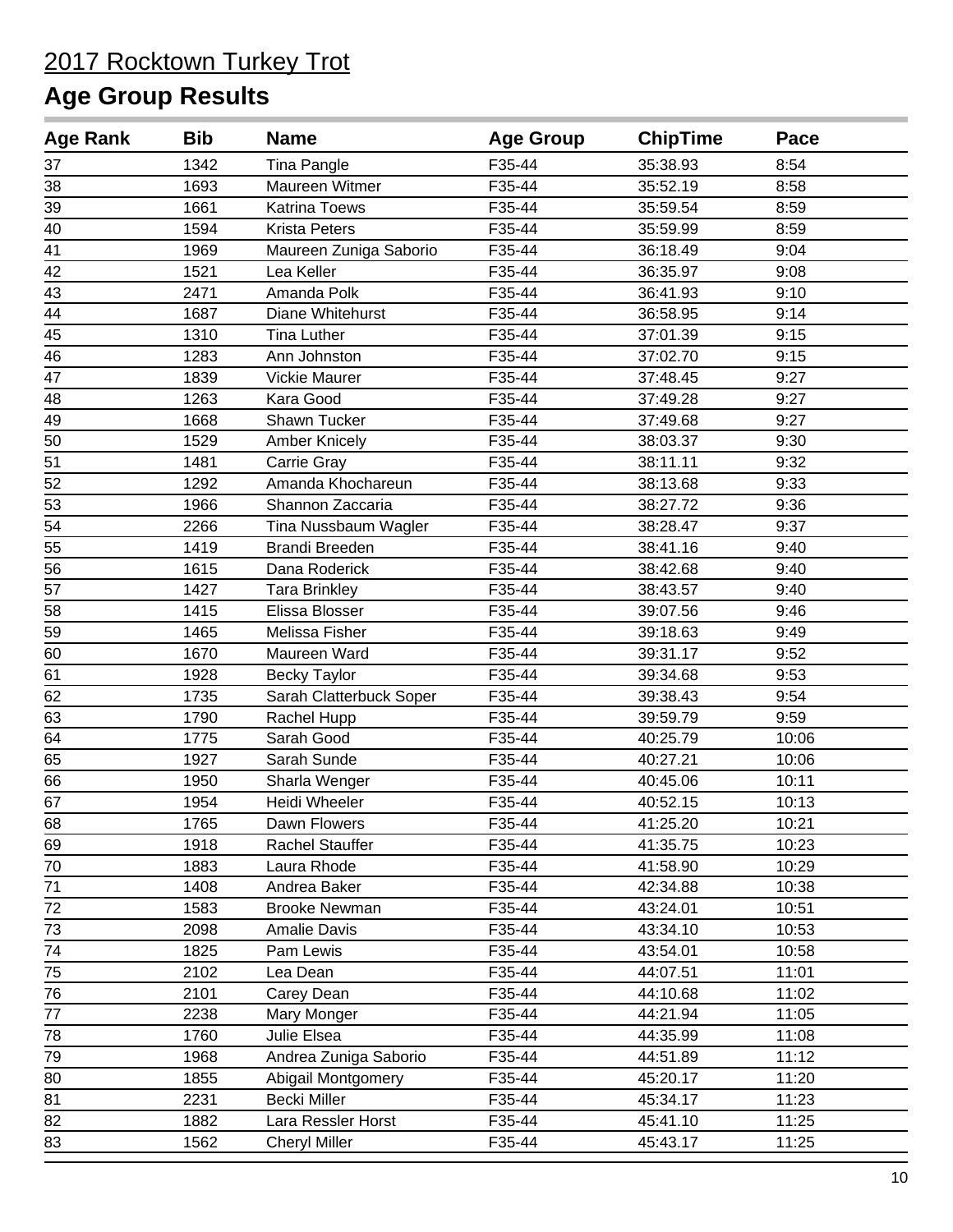| <b>Age Rank</b> | <b>Bib</b> | <b>Name</b>             | <b>Age Group</b> | <b>ChipTime</b> | Pace  |
|-----------------|------------|-------------------------|------------------|-----------------|-------|
| 37              | 1342       | Tina Pangle             | F35-44           | 35:38.93        | 8:54  |
| 38              | 1693       | Maureen Witmer          | F35-44           | 35:52.19        | 8:58  |
| 39              | 1661       | <b>Katrina Toews</b>    | F35-44           | 35:59.54        | 8:59  |
| 40              | 1594       | <b>Krista Peters</b>    | F35-44           | 35:59.99        | 8:59  |
| 41              | 1969       | Maureen Zuniga Saborio  | F35-44           | 36:18.49        | 9:04  |
| 42              | 1521       | Lea Keller              | F35-44           | 36:35.97        | 9:08  |
| 43              | 2471       | Amanda Polk             | F35-44           | 36:41.93        | 9:10  |
| 44              | 1687       | Diane Whitehurst        | F35-44           | 36:58.95        | 9:14  |
| 45              | 1310       | <b>Tina Luther</b>      | F35-44           | 37:01.39        | 9:15  |
| 46              | 1283       | Ann Johnston            | F35-44           | 37:02.70        | 9:15  |
| 47              | 1839       | <b>Vickie Maurer</b>    | F35-44           | 37:48.45        | 9:27  |
| 48              | 1263       | Kara Good               | F35-44           | 37:49.28        | 9:27  |
| 49              | 1668       | Shawn Tucker            | F35-44           | 37:49.68        | 9:27  |
| 50              | 1529       | <b>Amber Knicely</b>    | F35-44           | 38:03.37        | 9:30  |
| 51              | 1481       | Carrie Gray             | F35-44           | 38:11.11        | 9:32  |
| 52              | 1292       | Amanda Khochareun       | F35-44           | 38:13.68        | 9:33  |
| 53              | 1966       | Shannon Zaccaria        | F35-44           | 38:27.72        | 9:36  |
| 54              | 2266       | Tina Nussbaum Wagler    | F35-44           | 38:28.47        | 9:37  |
| 55              | 1419       | <b>Brandi Breeden</b>   | F35-44           | 38:41.16        | 9:40  |
| 56              | 1615       | Dana Roderick           | F35-44           | 38:42.68        | 9:40  |
| 57              | 1427       | <b>Tara Brinkley</b>    | F35-44           | 38:43.57        | 9:40  |
| 58              | 1415       | Elissa Blosser          | F35-44           | 39:07.56        | 9:46  |
| 59              | 1465       | Melissa Fisher          | F35-44           | 39:18.63        | 9:49  |
| 60              | 1670       | Maureen Ward            | F35-44           | 39:31.17        | 9:52  |
| 61              | 1928       | <b>Becky Taylor</b>     | F35-44           | 39:34.68        | 9:53  |
| 62              | 1735       | Sarah Clatterbuck Soper | F35-44           | 39:38.43        | 9:54  |
| 63              | 1790       | Rachel Hupp             | F35-44           | 39:59.79        | 9:59  |
| 64              | 1775       | Sarah Good              | F35-44           | 40:25.79        | 10:06 |
| 65              | 1927       | Sarah Sunde             | F35-44           | 40:27.21        | 10:06 |
| 66              | 1950       | Sharla Wenger           | F35-44           | 40:45.06        | 10:11 |
| 67              | 1954       | Heidi Wheeler           | F35-44           | 40:52.15        | 10:13 |
| 68              | 1765       | Dawn Flowers            | F35-44           | 41:25.20        | 10:21 |
| 69              | 1918       | <b>Rachel Stauffer</b>  | F35-44           | 41:35.75        | 10:23 |
| 70              | 1883       | Laura Rhode             | F35-44           | 41:58.90        | 10:29 |
| 71              | 1408       | Andrea Baker            | F35-44           | 42:34.88        | 10:38 |
| 72              | 1583       | <b>Brooke Newman</b>    | F35-44           | 43:24.01        | 10:51 |
| 73              | 2098       | <b>Amalie Davis</b>     | F35-44           | 43:34.10        | 10:53 |
| 74              | 1825       | Pam Lewis               | F35-44           | 43:54.01        | 10:58 |
| 75              | 2102       | Lea Dean                | F35-44           | 44:07.51        | 11:01 |
| 76              | 2101       | Carey Dean              | F35-44           | 44:10.68        | 11:02 |
| $\overline{77}$ | 2238       | Mary Monger             | F35-44           | 44:21.94        | 11:05 |
| 78              | 1760       | Julie Elsea             | F35-44           | 44:35.99        | 11:08 |
| 79              | 1968       | Andrea Zuniga Saborio   | F35-44           | 44:51.89        | 11:12 |
| 80              | 1855       | Abigail Montgomery      | F35-44           | 45:20.17        | 11:20 |
| 81              | 2231       | Becki Miller            | F35-44           | 45:34.17        | 11:23 |
| 82              | 1882       | Lara Ressler Horst      | F35-44           | 45:41.10        | 11:25 |
| 83              | 1562       | <b>Cheryl Miller</b>    | F35-44           | 45:43.17        | 11:25 |
|                 |            |                         |                  |                 |       |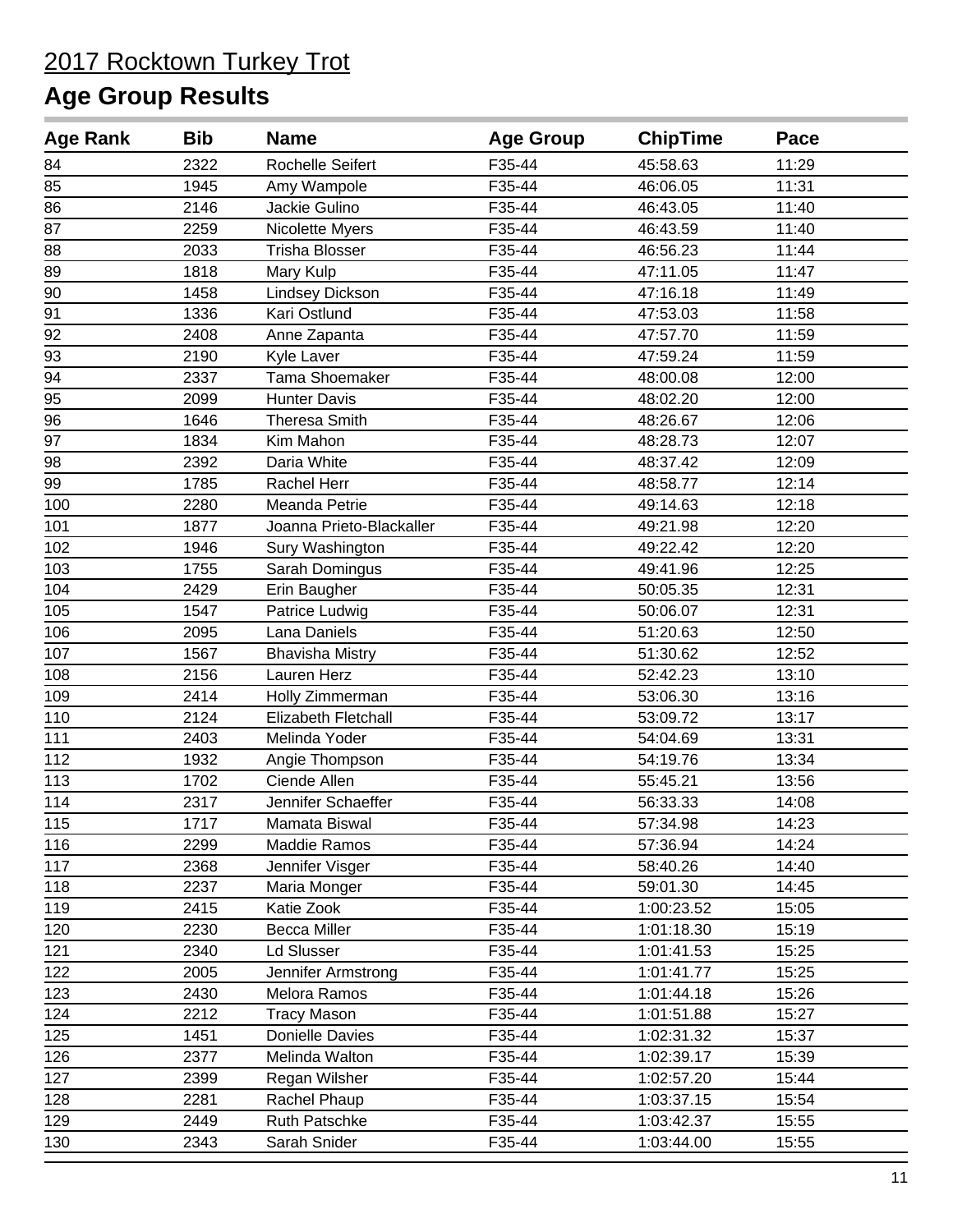| <b>Age Rank</b> | <b>Bib</b> | <b>Name</b>              | <b>Age Group</b> | <b>ChipTime</b> | Pace  |
|-----------------|------------|--------------------------|------------------|-----------------|-------|
| 84              | 2322       | Rochelle Seifert         | F35-44           | 45:58.63        | 11:29 |
| 85              | 1945       | Amy Wampole              | F35-44           | 46:06.05        | 11:31 |
| 86              | 2146       | Jackie Gulino            | F35-44           | 46:43.05        | 11:40 |
| 87              | 2259       | Nicolette Myers          | F35-44           | 46:43.59        | 11:40 |
| 88              | 2033       | <b>Trisha Blosser</b>    | F35-44           | 46:56.23        | 11:44 |
| 89              | 1818       | Mary Kulp                | F35-44           | 47:11.05        | 11:47 |
| 90              | 1458       | Lindsey Dickson          | F35-44           | 47:16.18        | 11:49 |
| 91              | 1336       | Kari Ostlund             | F35-44           | 47:53.03        | 11:58 |
| 92              | 2408       | Anne Zapanta             | F35-44           | 47:57.70        | 11:59 |
| 93              | 2190       | Kyle Laver               | F35-44           | 47:59.24        | 11:59 |
| 94              | 2337       | Tama Shoemaker           | F35-44           | 48:00.08        | 12:00 |
| 95              | 2099       | <b>Hunter Davis</b>      | F35-44           | 48:02.20        | 12:00 |
| 96              | 1646       | <b>Theresa Smith</b>     | F35-44           | 48:26.67        | 12:06 |
| 97              | 1834       | Kim Mahon                | F35-44           | 48:28.73        | 12:07 |
| 98              | 2392       | Daria White              | F35-44           | 48:37.42        | 12:09 |
| 99              | 1785       | Rachel Herr              | F35-44           | 48:58.77        | 12:14 |
| 100             | 2280       | Meanda Petrie            | F35-44           | 49:14.63        | 12:18 |
| 101             | 1877       | Joanna Prieto-Blackaller | F35-44           | 49:21.98        | 12:20 |
| 102             | 1946       | Sury Washington          | F35-44           | 49:22.42        | 12:20 |
| 103             | 1755       | Sarah Domingus           | F35-44           | 49:41.96        | 12:25 |
| 104             | 2429       | Erin Baugher             | F35-44           | 50:05.35        | 12:31 |
| 105             | 1547       | Patrice Ludwig           | F35-44           | 50:06.07        | 12:31 |
| 106             | 2095       | Lana Daniels             | F35-44           | 51:20.63        | 12:50 |
| 107             | 1567       | <b>Bhavisha Mistry</b>   | F35-44           | 51:30.62        | 12:52 |
| 108             | 2156       | Lauren Herz              | F35-44           | 52:42.23        | 13:10 |
| 109             | 2414       | Holly Zimmerman          | F35-44           | 53:06.30        | 13:16 |
| 110             | 2124       | Elizabeth Fletchall      | F35-44           | 53:09.72        | 13:17 |
| 111             | 2403       | Melinda Yoder            | F35-44           | 54:04.69        | 13:31 |
| 112             | 1932       | Angie Thompson           | F35-44           | 54:19.76        | 13:34 |
| 113             | 1702       | Ciende Allen             | F35-44           | 55:45.21        | 13:56 |
| 114             | 2317       | Jennifer Schaeffer       | F35-44           | 56:33.33        | 14:08 |
| 115             | 1717       | Mamata Biswal            | F35-44           | 57:34.98        | 14:23 |
| 116             | 2299       | Maddie Ramos             | F35-44           | 57:36.94        | 14:24 |
| 117             | 2368       | Jennifer Visger          | F35-44           | 58:40.26        | 14:40 |
| 118             | 2237       | Maria Monger             | F35-44           | 59:01.30        | 14:45 |
| 119             | 2415       | Katie Zook               | F35-44           | 1:00:23.52      | 15:05 |
| 120             | 2230       | <b>Becca Miller</b>      | F35-44           | 1:01:18.30      | 15:19 |
| 121             | 2340       | Ld Slusser               | F35-44           | 1:01:41.53      | 15:25 |
| 122             | 2005       | Jennifer Armstrong       | F35-44           | 1:01:41.77      | 15:25 |
| 123             | 2430       | Melora Ramos             | F35-44           | 1:01:44.18      | 15:26 |
| 124             | 2212       | <b>Tracy Mason</b>       | F35-44           | 1:01:51.88      | 15:27 |
| 125             | 1451       | Donielle Davies          | F35-44           | 1:02:31.32      | 15:37 |
| 126             | 2377       | Melinda Walton           | F35-44           | 1:02:39.17      | 15:39 |
| 127             | 2399       | Regan Wilsher            | F35-44           | 1:02:57.20      | 15:44 |
| 128             | 2281       | Rachel Phaup             | F35-44           | 1:03:37.15      | 15:54 |
| 129             | 2449       | Ruth Patschke            | F35-44           | 1:03:42.37      | 15:55 |
| 130             | 2343       | Sarah Snider             | F35-44           | 1:03:44.00      | 15:55 |
|                 |            |                          |                  |                 |       |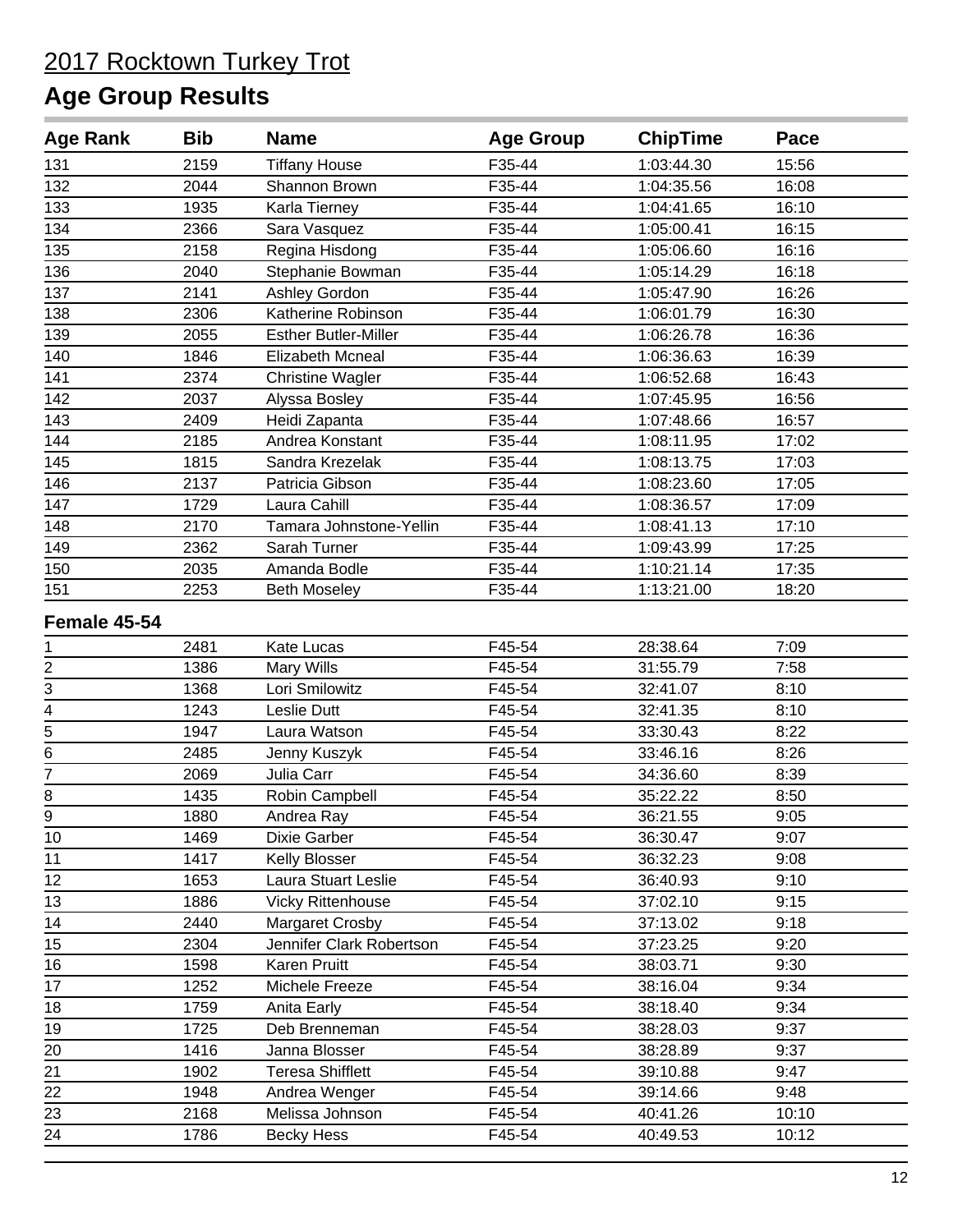| F35-44<br>131<br>2159<br><b>Tiffany House</b><br>1:03:44.30<br>15:56<br>132<br>F35-44<br>1:04:35.56<br>2044<br>Shannon Brown<br>16:08<br>133<br>F35-44<br>16:10<br>1935<br>Karla Tierney<br>1:04:41.65<br>2366<br>F35-44<br>16:15<br>134<br>Sara Vasquez<br>1:05:00.41<br>135<br>2158<br>Regina Hisdong<br>F35-44<br>1:05:06.60<br>16:16<br>136<br>2040<br>F35-44<br>16:18<br>Stephanie Bowman<br>1:05:14.29<br>137<br>2141<br>F35-44<br>16:26<br>Ashley Gordon<br>1:05:47.90<br>138<br>F35-44<br>2306<br>Katherine Robinson<br>1:06:01.79<br>16:30<br>139<br>F35-44<br>2055<br><b>Esther Butler-Miller</b><br>1:06:26.78<br>16:36<br>140<br>1846<br><b>Elizabeth Mcneal</b><br>F35-44<br>1:06:36.63<br>16:39<br>141<br>2374<br>F35-44<br>16:43<br><b>Christine Wagler</b><br>1:06:52.68<br>142<br>2037<br>F35-44<br>1:07:45.95<br>16:56<br>Alyssa Bosley<br>143<br>F35-44<br>2409<br>Heidi Zapanta<br>1:07:48.66<br>16:57<br>144<br>F35-44<br>17:02<br>2185<br>Andrea Konstant<br>1:08:11.95<br>145<br>F35-44<br>17:03<br>1815<br>Sandra Krezelak<br>1:08:13.75<br>146<br>2137<br>F35-44<br>Patricia Gibson<br>1:08:23.60<br>17:05<br>147<br>Laura Cahill<br>F35-44<br>1729<br>1:08:36.57<br>17:09<br>2170<br>148<br>Tamara Johnstone-Yellin<br>F35-44<br>1:08:41.13<br>17:10<br>149<br>F35-44<br>2362<br>Sarah Turner<br>1:09:43.99<br>17:25<br>150<br>2035<br>Amanda Bodle<br>F35-44<br>1:10:21.14<br>17:35<br>151<br>2253<br>F35-44<br>1:13:21.00<br>18:20<br><b>Beth Moseley</b><br>Female 45-54<br>F45-54<br>28:38.64<br>2481<br>Kate Lucas<br>7:09<br>1<br>$\frac{2}{3} - \frac{4}{5}$<br>F45-54<br>31:55.79<br>7:58<br>1386<br>Mary Wills<br>Lori Smilowitz<br>F45-54<br>1368<br>32:41.07<br>8:10<br>1243<br>F45-54<br>Leslie Dutt<br>32:41.35<br>8:10<br>1947<br>Laura Watson<br>F45-54<br>33:30.43<br>8:22<br>6<br>F45-54<br>2485<br>33:46.16<br>8:26<br>Jenny Kuszyk<br>$\overline{7}$<br>F45-54<br>2069<br>Julia Carr<br>34:36.60<br>8:39<br>F45-54<br>8<br>1435<br>Robin Campbell<br>35:22.22<br>8:50<br>$\overline{9}$<br>F45-54<br>36:21.55<br>1880<br>Andrea Ray<br>9:05<br>1469<br>10<br>Dixie Garber<br>F45-54<br>36:30.47<br>9:07<br>11<br>1417<br>F45-54<br>9:08<br>Kelly Blosser<br>36:32.23<br>12<br>F45-54<br>1653<br>Laura Stuart Leslie<br>36:40.93<br>9:10<br>13<br>1886<br><b>Vicky Rittenhouse</b><br>F45-54<br>37:02.10<br>9:15<br>14<br>2440<br>Margaret Crosby<br>F45-54<br>37:13.02<br>9:18<br>15<br>2304<br>Jennifer Clark Robertson<br>F45-54<br>37:23.25<br>9:20<br>16<br>F45-54<br>1598<br>Karen Pruitt<br>38:03.71<br>9:30<br>17<br>1252<br>F45-54<br>38:16.04<br>9:34<br>Michele Freeze<br>F45-54<br>38:18.40<br>9:34<br>18<br>1759<br>Anita Early<br>19<br>1725<br>Deb Brenneman<br>F45-54<br>38:28.03<br>9:37<br>F45-54<br>20<br>1416<br>38:28.89<br>9:37<br>Janna Blosser<br>21<br><b>Teresa Shifflett</b><br>F45-54<br>1902<br>39:10.88<br>9:47<br>22<br>F45-54<br>1948<br>Andrea Wenger<br>39:14.66<br>9:48<br>23<br>2168<br>F45-54<br>Melissa Johnson<br>40:41.26<br>10:10<br>24<br>F45-54<br>1786<br><b>Becky Hess</b><br>40:49.53<br>10:12 | <b>Age Rank</b> | <b>Bib</b> | <b>Name</b> | <b>Age Group</b> | <b>ChipTime</b> | Pace |
|------------------------------------------------------------------------------------------------------------------------------------------------------------------------------------------------------------------------------------------------------------------------------------------------------------------------------------------------------------------------------------------------------------------------------------------------------------------------------------------------------------------------------------------------------------------------------------------------------------------------------------------------------------------------------------------------------------------------------------------------------------------------------------------------------------------------------------------------------------------------------------------------------------------------------------------------------------------------------------------------------------------------------------------------------------------------------------------------------------------------------------------------------------------------------------------------------------------------------------------------------------------------------------------------------------------------------------------------------------------------------------------------------------------------------------------------------------------------------------------------------------------------------------------------------------------------------------------------------------------------------------------------------------------------------------------------------------------------------------------------------------------------------------------------------------------------------------------------------------------------------------------------------------------------------------------------------------------------------------------------------------------------------------------------------------------------------------------------------------------------------------------------------------------------------------------------------------------------------------------------------------------------------------------------------------------------------------------------------------------------------------------------------------------------------------------------------------------------------------------------------------------------------------------------------------------------------------------------------------------------------------------------------------------------------------------------------------------------------------------------------------------------------------------------------------------------------------------------------------------------------------------------------------------------------------------------------------------------------------------------------------------------------------------------------------------------------------------|-----------------|------------|-------------|------------------|-----------------|------|
|                                                                                                                                                                                                                                                                                                                                                                                                                                                                                                                                                                                                                                                                                                                                                                                                                                                                                                                                                                                                                                                                                                                                                                                                                                                                                                                                                                                                                                                                                                                                                                                                                                                                                                                                                                                                                                                                                                                                                                                                                                                                                                                                                                                                                                                                                                                                                                                                                                                                                                                                                                                                                                                                                                                                                                                                                                                                                                                                                                                                                                                                                          |                 |            |             |                  |                 |      |
|                                                                                                                                                                                                                                                                                                                                                                                                                                                                                                                                                                                                                                                                                                                                                                                                                                                                                                                                                                                                                                                                                                                                                                                                                                                                                                                                                                                                                                                                                                                                                                                                                                                                                                                                                                                                                                                                                                                                                                                                                                                                                                                                                                                                                                                                                                                                                                                                                                                                                                                                                                                                                                                                                                                                                                                                                                                                                                                                                                                                                                                                                          |                 |            |             |                  |                 |      |
|                                                                                                                                                                                                                                                                                                                                                                                                                                                                                                                                                                                                                                                                                                                                                                                                                                                                                                                                                                                                                                                                                                                                                                                                                                                                                                                                                                                                                                                                                                                                                                                                                                                                                                                                                                                                                                                                                                                                                                                                                                                                                                                                                                                                                                                                                                                                                                                                                                                                                                                                                                                                                                                                                                                                                                                                                                                                                                                                                                                                                                                                                          |                 |            |             |                  |                 |      |
|                                                                                                                                                                                                                                                                                                                                                                                                                                                                                                                                                                                                                                                                                                                                                                                                                                                                                                                                                                                                                                                                                                                                                                                                                                                                                                                                                                                                                                                                                                                                                                                                                                                                                                                                                                                                                                                                                                                                                                                                                                                                                                                                                                                                                                                                                                                                                                                                                                                                                                                                                                                                                                                                                                                                                                                                                                                                                                                                                                                                                                                                                          |                 |            |             |                  |                 |      |
|                                                                                                                                                                                                                                                                                                                                                                                                                                                                                                                                                                                                                                                                                                                                                                                                                                                                                                                                                                                                                                                                                                                                                                                                                                                                                                                                                                                                                                                                                                                                                                                                                                                                                                                                                                                                                                                                                                                                                                                                                                                                                                                                                                                                                                                                                                                                                                                                                                                                                                                                                                                                                                                                                                                                                                                                                                                                                                                                                                                                                                                                                          |                 |            |             |                  |                 |      |
|                                                                                                                                                                                                                                                                                                                                                                                                                                                                                                                                                                                                                                                                                                                                                                                                                                                                                                                                                                                                                                                                                                                                                                                                                                                                                                                                                                                                                                                                                                                                                                                                                                                                                                                                                                                                                                                                                                                                                                                                                                                                                                                                                                                                                                                                                                                                                                                                                                                                                                                                                                                                                                                                                                                                                                                                                                                                                                                                                                                                                                                                                          |                 |            |             |                  |                 |      |
|                                                                                                                                                                                                                                                                                                                                                                                                                                                                                                                                                                                                                                                                                                                                                                                                                                                                                                                                                                                                                                                                                                                                                                                                                                                                                                                                                                                                                                                                                                                                                                                                                                                                                                                                                                                                                                                                                                                                                                                                                                                                                                                                                                                                                                                                                                                                                                                                                                                                                                                                                                                                                                                                                                                                                                                                                                                                                                                                                                                                                                                                                          |                 |            |             |                  |                 |      |
|                                                                                                                                                                                                                                                                                                                                                                                                                                                                                                                                                                                                                                                                                                                                                                                                                                                                                                                                                                                                                                                                                                                                                                                                                                                                                                                                                                                                                                                                                                                                                                                                                                                                                                                                                                                                                                                                                                                                                                                                                                                                                                                                                                                                                                                                                                                                                                                                                                                                                                                                                                                                                                                                                                                                                                                                                                                                                                                                                                                                                                                                                          |                 |            |             |                  |                 |      |
|                                                                                                                                                                                                                                                                                                                                                                                                                                                                                                                                                                                                                                                                                                                                                                                                                                                                                                                                                                                                                                                                                                                                                                                                                                                                                                                                                                                                                                                                                                                                                                                                                                                                                                                                                                                                                                                                                                                                                                                                                                                                                                                                                                                                                                                                                                                                                                                                                                                                                                                                                                                                                                                                                                                                                                                                                                                                                                                                                                                                                                                                                          |                 |            |             |                  |                 |      |
|                                                                                                                                                                                                                                                                                                                                                                                                                                                                                                                                                                                                                                                                                                                                                                                                                                                                                                                                                                                                                                                                                                                                                                                                                                                                                                                                                                                                                                                                                                                                                                                                                                                                                                                                                                                                                                                                                                                                                                                                                                                                                                                                                                                                                                                                                                                                                                                                                                                                                                                                                                                                                                                                                                                                                                                                                                                                                                                                                                                                                                                                                          |                 |            |             |                  |                 |      |
|                                                                                                                                                                                                                                                                                                                                                                                                                                                                                                                                                                                                                                                                                                                                                                                                                                                                                                                                                                                                                                                                                                                                                                                                                                                                                                                                                                                                                                                                                                                                                                                                                                                                                                                                                                                                                                                                                                                                                                                                                                                                                                                                                                                                                                                                                                                                                                                                                                                                                                                                                                                                                                                                                                                                                                                                                                                                                                                                                                                                                                                                                          |                 |            |             |                  |                 |      |
|                                                                                                                                                                                                                                                                                                                                                                                                                                                                                                                                                                                                                                                                                                                                                                                                                                                                                                                                                                                                                                                                                                                                                                                                                                                                                                                                                                                                                                                                                                                                                                                                                                                                                                                                                                                                                                                                                                                                                                                                                                                                                                                                                                                                                                                                                                                                                                                                                                                                                                                                                                                                                                                                                                                                                                                                                                                                                                                                                                                                                                                                                          |                 |            |             |                  |                 |      |
|                                                                                                                                                                                                                                                                                                                                                                                                                                                                                                                                                                                                                                                                                                                                                                                                                                                                                                                                                                                                                                                                                                                                                                                                                                                                                                                                                                                                                                                                                                                                                                                                                                                                                                                                                                                                                                                                                                                                                                                                                                                                                                                                                                                                                                                                                                                                                                                                                                                                                                                                                                                                                                                                                                                                                                                                                                                                                                                                                                                                                                                                                          |                 |            |             |                  |                 |      |
|                                                                                                                                                                                                                                                                                                                                                                                                                                                                                                                                                                                                                                                                                                                                                                                                                                                                                                                                                                                                                                                                                                                                                                                                                                                                                                                                                                                                                                                                                                                                                                                                                                                                                                                                                                                                                                                                                                                                                                                                                                                                                                                                                                                                                                                                                                                                                                                                                                                                                                                                                                                                                                                                                                                                                                                                                                                                                                                                                                                                                                                                                          |                 |            |             |                  |                 |      |
|                                                                                                                                                                                                                                                                                                                                                                                                                                                                                                                                                                                                                                                                                                                                                                                                                                                                                                                                                                                                                                                                                                                                                                                                                                                                                                                                                                                                                                                                                                                                                                                                                                                                                                                                                                                                                                                                                                                                                                                                                                                                                                                                                                                                                                                                                                                                                                                                                                                                                                                                                                                                                                                                                                                                                                                                                                                                                                                                                                                                                                                                                          |                 |            |             |                  |                 |      |
|                                                                                                                                                                                                                                                                                                                                                                                                                                                                                                                                                                                                                                                                                                                                                                                                                                                                                                                                                                                                                                                                                                                                                                                                                                                                                                                                                                                                                                                                                                                                                                                                                                                                                                                                                                                                                                                                                                                                                                                                                                                                                                                                                                                                                                                                                                                                                                                                                                                                                                                                                                                                                                                                                                                                                                                                                                                                                                                                                                                                                                                                                          |                 |            |             |                  |                 |      |
|                                                                                                                                                                                                                                                                                                                                                                                                                                                                                                                                                                                                                                                                                                                                                                                                                                                                                                                                                                                                                                                                                                                                                                                                                                                                                                                                                                                                                                                                                                                                                                                                                                                                                                                                                                                                                                                                                                                                                                                                                                                                                                                                                                                                                                                                                                                                                                                                                                                                                                                                                                                                                                                                                                                                                                                                                                                                                                                                                                                                                                                                                          |                 |            |             |                  |                 |      |
|                                                                                                                                                                                                                                                                                                                                                                                                                                                                                                                                                                                                                                                                                                                                                                                                                                                                                                                                                                                                                                                                                                                                                                                                                                                                                                                                                                                                                                                                                                                                                                                                                                                                                                                                                                                                                                                                                                                                                                                                                                                                                                                                                                                                                                                                                                                                                                                                                                                                                                                                                                                                                                                                                                                                                                                                                                                                                                                                                                                                                                                                                          |                 |            |             |                  |                 |      |
|                                                                                                                                                                                                                                                                                                                                                                                                                                                                                                                                                                                                                                                                                                                                                                                                                                                                                                                                                                                                                                                                                                                                                                                                                                                                                                                                                                                                                                                                                                                                                                                                                                                                                                                                                                                                                                                                                                                                                                                                                                                                                                                                                                                                                                                                                                                                                                                                                                                                                                                                                                                                                                                                                                                                                                                                                                                                                                                                                                                                                                                                                          |                 |            |             |                  |                 |      |
|                                                                                                                                                                                                                                                                                                                                                                                                                                                                                                                                                                                                                                                                                                                                                                                                                                                                                                                                                                                                                                                                                                                                                                                                                                                                                                                                                                                                                                                                                                                                                                                                                                                                                                                                                                                                                                                                                                                                                                                                                                                                                                                                                                                                                                                                                                                                                                                                                                                                                                                                                                                                                                                                                                                                                                                                                                                                                                                                                                                                                                                                                          |                 |            |             |                  |                 |      |
|                                                                                                                                                                                                                                                                                                                                                                                                                                                                                                                                                                                                                                                                                                                                                                                                                                                                                                                                                                                                                                                                                                                                                                                                                                                                                                                                                                                                                                                                                                                                                                                                                                                                                                                                                                                                                                                                                                                                                                                                                                                                                                                                                                                                                                                                                                                                                                                                                                                                                                                                                                                                                                                                                                                                                                                                                                                                                                                                                                                                                                                                                          |                 |            |             |                  |                 |      |
|                                                                                                                                                                                                                                                                                                                                                                                                                                                                                                                                                                                                                                                                                                                                                                                                                                                                                                                                                                                                                                                                                                                                                                                                                                                                                                                                                                                                                                                                                                                                                                                                                                                                                                                                                                                                                                                                                                                                                                                                                                                                                                                                                                                                                                                                                                                                                                                                                                                                                                                                                                                                                                                                                                                                                                                                                                                                                                                                                                                                                                                                                          |                 |            |             |                  |                 |      |
|                                                                                                                                                                                                                                                                                                                                                                                                                                                                                                                                                                                                                                                                                                                                                                                                                                                                                                                                                                                                                                                                                                                                                                                                                                                                                                                                                                                                                                                                                                                                                                                                                                                                                                                                                                                                                                                                                                                                                                                                                                                                                                                                                                                                                                                                                                                                                                                                                                                                                                                                                                                                                                                                                                                                                                                                                                                                                                                                                                                                                                                                                          |                 |            |             |                  |                 |      |
|                                                                                                                                                                                                                                                                                                                                                                                                                                                                                                                                                                                                                                                                                                                                                                                                                                                                                                                                                                                                                                                                                                                                                                                                                                                                                                                                                                                                                                                                                                                                                                                                                                                                                                                                                                                                                                                                                                                                                                                                                                                                                                                                                                                                                                                                                                                                                                                                                                                                                                                                                                                                                                                                                                                                                                                                                                                                                                                                                                                                                                                                                          |                 |            |             |                  |                 |      |
|                                                                                                                                                                                                                                                                                                                                                                                                                                                                                                                                                                                                                                                                                                                                                                                                                                                                                                                                                                                                                                                                                                                                                                                                                                                                                                                                                                                                                                                                                                                                                                                                                                                                                                                                                                                                                                                                                                                                                                                                                                                                                                                                                                                                                                                                                                                                                                                                                                                                                                                                                                                                                                                                                                                                                                                                                                                                                                                                                                                                                                                                                          |                 |            |             |                  |                 |      |
|                                                                                                                                                                                                                                                                                                                                                                                                                                                                                                                                                                                                                                                                                                                                                                                                                                                                                                                                                                                                                                                                                                                                                                                                                                                                                                                                                                                                                                                                                                                                                                                                                                                                                                                                                                                                                                                                                                                                                                                                                                                                                                                                                                                                                                                                                                                                                                                                                                                                                                                                                                                                                                                                                                                                                                                                                                                                                                                                                                                                                                                                                          |                 |            |             |                  |                 |      |
|                                                                                                                                                                                                                                                                                                                                                                                                                                                                                                                                                                                                                                                                                                                                                                                                                                                                                                                                                                                                                                                                                                                                                                                                                                                                                                                                                                                                                                                                                                                                                                                                                                                                                                                                                                                                                                                                                                                                                                                                                                                                                                                                                                                                                                                                                                                                                                                                                                                                                                                                                                                                                                                                                                                                                                                                                                                                                                                                                                                                                                                                                          |                 |            |             |                  |                 |      |
|                                                                                                                                                                                                                                                                                                                                                                                                                                                                                                                                                                                                                                                                                                                                                                                                                                                                                                                                                                                                                                                                                                                                                                                                                                                                                                                                                                                                                                                                                                                                                                                                                                                                                                                                                                                                                                                                                                                                                                                                                                                                                                                                                                                                                                                                                                                                                                                                                                                                                                                                                                                                                                                                                                                                                                                                                                                                                                                                                                                                                                                                                          |                 |            |             |                  |                 |      |
|                                                                                                                                                                                                                                                                                                                                                                                                                                                                                                                                                                                                                                                                                                                                                                                                                                                                                                                                                                                                                                                                                                                                                                                                                                                                                                                                                                                                                                                                                                                                                                                                                                                                                                                                                                                                                                                                                                                                                                                                                                                                                                                                                                                                                                                                                                                                                                                                                                                                                                                                                                                                                                                                                                                                                                                                                                                                                                                                                                                                                                                                                          |                 |            |             |                  |                 |      |
|                                                                                                                                                                                                                                                                                                                                                                                                                                                                                                                                                                                                                                                                                                                                                                                                                                                                                                                                                                                                                                                                                                                                                                                                                                                                                                                                                                                                                                                                                                                                                                                                                                                                                                                                                                                                                                                                                                                                                                                                                                                                                                                                                                                                                                                                                                                                                                                                                                                                                                                                                                                                                                                                                                                                                                                                                                                                                                                                                                                                                                                                                          |                 |            |             |                  |                 |      |
|                                                                                                                                                                                                                                                                                                                                                                                                                                                                                                                                                                                                                                                                                                                                                                                                                                                                                                                                                                                                                                                                                                                                                                                                                                                                                                                                                                                                                                                                                                                                                                                                                                                                                                                                                                                                                                                                                                                                                                                                                                                                                                                                                                                                                                                                                                                                                                                                                                                                                                                                                                                                                                                                                                                                                                                                                                                                                                                                                                                                                                                                                          |                 |            |             |                  |                 |      |
|                                                                                                                                                                                                                                                                                                                                                                                                                                                                                                                                                                                                                                                                                                                                                                                                                                                                                                                                                                                                                                                                                                                                                                                                                                                                                                                                                                                                                                                                                                                                                                                                                                                                                                                                                                                                                                                                                                                                                                                                                                                                                                                                                                                                                                                                                                                                                                                                                                                                                                                                                                                                                                                                                                                                                                                                                                                                                                                                                                                                                                                                                          |                 |            |             |                  |                 |      |
|                                                                                                                                                                                                                                                                                                                                                                                                                                                                                                                                                                                                                                                                                                                                                                                                                                                                                                                                                                                                                                                                                                                                                                                                                                                                                                                                                                                                                                                                                                                                                                                                                                                                                                                                                                                                                                                                                                                                                                                                                                                                                                                                                                                                                                                                                                                                                                                                                                                                                                                                                                                                                                                                                                                                                                                                                                                                                                                                                                                                                                                                                          |                 |            |             |                  |                 |      |
|                                                                                                                                                                                                                                                                                                                                                                                                                                                                                                                                                                                                                                                                                                                                                                                                                                                                                                                                                                                                                                                                                                                                                                                                                                                                                                                                                                                                                                                                                                                                                                                                                                                                                                                                                                                                                                                                                                                                                                                                                                                                                                                                                                                                                                                                                                                                                                                                                                                                                                                                                                                                                                                                                                                                                                                                                                                                                                                                                                                                                                                                                          |                 |            |             |                  |                 |      |
|                                                                                                                                                                                                                                                                                                                                                                                                                                                                                                                                                                                                                                                                                                                                                                                                                                                                                                                                                                                                                                                                                                                                                                                                                                                                                                                                                                                                                                                                                                                                                                                                                                                                                                                                                                                                                                                                                                                                                                                                                                                                                                                                                                                                                                                                                                                                                                                                                                                                                                                                                                                                                                                                                                                                                                                                                                                                                                                                                                                                                                                                                          |                 |            |             |                  |                 |      |
|                                                                                                                                                                                                                                                                                                                                                                                                                                                                                                                                                                                                                                                                                                                                                                                                                                                                                                                                                                                                                                                                                                                                                                                                                                                                                                                                                                                                                                                                                                                                                                                                                                                                                                                                                                                                                                                                                                                                                                                                                                                                                                                                                                                                                                                                                                                                                                                                                                                                                                                                                                                                                                                                                                                                                                                                                                                                                                                                                                                                                                                                                          |                 |            |             |                  |                 |      |
|                                                                                                                                                                                                                                                                                                                                                                                                                                                                                                                                                                                                                                                                                                                                                                                                                                                                                                                                                                                                                                                                                                                                                                                                                                                                                                                                                                                                                                                                                                                                                                                                                                                                                                                                                                                                                                                                                                                                                                                                                                                                                                                                                                                                                                                                                                                                                                                                                                                                                                                                                                                                                                                                                                                                                                                                                                                                                                                                                                                                                                                                                          |                 |            |             |                  |                 |      |
|                                                                                                                                                                                                                                                                                                                                                                                                                                                                                                                                                                                                                                                                                                                                                                                                                                                                                                                                                                                                                                                                                                                                                                                                                                                                                                                                                                                                                                                                                                                                                                                                                                                                                                                                                                                                                                                                                                                                                                                                                                                                                                                                                                                                                                                                                                                                                                                                                                                                                                                                                                                                                                                                                                                                                                                                                                                                                                                                                                                                                                                                                          |                 |            |             |                  |                 |      |
|                                                                                                                                                                                                                                                                                                                                                                                                                                                                                                                                                                                                                                                                                                                                                                                                                                                                                                                                                                                                                                                                                                                                                                                                                                                                                                                                                                                                                                                                                                                                                                                                                                                                                                                                                                                                                                                                                                                                                                                                                                                                                                                                                                                                                                                                                                                                                                                                                                                                                                                                                                                                                                                                                                                                                                                                                                                                                                                                                                                                                                                                                          |                 |            |             |                  |                 |      |
|                                                                                                                                                                                                                                                                                                                                                                                                                                                                                                                                                                                                                                                                                                                                                                                                                                                                                                                                                                                                                                                                                                                                                                                                                                                                                                                                                                                                                                                                                                                                                                                                                                                                                                                                                                                                                                                                                                                                                                                                                                                                                                                                                                                                                                                                                                                                                                                                                                                                                                                                                                                                                                                                                                                                                                                                                                                                                                                                                                                                                                                                                          |                 |            |             |                  |                 |      |
|                                                                                                                                                                                                                                                                                                                                                                                                                                                                                                                                                                                                                                                                                                                                                                                                                                                                                                                                                                                                                                                                                                                                                                                                                                                                                                                                                                                                                                                                                                                                                                                                                                                                                                                                                                                                                                                                                                                                                                                                                                                                                                                                                                                                                                                                                                                                                                                                                                                                                                                                                                                                                                                                                                                                                                                                                                                                                                                                                                                                                                                                                          |                 |            |             |                  |                 |      |
|                                                                                                                                                                                                                                                                                                                                                                                                                                                                                                                                                                                                                                                                                                                                                                                                                                                                                                                                                                                                                                                                                                                                                                                                                                                                                                                                                                                                                                                                                                                                                                                                                                                                                                                                                                                                                                                                                                                                                                                                                                                                                                                                                                                                                                                                                                                                                                                                                                                                                                                                                                                                                                                                                                                                                                                                                                                                                                                                                                                                                                                                                          |                 |            |             |                  |                 |      |
|                                                                                                                                                                                                                                                                                                                                                                                                                                                                                                                                                                                                                                                                                                                                                                                                                                                                                                                                                                                                                                                                                                                                                                                                                                                                                                                                                                                                                                                                                                                                                                                                                                                                                                                                                                                                                                                                                                                                                                                                                                                                                                                                                                                                                                                                                                                                                                                                                                                                                                                                                                                                                                                                                                                                                                                                                                                                                                                                                                                                                                                                                          |                 |            |             |                  |                 |      |
|                                                                                                                                                                                                                                                                                                                                                                                                                                                                                                                                                                                                                                                                                                                                                                                                                                                                                                                                                                                                                                                                                                                                                                                                                                                                                                                                                                                                                                                                                                                                                                                                                                                                                                                                                                                                                                                                                                                                                                                                                                                                                                                                                                                                                                                                                                                                                                                                                                                                                                                                                                                                                                                                                                                                                                                                                                                                                                                                                                                                                                                                                          |                 |            |             |                  |                 |      |
|                                                                                                                                                                                                                                                                                                                                                                                                                                                                                                                                                                                                                                                                                                                                                                                                                                                                                                                                                                                                                                                                                                                                                                                                                                                                                                                                                                                                                                                                                                                                                                                                                                                                                                                                                                                                                                                                                                                                                                                                                                                                                                                                                                                                                                                                                                                                                                                                                                                                                                                                                                                                                                                                                                                                                                                                                                                                                                                                                                                                                                                                                          |                 |            |             |                  |                 |      |
|                                                                                                                                                                                                                                                                                                                                                                                                                                                                                                                                                                                                                                                                                                                                                                                                                                                                                                                                                                                                                                                                                                                                                                                                                                                                                                                                                                                                                                                                                                                                                                                                                                                                                                                                                                                                                                                                                                                                                                                                                                                                                                                                                                                                                                                                                                                                                                                                                                                                                                                                                                                                                                                                                                                                                                                                                                                                                                                                                                                                                                                                                          |                 |            |             |                  |                 |      |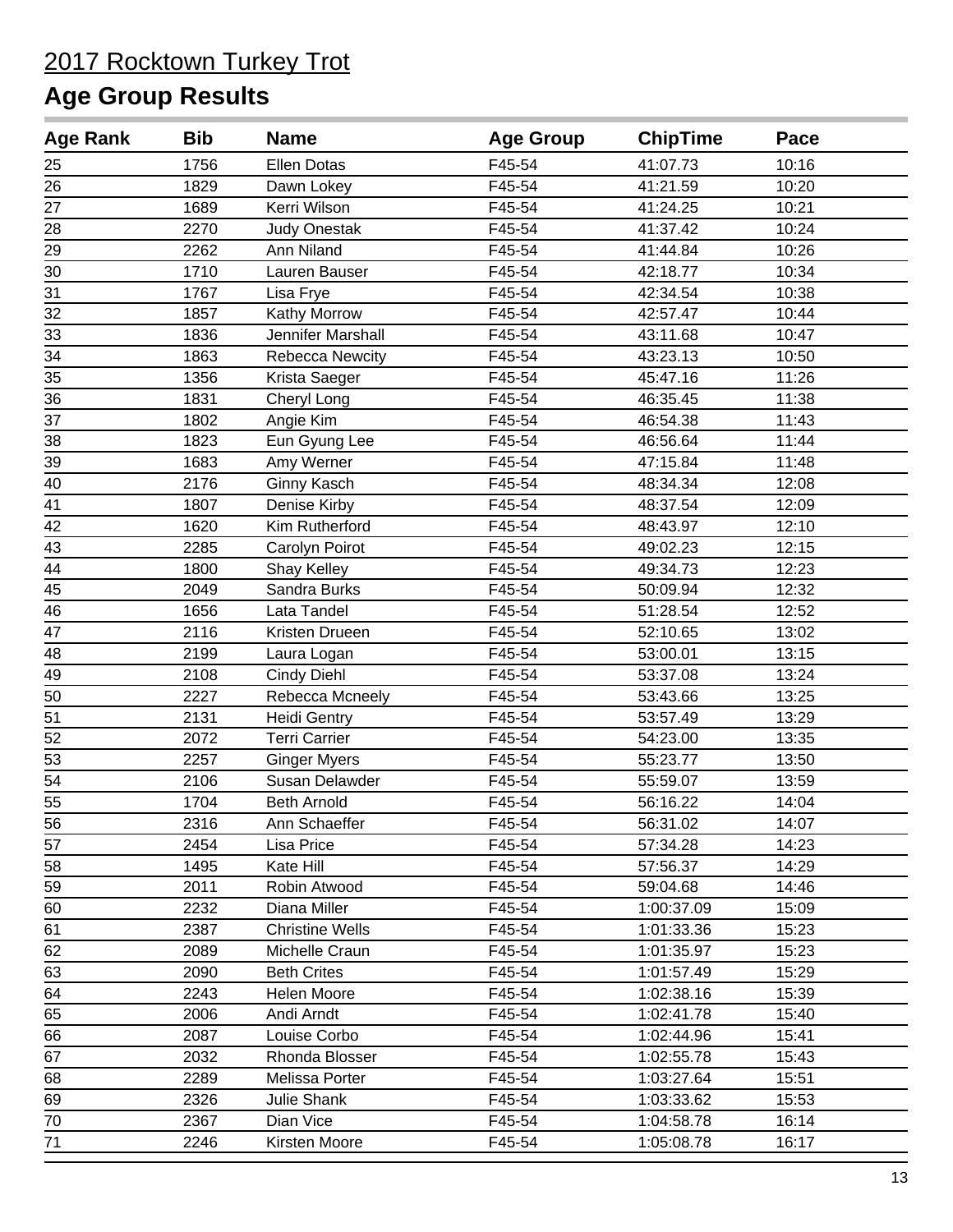| <b>Age Rank</b> | <b>Bib</b> | <b>Name</b>            | <b>Age Group</b> | <b>ChipTime</b> | Pace  |
|-----------------|------------|------------------------|------------------|-----------------|-------|
| 25              | 1756       | <b>Ellen Dotas</b>     | F45-54           | 41:07.73        | 10:16 |
| 26              | 1829       | Dawn Lokey             | F45-54           | 41:21.59        | 10:20 |
| 27              | 1689       | Kerri Wilson           | F45-54           | 41:24.25        | 10:21 |
| 28              | 2270       | <b>Judy Onestak</b>    | F45-54           | 41:37.42        | 10:24 |
| 29              | 2262       | Ann Niland             | F45-54           | 41:44.84        | 10:26 |
| 30              | 1710       | Lauren Bauser          | F45-54           | 42:18.77        | 10:34 |
| 31              | 1767       | Lisa Frye              | F45-54           | 42:34.54        | 10:38 |
| 32              | 1857       | Kathy Morrow           | F45-54           | 42:57.47        | 10:44 |
| 33              | 1836       | Jennifer Marshall      | F45-54           | 43:11.68        | 10:47 |
| 34              | 1863       | Rebecca Newcity        | F45-54           | 43:23.13        | 10:50 |
| 35              | 1356       | Krista Saeger          | F45-54           | 45:47.16        | 11:26 |
| 36              | 1831       | Cheryl Long            | F45-54           | 46:35.45        | 11:38 |
| 37              | 1802       | Angie Kim              | F45-54           | 46:54.38        | 11:43 |
| 38              | 1823       | Eun Gyung Lee          | F45-54           | 46:56.64        | 11:44 |
| 39              | 1683       | Amy Werner             | F45-54           | 47:15.84        | 11:48 |
| 40              | 2176       | Ginny Kasch            | F45-54           | 48:34.34        | 12:08 |
| 41              | 1807       | Denise Kirby           | F45-54           | 48:37.54        | 12:09 |
| 42              | 1620       | Kim Rutherford         | F45-54           | 48:43.97        | 12:10 |
| 43              | 2285       | Carolyn Poirot         | F45-54           | 49:02.23        | 12:15 |
| 44              | 1800       | Shay Kelley            | F45-54           | 49:34.73        | 12:23 |
| 45              | 2049       | Sandra Burks           | F45-54           | 50:09.94        | 12:32 |
| 46              | 1656       | Lata Tandel            | F45-54           | 51:28.54        | 12:52 |
| 47              | 2116       | Kristen Drueen         | F45-54           | 52:10.65        | 13:02 |
| 48              | 2199       | Laura Logan            | F45-54           | 53:00.01        | 13:15 |
| 49              | 2108       | <b>Cindy Diehl</b>     | F45-54           | 53:37.08        | 13:24 |
| 50              | 2227       | Rebecca Mcneely        | F45-54           | 53:43.66        | 13:25 |
| $\overline{51}$ | 2131       | <b>Heidi Gentry</b>    | F45-54           | 53:57.49        | 13:29 |
| 52              | 2072       | <b>Terri Carrier</b>   | F45-54           | 54:23.00        | 13:35 |
| 53              | 2257       | <b>Ginger Myers</b>    | F45-54           | 55:23.77        | 13:50 |
| 54              | 2106       | Susan Delawder         | F45-54           | 55:59.07        | 13:59 |
| 55              | 1704       | <b>Beth Arnold</b>     | F45-54           | 56:16.22        | 14:04 |
| 56              | 2316       | Ann Schaeffer          | F45-54           | 56:31.02        | 14:07 |
| 57              | 2454       | Lisa Price             | F45-54           | 57:34.28        | 14:23 |
| 58              | 1495       | Kate Hill              | F45-54           | 57:56.37        | 14:29 |
| 59              | 2011       | Robin Atwood           | F45-54           | 59:04.68        | 14:46 |
| 60              | 2232       | Diana Miller           | F45-54           | 1:00:37.09      | 15:09 |
| 61              | 2387       | <b>Christine Wells</b> | F45-54           | 1:01:33.36      | 15:23 |
| 62              | 2089       | Michelle Craun         | F45-54           | 1:01:35.97      | 15:23 |
| 63              | 2090       | <b>Beth Crites</b>     | F45-54           | 1:01:57.49      | 15:29 |
| 64              | 2243       | Helen Moore            | F45-54           | 1:02:38.16      | 15:39 |
| 65              | 2006       | Andi Arndt             | F45-54           | 1:02:41.78      | 15:40 |
| 66              | 2087       | Louise Corbo           | F45-54           | 1:02:44.96      | 15:41 |
| 67              | 2032       | Rhonda Blosser         | F45-54           | 1:02:55.78      | 15:43 |
| 68              | 2289       | Melissa Porter         | F45-54           | 1:03:27.64      | 15:51 |
| 69              | 2326       | Julie Shank            | F45-54           | 1:03:33.62      | 15:53 |
| 70              | 2367       | Dian Vice              | F45-54           | 1:04:58.78      | 16:14 |
| 71              | 2246       | Kirsten Moore          | F45-54           | 1:05:08.78      | 16:17 |
|                 |            |                        |                  |                 |       |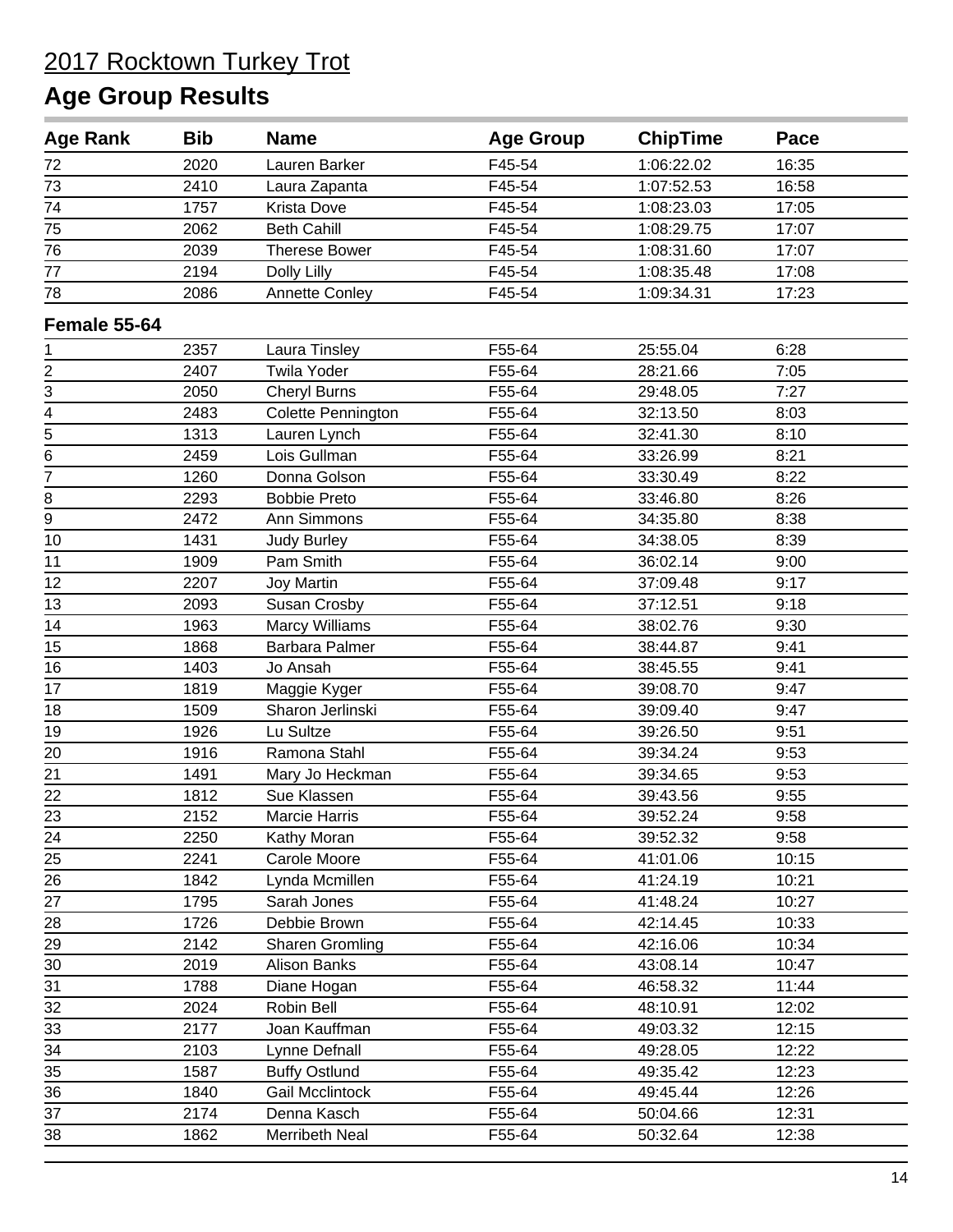| <b>Age Rank</b>                           | <b>Bib</b> | <b>Name</b>           | <b>Age Group</b> | <b>ChipTime</b> | Pace  |  |
|-------------------------------------------|------------|-----------------------|------------------|-----------------|-------|--|
| 72                                        | 2020       | Lauren Barker         | F45-54           | 1:06:22.02      | 16:35 |  |
| 73                                        | 2410       | Laura Zapanta         | F45-54           | 1:07:52.53      | 16:58 |  |
| 74                                        | 1757       | <b>Krista Dove</b>    | F45-54           | 1:08:23.03      | 17:05 |  |
| $\overline{75}$                           | 2062       | <b>Beth Cahill</b>    | F45-54           | 1:08:29.75      | 17:07 |  |
| 76                                        | 2039       | <b>Therese Bower</b>  | F45-54           | 1:08:31.60      | 17:07 |  |
| 77                                        | 2194       | Dolly Lilly           | F45-54           | 1:08:35.48      | 17:08 |  |
| 78                                        | 2086       | <b>Annette Conley</b> | F45-54           | 1:09:34.31      | 17:23 |  |
| Female 55-64                              |            |                       |                  |                 |       |  |
| 1                                         | 2357       | Laura Tinsley         | F55-64           | 25:55.04        | 6:28  |  |
|                                           | 2407       | <b>Twila Yoder</b>    | F55-64           | 28:21.66        | 7:05  |  |
|                                           | 2050       | <b>Cheryl Burns</b>   | F55-64           | 29:48.05        | 7:27  |  |
|                                           | 2483       | Colette Pennington    | F55-64           | 32:13.50        | 8:03  |  |
| $\frac{2}{3} - \frac{4}{5} - \frac{5}{6}$ | 1313       | Lauren Lynch          | F55-64           | 32:41.30        | 8:10  |  |
|                                           | 2459       | Lois Gullman          | F55-64           | 33:26.99        | 8:21  |  |
| $\overline{7}$                            | 1260       | Donna Golson          | F55-64           | 33:30.49        | 8:22  |  |
| 8                                         | 2293       | <b>Bobbie Preto</b>   | F55-64           | 33:46.80        | 8:26  |  |
| $\overline{9}$                            | 2472       | Ann Simmons           | F55-64           | 34:35.80        | 8:38  |  |
| 10                                        | 1431       | <b>Judy Burley</b>    | F55-64           | 34:38.05        | 8:39  |  |
| 11                                        | 1909       | Pam Smith             | F55-64           | 36:02.14        | 9:00  |  |
| 12                                        | 2207       | Joy Martin            | F55-64           | 37:09.48        | 9:17  |  |
| 13                                        | 2093       | Susan Crosby          | F55-64           | 37:12.51        | 9:18  |  |
| 14                                        | 1963       | <b>Marcy Williams</b> | F55-64           | 38:02.76        | 9:30  |  |
| 15                                        | 1868       | <b>Barbara Palmer</b> | F55-64           | 38:44.87        | 9:41  |  |
| 16                                        | 1403       | Jo Ansah              | F55-64           | 38:45.55        | 9:41  |  |
| 17                                        | 1819       | Maggie Kyger          | F55-64           | 39:08.70        | 9:47  |  |
| 18                                        | 1509       | Sharon Jerlinski      | F55-64           | 39:09.40        | 9:47  |  |
| 19                                        | 1926       | Lu Sultze             | F55-64           | 39:26.50        | 9:51  |  |
| 20                                        | 1916       | Ramona Stahl          | F55-64           | 39:34.24        | 9:53  |  |
| 21                                        | 1491       | Mary Jo Heckman       | F55-64           | 39:34.65        | 9:53  |  |
| 22                                        | 1812       | Sue Klassen           | F55-64           | 39:43.56        | 9:55  |  |
| 23                                        | 2152       | Marcie Harris         | F55-64           | 39:52.24        | 9:58  |  |
| $\frac{24}{1}$                            | 2250       | Kathy Moran           | F55-64           | 39:52.32        | 9:58  |  |
| 25                                        | 2241       | Carole Moore          | F55-64           | 41:01.06        | 10:15 |  |
| $\overline{26}$                           | 1842       | Lynda Mcmillen        | F55-64           | 41:24.19        | 10:21 |  |
| 27                                        | 1795       | Sarah Jones           | F55-64           | 41:48.24        | 10:27 |  |
| 28                                        | 1726       | Debbie Brown          | F55-64           | 42:14.45        | 10:33 |  |
| 29                                        | 2142       | Sharen Gromling       | F55-64           | 42:16.06        | 10:34 |  |
| $30\,$                                    | 2019       | Alison Banks          | F55-64           | 43:08.14        | 10:47 |  |
| 31                                        | 1788       | Diane Hogan           | F55-64           | 46:58.32        | 11:44 |  |
| 32                                        | 2024       | Robin Bell            | F55-64           | 48:10.91        | 12:02 |  |
| 33                                        | 2177       | Joan Kauffman         | F55-64           | 49:03.32        | 12:15 |  |
| $\overline{34}$                           | 2103       | Lynne Defnall         | F55-64           | 49:28.05        | 12:22 |  |
| $\overline{35}$                           | 1587       | <b>Buffy Ostlund</b>  | F55-64           | 49:35.42        | 12:23 |  |
| 36                                        | 1840       | Gail Mcclintock       | F55-64           | 49:45.44        | 12:26 |  |
| 37                                        | 2174       | Denna Kasch           | F55-64           | 50:04.66        | 12:31 |  |
| 38                                        | 1862       | Merribeth Neal        | F55-64           | 50:32.64        | 12:38 |  |
|                                           |            |                       |                  |                 |       |  |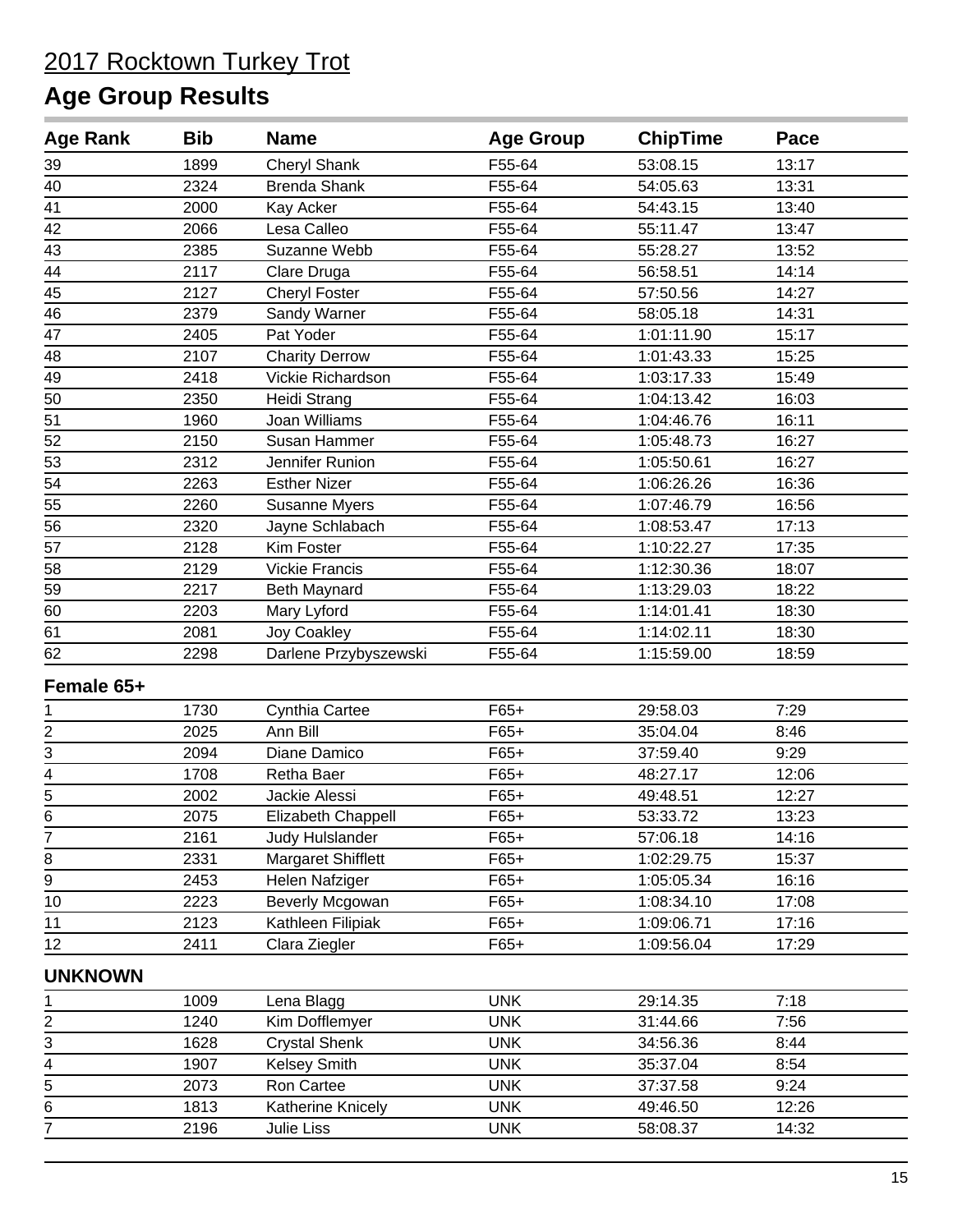| <b>Age Rank</b>             | <b>Bib</b> | <b>Name</b>           | <b>Age Group</b> | <b>ChipTime</b> | Pace  |
|-----------------------------|------------|-----------------------|------------------|-----------------|-------|
| 39                          | 1899       | Cheryl Shank          | F55-64           | 53:08.15        | 13:17 |
| 40                          | 2324       | <b>Brenda Shank</b>   | F55-64           | 54:05.63        | 13:31 |
| 41                          | 2000       | Kay Acker             | F55-64           | 54:43.15        | 13:40 |
| 42                          | 2066       | Lesa Calleo           | F55-64           | 55:11.47        | 13:47 |
| 43                          | 2385       | Suzanne Webb          | F55-64           | 55:28.27        | 13:52 |
| 44                          | 2117       | Clare Druga           | F55-64           | 56:58.51        | 14:14 |
| 45                          | 2127       | Cheryl Foster         | F55-64           | 57:50.56        | 14:27 |
| $\overline{46}$             | 2379       | Sandy Warner          | F55-64           | 58:05.18        | 14:31 |
| 47                          | 2405       | Pat Yoder             | F55-64           | 1:01:11.90      | 15:17 |
| 48                          | 2107       | <b>Charity Derrow</b> | F55-64           | 1:01:43.33      | 15:25 |
| 49                          | 2418       | Vickie Richardson     | F55-64           | 1:03:17.33      | 15:49 |
| 50                          | 2350       | Heidi Strang          | F55-64           | 1:04:13.42      | 16:03 |
| 51                          | 1960       | Joan Williams         | F55-64           | 1:04:46.76      | 16:11 |
| 52                          | 2150       | Susan Hammer          | F55-64           | 1:05:48.73      | 16:27 |
| 53                          | 2312       | Jennifer Runion       | F55-64           | 1:05:50.61      | 16:27 |
| $\overline{54}$             | 2263       | <b>Esther Nizer</b>   | F55-64           | 1:06:26.26      | 16:36 |
| 55                          | 2260       | <b>Susanne Myers</b>  | F55-64           | 1:07:46.79      | 16:56 |
| 56                          | 2320       | Jayne Schlabach       | F55-64           | 1:08:53.47      | 17:13 |
| 57                          | 2128       | Kim Foster            | F55-64           | 1:10:22.27      | 17:35 |
| 58                          | 2129       | <b>Vickie Francis</b> | F55-64           | 1:12:30.36      | 18:07 |
| 59                          | 2217       | Beth Maynard          | F55-64           | 1:13:29.03      | 18:22 |
| 60                          | 2203       | Mary Lyford           | F55-64           | 1:14:01.41      | 18:30 |
| 61                          | 2081       | <b>Joy Coakley</b>    | F55-64           | 1:14:02.11      | 18:30 |
| 62                          | 2298       | Darlene Przybyszewski | F55-64           | 1:15:59.00      | 18:59 |
| Female 65+                  |            |                       |                  |                 |       |
| 1                           | 1730       | Cynthia Cartee        | $F65+$           | 29:58.03        | 7:29  |
|                             | 2025       | Ann Bill              | $F65+$           | 35:04.04        | 8:46  |
| $\frac{2}{3}$               | 2094       | Diane Damico          | $F65+$           | 37:59.40        | 9:29  |
| $\overline{\mathcal{A}}$    | 1708       | Retha Baer            | $F65+$           | 48:27.17        | 12:06 |
| $\frac{5}{6}$               | 2002       | Jackie Alessi         | $F65+$           | 49:48.51        | 12:27 |
|                             | 2075       | Elizabeth Chappell    | $F65+$           | 53:33.72        | 13:23 |
| 7                           | 2161       | Judy Hulslander       | $F65+$           | 57:06.18        | 14:16 |
| 8                           | 2331       | Margaret Shifflett    | $F65+$           | 1:02:29.75      | 15:37 |
| $\overline{9}$              | 2453       | Helen Nafziger        | $F65+$           | 1:05:05.34      | 16:16 |
| $10$                        | 2223       | Beverly Mcgowan       | $F65+$           | 1:08:34.10      | 17:08 |
| 11                          | 2123       | Kathleen Filipiak     | $F65+$           | 1:09:06.71      | 17:16 |
| 12                          | 2411       | Clara Ziegler         | $F65+$           | 1:09:56.04      | 17:29 |
| <b>UNKNOWN</b>              |            |                       |                  |                 |       |
| 1                           | 1009       | Lena Blagg            | <b>UNK</b>       | 29:14.35        | 7:18  |
| $\overline{2}$              | 1240       | Kim Dofflemyer        | <b>UNK</b>       | 31:44.66        | 7:56  |
| $\overline{3}$              | 1628       | <b>Crystal Shenk</b>  | <b>UNK</b>       | 34:56.36        | 8:44  |
|                             | 1907       | Kelsey Smith          | <b>UNK</b>       | 35:37.04        | 8:54  |
| $\frac{4}{5}$ $\frac{6}{7}$ | 2073       | Ron Cartee            | <b>UNK</b>       | 37:37.58        | 9:24  |
|                             | 1813       | Katherine Knicely     | <b>UNK</b>       | 49:46.50        | 12:26 |
|                             | 2196       | Julie Liss            | <b>UNK</b>       | 58:08.37        | 14:32 |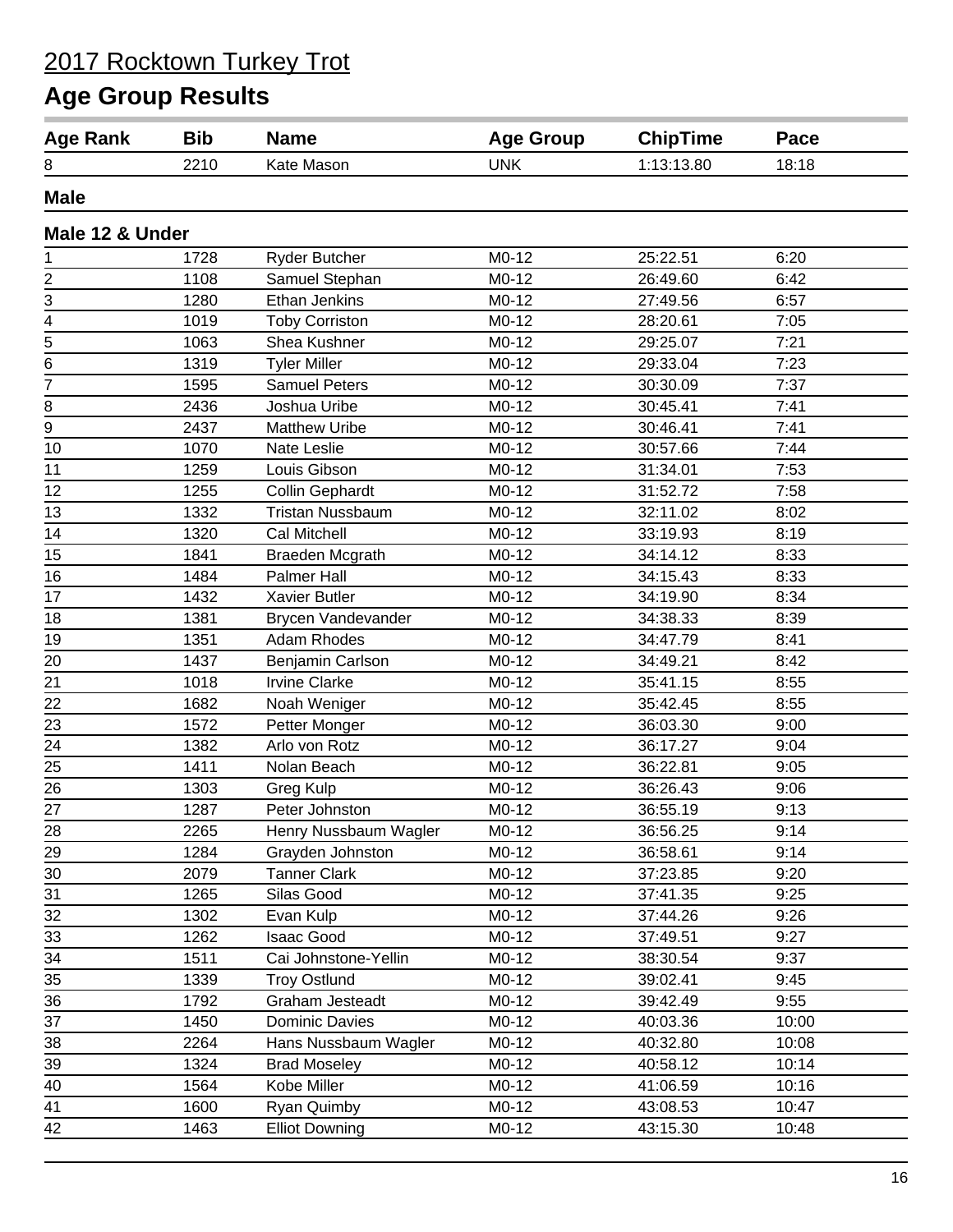| <b>Age Rank</b> | <b>Bib</b> | <b>Name</b>             | <b>Age Group</b> | <b>ChipTime</b> | Pace  |
|-----------------|------------|-------------------------|------------------|-----------------|-------|
| 8               | 2210       | Kate Mason              | <b>UNK</b>       | 1:13:13.80      | 18:18 |
| <b>Male</b>     |            |                         |                  |                 |       |
| Male 12 & Under |            |                         |                  |                 |       |
| 1               | 1728       | <b>Ryder Butcher</b>    | $M0-12$          | 25:22.51        | 6:20  |
|                 | 1108       | Samuel Stephan          | $M0-12$          | 26:49.60        | 6:42  |
| $\frac{2}{3}$   | 1280       | Ethan Jenkins           | $M0-12$          | 27:49.56        | 6:57  |
| $\frac{4}{5}$   | 1019       | <b>Toby Corriston</b>   | M0-12            | 28:20.61        | 7:05  |
|                 | 1063       | Shea Kushner            | $M0-12$          | 29:25.07        | 7:21  |
| 6               | 1319       | <b>Tyler Miller</b>     | $M0-12$          | 29:33.04        | 7:23  |
| 7               | 1595       | <b>Samuel Peters</b>    | M0-12            | 30:30.09        | 7:37  |
| 8               | 2436       | Joshua Uribe            | $M0-12$          | 30:45.41        | 7:41  |
| 9               | 2437       | <b>Matthew Uribe</b>    | $M0-12$          | 30:46.41        | 7:41  |
| 10              | 1070       | Nate Leslie             | $M0-12$          | 30:57.66        | 7:44  |
| 11              | 1259       | Louis Gibson            | M0-12            | 31:34.01        | 7:53  |
| 12              | 1255       | <b>Collin Gephardt</b>  | M0-12            | 31:52.72        | 7:58  |
| 13              | 1332       | <b>Tristan Nussbaum</b> | $M0-12$          | 32:11.02        | 8:02  |
| 14              | 1320       | <b>Cal Mitchell</b>     | $M0-12$          | 33:19.93        | 8:19  |
| 15              | 1841       | <b>Braeden Mcgrath</b>  | $M0-12$          | 34:14.12        | 8:33  |
| 16              | 1484       | <b>Palmer Hall</b>      | $M0-12$          | 34:15.43        | 8:33  |
| 17              | 1432       | <b>Xavier Butler</b>    | $M0-12$          | 34:19.90        | 8:34  |
| 18              | 1381       | Brycen Vandevander      | $M0-12$          | 34:38.33        | 8:39  |
| 19              | 1351       | <b>Adam Rhodes</b>      | $M0-12$          | 34:47.79        | 8:41  |
| 20              | 1437       | Benjamin Carlson        | $M0-12$          | 34:49.21        | 8:42  |
| 21              | 1018       | <b>Irvine Clarke</b>    | $M0-12$          | 35:41.15        | 8:55  |
| 22              | 1682       | Noah Weniger            | $M0-12$          | 35:42.45        | 8:55  |
| 23              | 1572       | Petter Monger           | $M0-12$          | 36:03.30        | 9:00  |
| 24              | 1382       | Arlo von Rotz           | $M0-12$          | 36:17.27        | 9:04  |
| 25              | 1411       | Nolan Beach             | M0-12            | 36:22.81        | 9:05  |
| 26              | 1303       | Greg Kulp               | $M0-12$          | 36:26.43        | 9:06  |
| 27              | 1287       | Peter Johnston          | $M0-12$          | 36:55.19        | 9:13  |
|                 | 2265       |                         | M0-12            |                 | 9:14  |
| 28<br>29        | 1284       | Henry Nussbaum Wagler   | M0-12            | 36:56.25        | 9:14  |
|                 |            | Grayden Johnston        | $M0-12$          | 36:58.61        |       |
| 30              | 2079       | <b>Tanner Clark</b>     |                  | 37:23.85        | 9:20  |
| 31              | 1265       | Silas Good              | M0-12            | 37:41.35        | 9:25  |
| 32              | 1302       | Evan Kulp               | M0-12            | 37:44.26        | 9:26  |
| 33              | 1262       | <b>Isaac Good</b>       | M0-12            | 37:49.51        | 9:27  |
| 34              | 1511       | Cai Johnstone-Yellin    | M0-12            | 38:30.54        | 9:37  |
| 35              | 1339       | <b>Troy Ostlund</b>     | $M0-12$          | 39:02.41        | 9:45  |
| 36              | 1792       | Graham Jesteadt         | M0-12            | 39:42.49        | 9:55  |
| 37              | 1450       | Dominic Davies          | M0-12            | 40:03.36        | 10:00 |
| 38              | 2264       | Hans Nussbaum Wagler    | M0-12            | 40:32.80        | 10:08 |
| 39              | 1324       | <b>Brad Moseley</b>     | M0-12            | 40:58.12        | 10:14 |
| 40              | 1564       | Kobe Miller             | M0-12            | 41:06.59        | 10:16 |
| 41              | 1600       | Ryan Quimby             | M0-12            | 43:08.53        | 10:47 |
| 42              | 1463       | <b>Elliot Downing</b>   | M0-12            | 43:15.30        | 10:48 |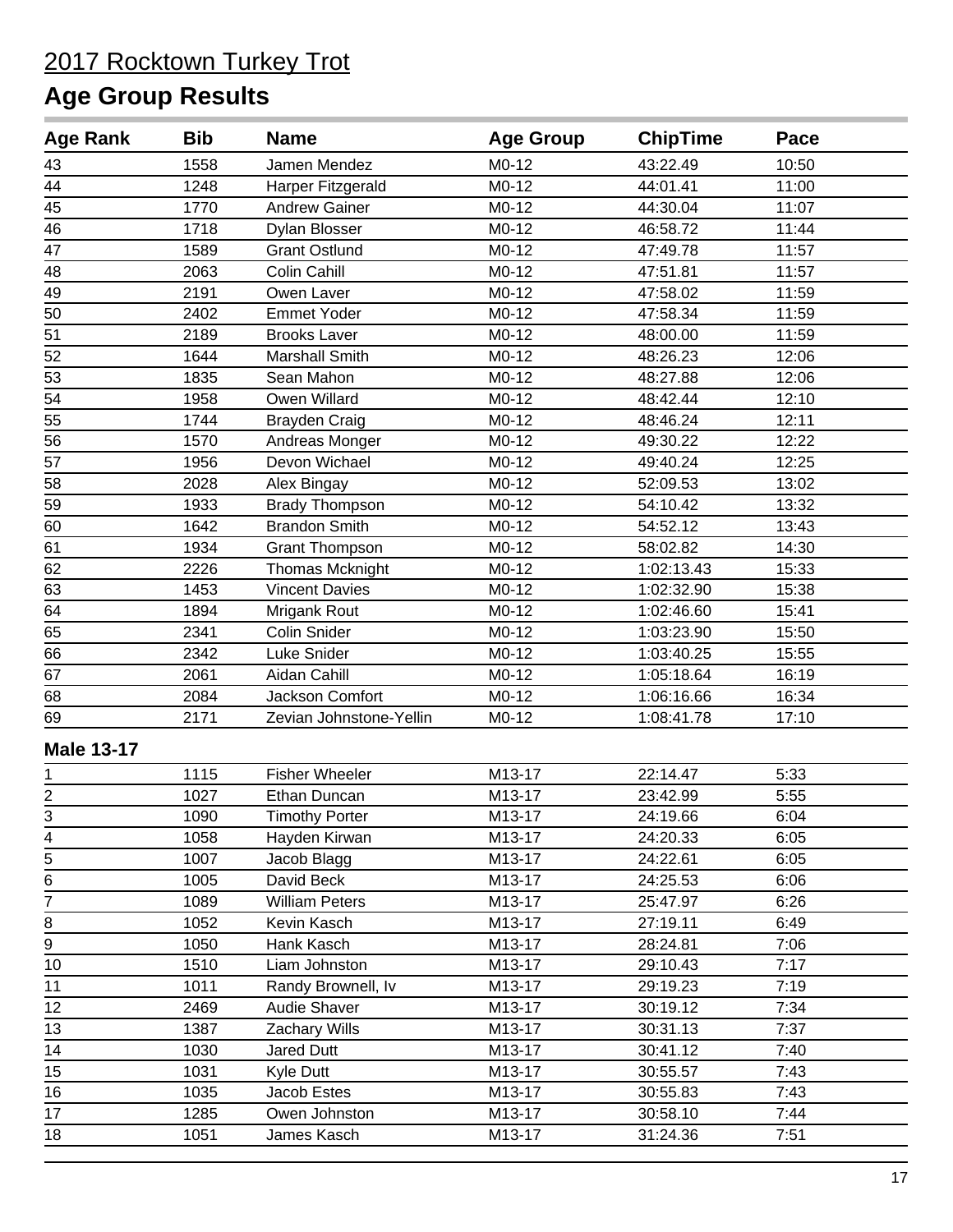| <b>Age Rank</b>             | <b>Bib</b> | <b>Name</b>             | <b>Age Group</b> | <b>ChipTime</b> | Pace  |  |
|-----------------------------|------------|-------------------------|------------------|-----------------|-------|--|
| 43                          | 1558       | Jamen Mendez            | $M0-12$          | 43:22.49        | 10:50 |  |
| $\frac{44}{1}$              | 1248       | Harper Fitzgerald       | $M0-12$          | 44:01.41        | 11:00 |  |
| 45                          | 1770       | <b>Andrew Gainer</b>    | $M0-12$          | 44:30.04        | 11:07 |  |
| 46                          | 1718       | <b>Dylan Blosser</b>    | $M0-12$          | 46:58.72        | 11:44 |  |
| $\overline{47}$             | 1589       | <b>Grant Ostlund</b>    | M0-12            | 47:49.78        | 11:57 |  |
| 48                          | 2063       | Colin Cahill            | $M0-12$          | 47:51.81        | 11:57 |  |
| 49                          | 2191       | Owen Laver              | $M0-12$          | 47:58.02        | 11:59 |  |
| 50                          | 2402       | <b>Emmet Yoder</b>      | M0-12            | 47:58.34        | 11:59 |  |
| 51                          | 2189       | <b>Brooks Laver</b>     | M0-12            | 48:00.00        | 11:59 |  |
| 52                          | 1644       | <b>Marshall Smith</b>   | $M0-12$          | 48:26.23        | 12:06 |  |
| 53                          | 1835       | Sean Mahon              | $M0-12$          | 48:27.88        | 12:06 |  |
| 54                          | 1958       | Owen Willard            | M0-12            | 48:42.44        | 12:10 |  |
| 55                          | 1744       | <b>Brayden Craig</b>    | $M0-12$          | 48:46.24        | 12:11 |  |
| $\overline{56}$             | 1570       | Andreas Monger          | M0-12            | 49:30.22        | 12:22 |  |
| 57                          | 1956       | Devon Wichael           | M0-12            | 49:40.24        | 12:25 |  |
| 58                          | 2028       | Alex Bingay             | M0-12            | 52:09.53        | 13:02 |  |
| 59                          | 1933       | <b>Brady Thompson</b>   | $M0-12$          | 54:10.42        | 13:32 |  |
| 60                          | 1642       | <b>Brandon Smith</b>    | $M0-12$          | 54:52.12        | 13:43 |  |
| 61                          | 1934       | <b>Grant Thompson</b>   | M0-12            | 58:02.82        | 14:30 |  |
| 62                          | 2226       | Thomas Mcknight         | $M0-12$          | 1:02:13.43      | 15:33 |  |
| 63                          | 1453       | <b>Vincent Davies</b>   | $M0-12$          | 1:02:32.90      | 15:38 |  |
| 64                          | 1894       | Mrigank Rout            | M0-12            | 1:02:46.60      | 15:41 |  |
| 65                          | 2341       | Colin Snider            | M0-12            | 1:03:23.90      | 15:50 |  |
| 66                          | 2342       | Luke Snider             | $M0-12$          | 1:03:40.25      | 15:55 |  |
| 67                          | 2061       | Aidan Cahill            | M0-12            | 1:05:18.64      | 16:19 |  |
| 68                          | 2084       | Jackson Comfort         | M0-12            | 1:06:16.66      | 16:34 |  |
| 69                          | 2171       | Zevian Johnstone-Yellin | M0-12            | 1:08:41.78      | 17:10 |  |
| <b>Male 13-17</b>           |            |                         |                  |                 |       |  |
| 1                           | 1115       | <b>Fisher Wheeler</b>   | M13-17           | 22:14.47        | 5:33  |  |
|                             | 1027       | Ethan Duncan            | M13-17           | 23:42.99        | 5:55  |  |
| $\frac{2}{3}$               | 1090       | <b>Timothy Porter</b>   | M13-17           | 24:19.66        | 6:04  |  |
|                             | 1058       | Hayden Kirwan           | M13-17           | 24:20.33        | 6:05  |  |
| $\frac{4}{5}$ $\frac{5}{6}$ | 1007       | Jacob Blagg             | M13-17           | 24:22.61        | 6:05  |  |
|                             | 1005       | David Beck              | M13-17           | 24:25.53        | 6:06  |  |
| $\overline{7}$              | 1089       | <b>William Peters</b>   | M13-17           | 25:47.97        | 6:26  |  |
| $\bf 8$                     | 1052       | Kevin Kasch             | M13-17           | 27:19.11        | 6:49  |  |
| 9                           | 1050       | Hank Kasch              | M13-17           | 28:24.81        | 7:06  |  |
| 10                          | 1510       | Liam Johnston           | M13-17           | 29:10.43        | 7:17  |  |
| 11                          | 1011       | Randy Brownell, Iv      | M13-17           | 29:19.23        | 7:19  |  |
| 12                          | 2469       | <b>Audie Shaver</b>     | M13-17           | 30:19.12        | 7:34  |  |
| 13                          | 1387       | Zachary Wills           | M13-17           | 30:31.13        | 7:37  |  |
| 14                          | 1030       | Jared Dutt              | M13-17           | 30:41.12        | 7:40  |  |
| $\overline{15}$             | 1031       | Kyle Dutt               | M13-17           | 30:55.57        | 7:43  |  |
| 16                          | 1035       | Jacob Estes             | M13-17           | 30:55.83        | 7:43  |  |
| 17                          | 1285       | Owen Johnston           | M13-17           | 30:58.10        | 7:44  |  |
| 18                          | 1051       | James Kasch             | M13-17           | 31:24.36        | 7:51  |  |
|                             |            |                         |                  |                 |       |  |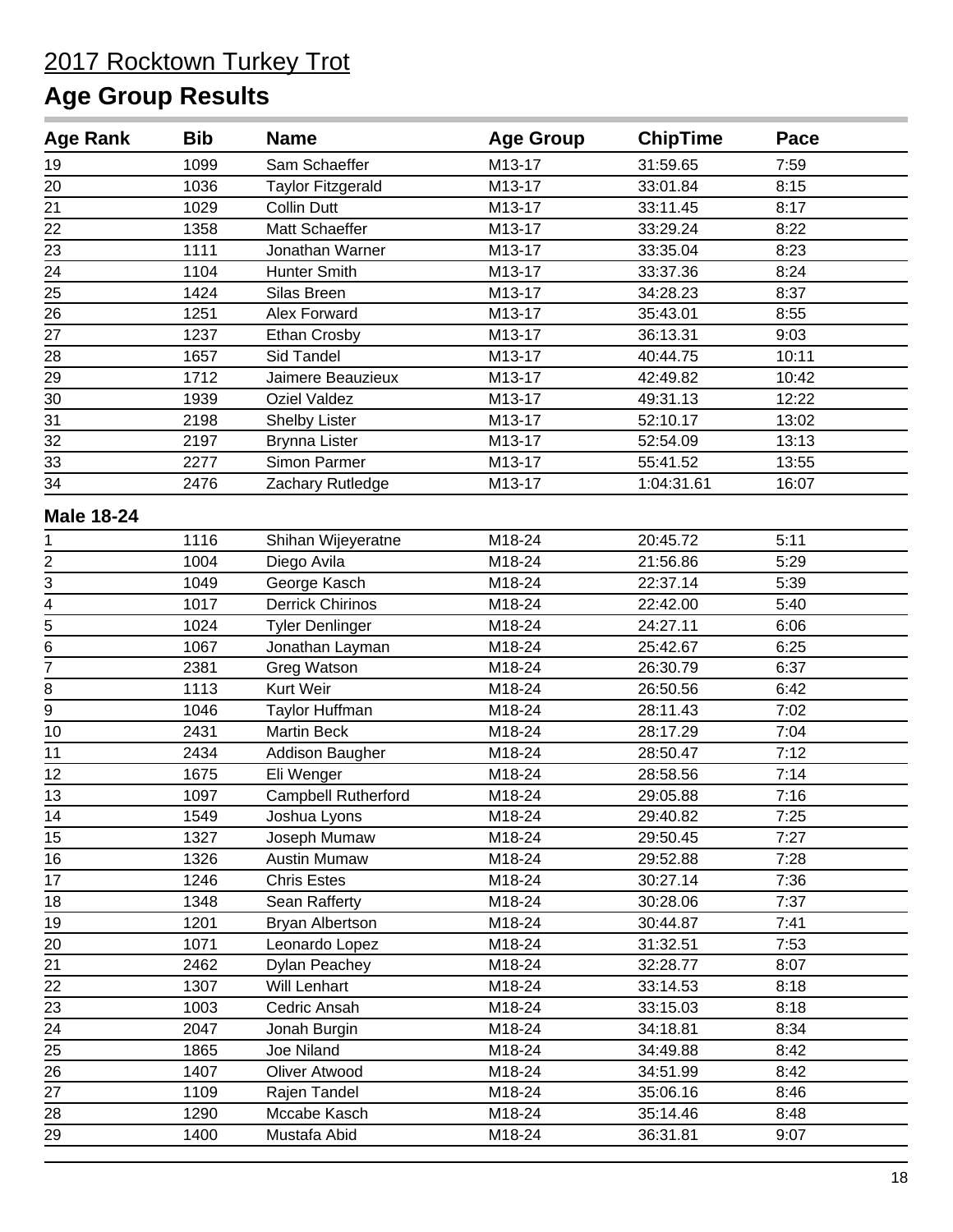| <b>Age Rank</b>                           | <b>Bib</b> | <b>Name</b>                | <b>Age Group</b> | <b>ChipTime</b> | Pace  |  |
|-------------------------------------------|------------|----------------------------|------------------|-----------------|-------|--|
| 19                                        | 1099       | Sam Schaeffer              | M13-17           | 31:59.65        | 7:59  |  |
| 20                                        | 1036       | <b>Taylor Fitzgerald</b>   | M13-17           | 33:01.84        | 8:15  |  |
| 21                                        | 1029       | <b>Collin Dutt</b>         | M13-17           | 33:11.45        | 8:17  |  |
| 22                                        | 1358       | Matt Schaeffer             | M13-17           | 33:29.24        | 8:22  |  |
| 23                                        | 1111       | Jonathan Warner            | M13-17           | 33:35.04        | 8:23  |  |
| 24                                        | 1104       | <b>Hunter Smith</b>        | M13-17           | 33:37.36        | 8:24  |  |
| 25                                        | 1424       | Silas Breen                | M13-17           | 34:28.23        | 8:37  |  |
| 26                                        | 1251       | Alex Forward               | M13-17           | 35:43.01        | 8:55  |  |
| 27                                        | 1237       | Ethan Crosby               | M13-17           | 36:13.31        | 9:03  |  |
| 28                                        | 1657       | Sid Tandel                 | M13-17           | 40:44.75        | 10:11 |  |
| 29                                        | 1712       | Jaimere Beauzieux          | M13-17           | 42:49.82        | 10:42 |  |
| 30                                        | 1939       | <b>Oziel Valdez</b>        | M13-17           | 49:31.13        | 12:22 |  |
| 31                                        | 2198       | Shelby Lister              | M13-17           | 52:10.17        | 13:02 |  |
| 32                                        | 2197       | <b>Brynna Lister</b>       | M13-17           | 52:54.09        | 13:13 |  |
| 33                                        | 2277       | Simon Parmer               | M13-17           | 55:41.52        | 13:55 |  |
| 34                                        | 2476       | Zachary Rutledge           | M13-17           | 1:04:31.61      | 16:07 |  |
| <b>Male 18-24</b>                         |            |                            |                  |                 |       |  |
| 1                                         | 1116       | Shihan Wijeyeratne         | M18-24           | 20:45.72        | 5:11  |  |
| $\overline{c}$                            | 1004       | Diego Avila                | M18-24           | 21:56.86        | 5:29  |  |
|                                           | 1049       | George Kasch               | M18-24           | 22:37.14        | 5:39  |  |
|                                           | 1017       | <b>Derrick Chirinos</b>    | M18-24           | 22:42.00        | 5:40  |  |
| $\frac{3}{4} - \frac{4}{5} - \frac{6}{6}$ | 1024       | <b>Tyler Denlinger</b>     | M18-24           | 24:27.11        | 6:06  |  |
|                                           | 1067       | Jonathan Layman            | M18-24           | 25:42.67        | 6:25  |  |
| $\overline{7}$                            | 2381       | Greg Watson                | M18-24           | 26:30.79        | 6:37  |  |
| 8                                         | 1113       | Kurt Weir                  | M18-24           | 26:50.56        | 6:42  |  |
| $\overline{9}$                            | 1046       | Taylor Huffman             | M18-24           | 28:11.43        | 7:02  |  |
| 10                                        | 2431       | <b>Martin Beck</b>         | M18-24           | 28:17.29        | 7:04  |  |
| 11                                        | 2434       | Addison Baugher            | M18-24           | 28:50.47        | 7:12  |  |
| 12                                        | 1675       | Eli Wenger                 | M18-24           | 28:58.56        | 7:14  |  |
| 13                                        | 1097       | <b>Campbell Rutherford</b> | M18-24           | 29:05.88        | 7:16  |  |
| 14                                        | 1549       | Joshua Lyons               | M18-24           | 29:40.82        | 7:25  |  |
| 15                                        | 1327       | Joseph Mumaw               | M18-24           | 29:50.45        | 7:27  |  |
| 16                                        | 1326       | <b>Austin Mumaw</b>        | M18-24           | 29:52.88        | 7:28  |  |
| 17                                        | 1246       | <b>Chris Estes</b>         | M18-24           | 30:27.14        | 7:36  |  |
| 18                                        | 1348       | Sean Rafferty              | M18-24           | 30:28.06        | 7:37  |  |
| 19                                        | 1201       | Bryan Albertson            | M18-24           | 30:44.87        | 7:41  |  |
| 20                                        | 1071       | Leonardo Lopez             | M18-24           | 31:32.51        | 7:53  |  |
| 21                                        | 2462       | Dylan Peachey              | M18-24           | 32:28.77        | 8:07  |  |
| 22                                        | 1307       | Will Lenhart               | M18-24           | 33:14.53        | 8:18  |  |
| 23                                        | 1003       | Cedric Ansah               | M18-24           | 33:15.03        | 8:18  |  |
| 24                                        | 2047       | Jonah Burgin               | M18-24           | 34:18.81        | 8:34  |  |
| 25                                        | 1865       | Joe Niland                 | M18-24           | 34:49.88        | 8:42  |  |
| 26                                        | 1407       | Oliver Atwood              | M18-24           | 34:51.99        | 8:42  |  |
| 27                                        | 1109       | Rajen Tandel               | M18-24           | 35:06.16        | 8:46  |  |
| 28                                        | 1290       | Mccabe Kasch               | M18-24           | 35:14.46        | 8:48  |  |
| 29                                        | 1400       | Mustafa Abid               | M18-24           | 36:31.81        | 9:07  |  |
|                                           |            |                            |                  |                 |       |  |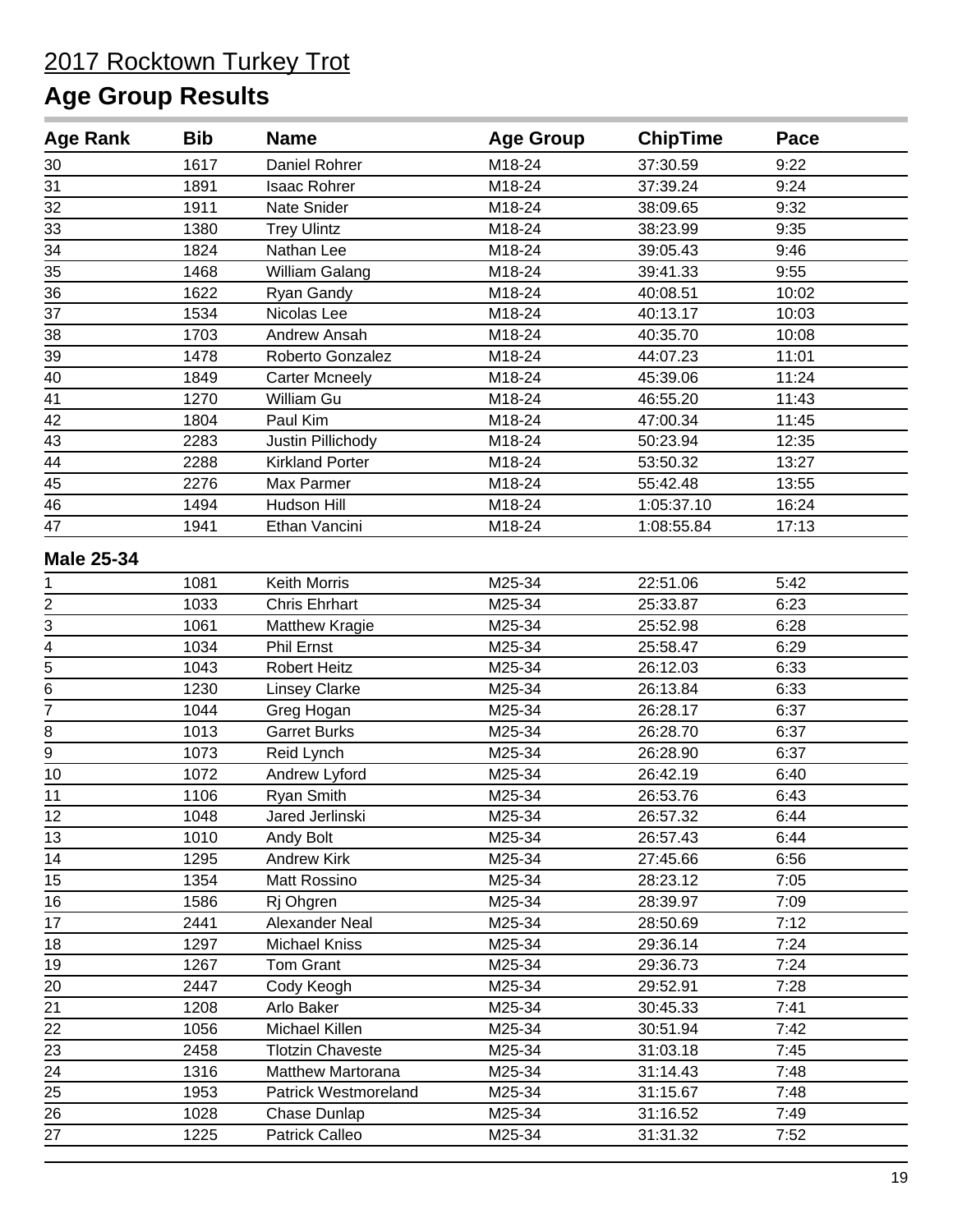| <b>Age Rank</b>   | <b>Bib</b> | <b>Name</b>                 | <b>Age Group</b> | <b>ChipTime</b> | Pace  |  |
|-------------------|------------|-----------------------------|------------------|-----------------|-------|--|
| 30                | 1617       | Daniel Rohrer               | M18-24           | 37:30.59        | 9:22  |  |
| 31                | 1891       | <b>Isaac Rohrer</b>         | M18-24           | 37:39.24        | 9:24  |  |
| 32                | 1911       | Nate Snider                 | M18-24           | 38:09.65        | 9:32  |  |
| 33                | 1380       | <b>Trey Ulintz</b>          | M18-24           | 38:23.99        | 9:35  |  |
| 34                | 1824       | Nathan Lee                  | M18-24           | 39:05.43        | 9:46  |  |
| 35                | 1468       | William Galang              | M18-24           | 39:41.33        | 9:55  |  |
| 36                | 1622       | Ryan Gandy                  | M18-24           | 40:08.51        | 10:02 |  |
| 37                | 1534       | Nicolas Lee                 | M18-24           | 40:13.17        | 10:03 |  |
| 38                | 1703       | Andrew Ansah                | M18-24           | 40:35.70        | 10:08 |  |
| 39                | 1478       | Roberto Gonzalez            | M18-24           | 44:07.23        | 11:01 |  |
| 40                | 1849       | <b>Carter Mcneely</b>       | M18-24           | 45:39.06        | 11:24 |  |
| $\overline{41}$   | 1270       | William Gu                  | M18-24           | 46:55.20        | 11:43 |  |
| 42                | 1804       | Paul Kim                    | M18-24           | 47:00.34        | 11:45 |  |
| 43                | 2283       | Justin Pillichody           | M18-24           | 50:23.94        | 12:35 |  |
| 44                | 2288       | <b>Kirkland Porter</b>      | M18-24           | 53:50.32        | 13:27 |  |
| 45                | 2276       | Max Parmer                  | M18-24           | 55:42.48        | 13:55 |  |
| 46                | 1494       | Hudson Hill                 | M18-24           | 1:05:37.10      | 16:24 |  |
| 47                | 1941       | Ethan Vancini               | M18-24           | 1:08:55.84      | 17:13 |  |
| <b>Male 25-34</b> |            |                             |                  |                 |       |  |
| 1                 | 1081       | Keith Morris                | M25-34           | 22:51.06        | 5:42  |  |
| $\frac{2}{3}$     | 1033       | <b>Chris Ehrhart</b>        | M25-34           | 25:33.87        | 6:23  |  |
|                   | 1061       | <b>Matthew Kragie</b>       | M25-34           | 25:52.98        | 6:28  |  |
| $\overline{4}$    | 1034       | Phil Ernst                  | M25-34           | 25:58.47        | 6:29  |  |
| $\overline{5}$    | 1043       | <b>Robert Heitz</b>         | M25-34           | 26:12.03        | 6:33  |  |
| $\overline{6}$    | 1230       | <b>Linsey Clarke</b>        | M25-34           | 26:13.84        | 6:33  |  |
| $\overline{7}$    | 1044       | Greg Hogan                  | M25-34           | 26:28.17        | 6:37  |  |
| 8                 | 1013       | <b>Garret Burks</b>         | M25-34           | 26:28.70        | 6:37  |  |
| 9                 | 1073       | Reid Lynch                  | M25-34           | 26:28.90        | 6:37  |  |
| 10                | 1072       | Andrew Lyford               | M25-34           | 26:42.19        | 6:40  |  |
| 11                | 1106       | Ryan Smith                  | M25-34           | 26:53.76        | 6:43  |  |
| 12                | 1048       | Jared Jerlinski             | M25-34           | 26:57.32        | 6:44  |  |
| 13                | 1010       | Andy Bolt                   | M25-34           | 26:57.43        | 6:44  |  |
| 14                | 1295       | <b>Andrew Kirk</b>          | M25-34           | 27:45.66        | 6:56  |  |
| 15                | 1354       | Matt Rossino                | M25-34           | 28:23.12        | 7:05  |  |
| 16                | 1586       | Rj Ohgren                   | M25-34           | 28:39.97        | 7:09  |  |
| 17                | 2441       | Alexander Neal              | M25-34           | 28:50.69        | 7:12  |  |
| 18                | 1297       | <b>Michael Kniss</b>        | M25-34           | 29:36.14        | 7:24  |  |
| 19                | 1267       | Tom Grant                   | M25-34           | 29:36.73        | 7:24  |  |
| 20                | 2447       | Cody Keogh                  | M25-34           | 29:52.91        | 7:28  |  |
| 21                | 1208       | Arlo Baker                  | M25-34           | 30:45.33        | 7:41  |  |
| 22                | 1056       | Michael Killen              | M25-34           | 30:51.94        | 7:42  |  |
| $\overline{23}$   | 2458       | <b>Tlotzin Chaveste</b>     | M25-34           | 31:03.18        | 7:45  |  |
| 24                | 1316       | <b>Matthew Martorana</b>    | M25-34           | 31:14.43        | 7:48  |  |
| 25                | 1953       | <b>Patrick Westmoreland</b> | M25-34           | 31:15.67        | 7:48  |  |
| 26                | 1028       | Chase Dunlap                | M25-34           | 31:16.52        | 7:49  |  |
| 27                | 1225       | Patrick Calleo              | M25-34           | 31:31.32        | 7:52  |  |
|                   |            |                             |                  |                 |       |  |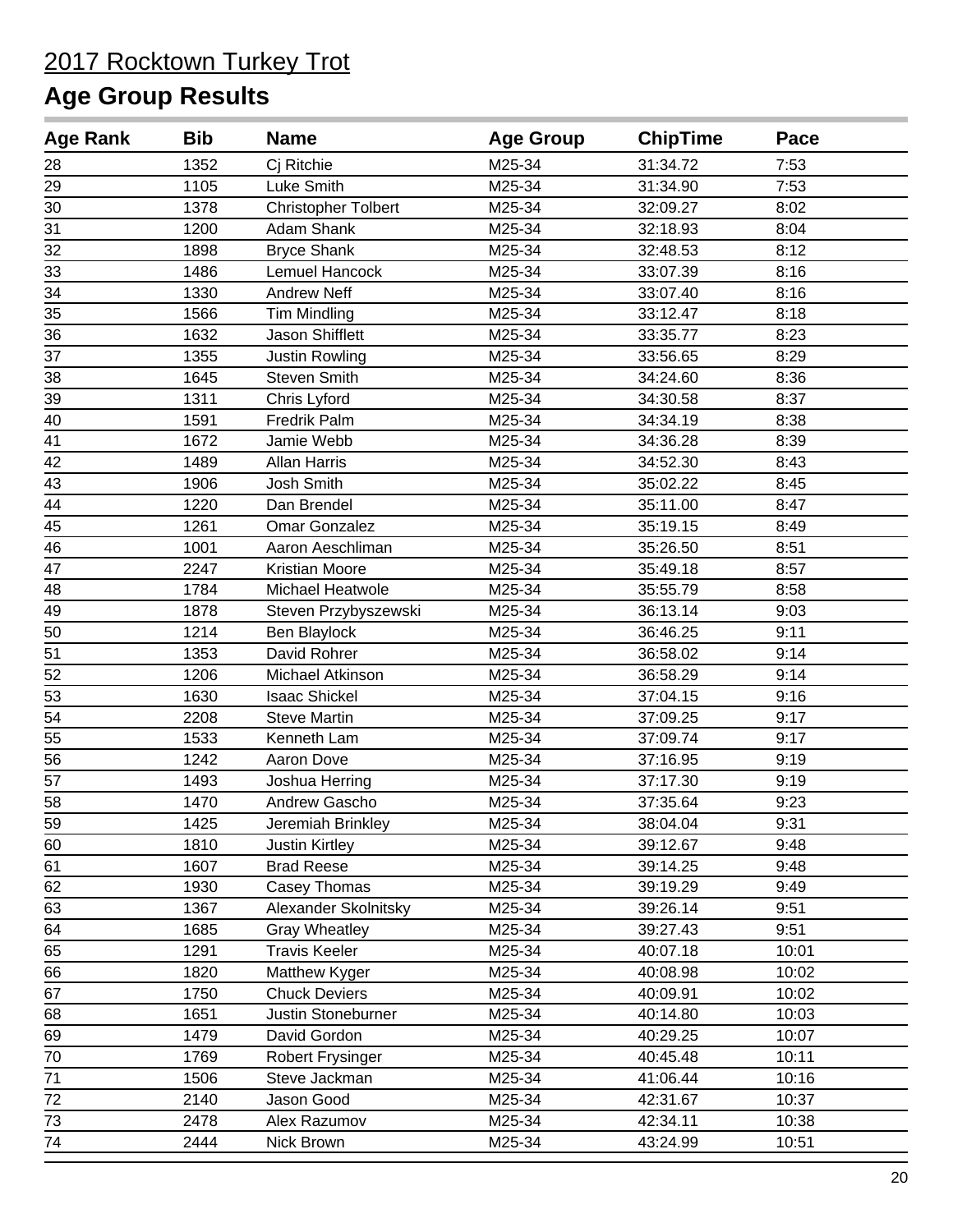| <b>Age Rank</b> | <b>Bib</b> | <b>Name</b>                | <b>Age Group</b> | <b>ChipTime</b> | Pace  |  |
|-----------------|------------|----------------------------|------------------|-----------------|-------|--|
| 28              | 1352       | Cj Ritchie                 | M25-34           | 31:34.72        | 7:53  |  |
| 29              | 1105       | Luke Smith                 | M25-34           | 31:34.90        | 7:53  |  |
| 30              | 1378       | <b>Christopher Tolbert</b> | M25-34           | 32:09.27        | 8:02  |  |
| 31              | 1200       | Adam Shank                 | M25-34           | 32:18.93        | 8:04  |  |
| 32              | 1898       | <b>Bryce Shank</b>         | M25-34           | 32:48.53        | 8:12  |  |
| 33              | 1486       | Lemuel Hancock             | M25-34           | 33:07.39        | 8:16  |  |
| 34              | 1330       | <b>Andrew Neff</b>         | M25-34           | 33:07.40        | 8:16  |  |
| 35              | 1566       | <b>Tim Mindling</b>        | M25-34           | 33:12.47        | 8:18  |  |
| 36              | 1632       | Jason Shifflett            | M25-34           | 33:35.77        | 8:23  |  |
| 37              | 1355       | Justin Rowling             | M25-34           | 33:56.65        | 8:29  |  |
| 38              | 1645       | Steven Smith               | M25-34           | 34:24.60        | 8:36  |  |
| 39              | 1311       | Chris Lyford               | M25-34           | 34:30.58        | 8:37  |  |
| 40              | 1591       | Fredrik Palm               | M25-34           | 34:34.19        | 8:38  |  |
| 41              | 1672       | Jamie Webb                 | M25-34           | 34:36.28        | 8:39  |  |
| 42              | 1489       | <b>Allan Harris</b>        | M25-34           | 34:52.30        | 8:43  |  |
| 43              | 1906       | Josh Smith                 | M25-34           | 35:02.22        | 8:45  |  |
| 44              | 1220       | Dan Brendel                | M25-34           | 35:11.00        | 8:47  |  |
| 45              | 1261       | <b>Omar Gonzalez</b>       | M25-34           | 35:19.15        | 8:49  |  |
| 46              | 1001       | Aaron Aeschliman           | M25-34           | 35:26.50        | 8:51  |  |
| 47              | 2247       | Kristian Moore             | M25-34           | 35:49.18        | 8:57  |  |
| 48              | 1784       | Michael Heatwole           | M25-34           | 35:55.79        | 8:58  |  |
| 49              | 1878       | Steven Przybyszewski       | M25-34           | 36:13.14        | 9:03  |  |
| 50              | 1214       | Ben Blaylock               | M25-34           | 36:46.25        | 9:11  |  |
| 51              | 1353       | David Rohrer               | M25-34           | 36:58.02        | 9:14  |  |
| 52              | 1206       | Michael Atkinson           | M25-34           | 36:58.29        | 9:14  |  |
| 53              | 1630       | <b>Isaac Shickel</b>       | M25-34           | 37:04.15        | 9:16  |  |
| 54              | 2208       | <b>Steve Martin</b>        | M25-34           | 37:09.25        | 9:17  |  |
| 55              | 1533       | Kenneth Lam                | M25-34           | 37:09.74        | 9:17  |  |
| 56              | 1242       | Aaron Dove                 | M25-34           | 37:16.95        | 9:19  |  |
| 57              | 1493       | Joshua Herring             | M25-34           | 37:17.30        | 9:19  |  |
| 58              | 1470       | Andrew Gascho              | M25-34           | 37:35.64        | 9:23  |  |
| 59              | 1425       | Jeremiah Brinkley          | M25-34           | 38:04.04        | 9:31  |  |
| 60              | 1810       | <b>Justin Kirtley</b>      | M25-34           | 39:12.67        | 9:48  |  |
| 61              | 1607       | <b>Brad Reese</b>          | M25-34           | 39:14.25        | 9:48  |  |
| 62              | 1930       | Casey Thomas               | M25-34           | 39:19.29        | 9:49  |  |
| 63              | 1367       | Alexander Skolnitsky       | M25-34           | 39:26.14        | 9:51  |  |
| 64              | 1685       | <b>Gray Wheatley</b>       | M25-34           | 39:27.43        | 9:51  |  |
| 65              | 1291       | <b>Travis Keeler</b>       | M25-34           | 40:07.18        | 10:01 |  |
| 66              | 1820       | Matthew Kyger              | M25-34           | 40:08.98        | 10:02 |  |
| 67              | 1750       | <b>Chuck Deviers</b>       | M25-34           | 40:09.91        | 10:02 |  |
| 68              | 1651       | Justin Stoneburner         | M25-34           | 40:14.80        | 10:03 |  |
| 69              | 1479       | David Gordon               | M25-34           | 40:29.25        | 10:07 |  |
| 70              | 1769       | Robert Frysinger           | M25-34           | 40:45.48        | 10:11 |  |
| 71              | 1506       | Steve Jackman              | M25-34           | 41:06.44        | 10:16 |  |
| 72              | 2140       | Jason Good                 | M25-34           | 42:31.67        | 10:37 |  |
| 73              | 2478       | Alex Razumov               | M25-34           | 42:34.11        | 10:38 |  |
| 74              | 2444       | Nick Brown                 | M25-34           | 43:24.99        | 10:51 |  |
|                 |            |                            |                  |                 |       |  |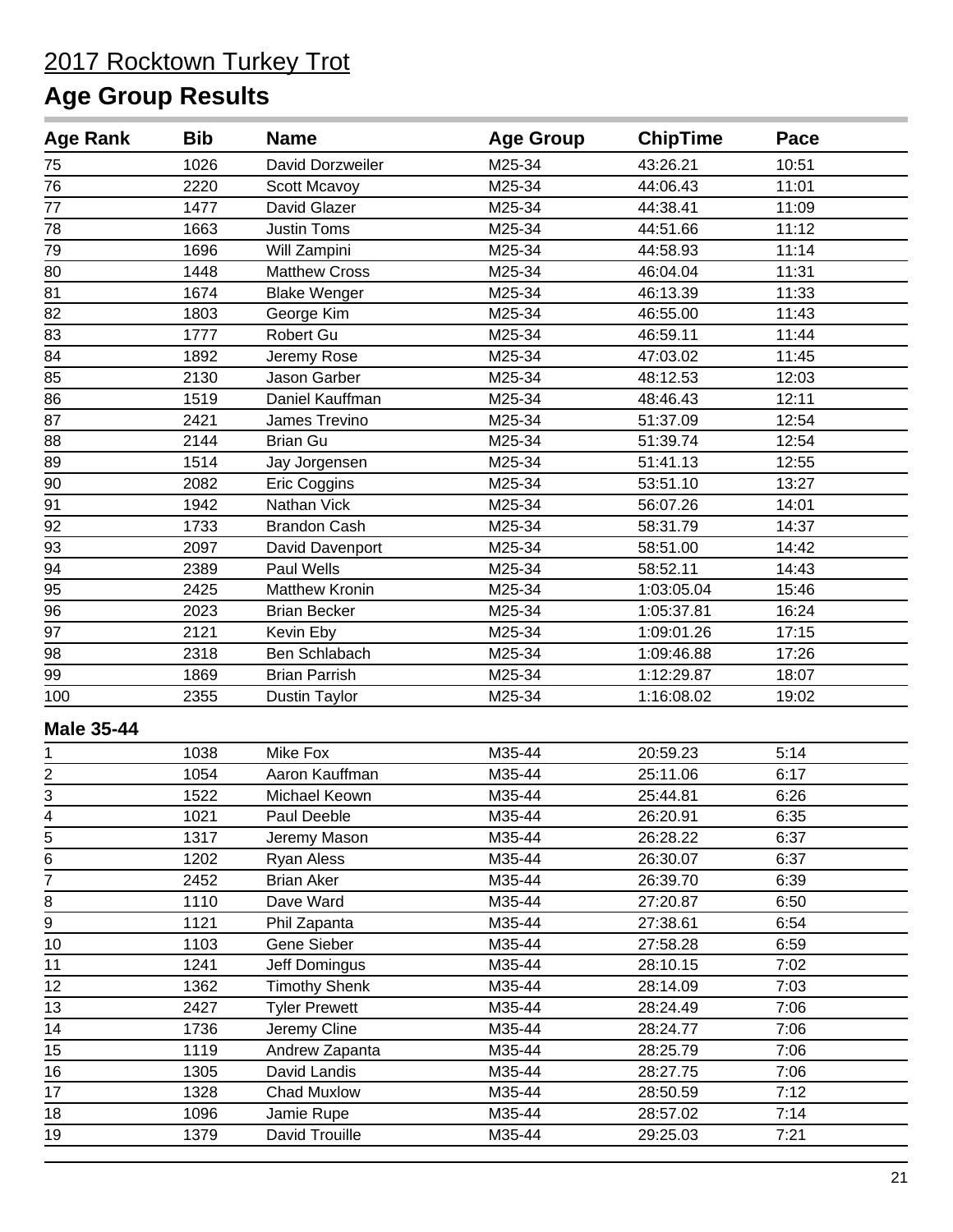| <b>Age Rank</b>         | <b>Bib</b> | <b>Name</b>           | <b>Age Group</b> | <b>ChipTime</b> | Pace  |  |
|-------------------------|------------|-----------------------|------------------|-----------------|-------|--|
| 75                      | 1026       | David Dorzweiler      | M25-34           | 43:26.21        | 10:51 |  |
| 76                      | 2220       | Scott Mcavoy          | M25-34           | 44:06.43        | 11:01 |  |
| 77                      | 1477       | David Glazer          | M25-34           | 44:38.41        | 11:09 |  |
| 78                      | 1663       | <b>Justin Toms</b>    | M25-34           | 44:51.66        | 11:12 |  |
| 79                      | 1696       | Will Zampini          | M25-34           | 44:58.93        | 11:14 |  |
| 80                      | 1448       | <b>Matthew Cross</b>  | M25-34           | 46:04.04        | 11:31 |  |
| 81                      | 1674       | <b>Blake Wenger</b>   | M25-34           | 46:13.39        | 11:33 |  |
| 82                      | 1803       | George Kim            | M25-34           | 46:55.00        | 11:43 |  |
| $\overline{83}$         | 1777       | Robert Gu             | M25-34           | 46:59.11        | 11:44 |  |
| 84                      | 1892       | Jeremy Rose           | M25-34           | 47:03.02        | 11:45 |  |
| 85                      | 2130       | Jason Garber          | M25-34           | 48:12.53        | 12:03 |  |
| 86                      | 1519       | Daniel Kauffman       | M25-34           | 48:46.43        | 12:11 |  |
| 87                      | 2421       | James Trevino         | M25-34           | 51:37.09        | 12:54 |  |
| 88                      | 2144       | <b>Brian Gu</b>       | M25-34           | 51:39.74        | 12:54 |  |
| 89                      | 1514       | Jay Jorgensen         | M25-34           | 51:41.13        | 12:55 |  |
| $90\,$                  | 2082       | Eric Coggins          | M25-34           | 53:51.10        | 13:27 |  |
| 91                      | 1942       | Nathan Vick           | M25-34           | 56:07.26        | 14:01 |  |
| 92                      | 1733       | <b>Brandon Cash</b>   | M25-34           | 58:31.79        | 14:37 |  |
| 93                      | 2097       | David Davenport       | M25-34           | 58:51.00        | 14:42 |  |
| 94                      | 2389       | Paul Wells            | M25-34           | 58:52.11        | 14:43 |  |
| 95                      | 2425       | <b>Matthew Kronin</b> | M25-34           | 1:03:05.04      | 15:46 |  |
| 96                      | 2023       | <b>Brian Becker</b>   | M25-34           | 1:05:37.81      | 16:24 |  |
| 97                      | 2121       | Kevin Eby             | M25-34           | 1:09:01.26      | 17:15 |  |
| 98                      | 2318       | Ben Schlabach         | M25-34           | 1:09:46.88      | 17:26 |  |
| 99                      | 1869       | <b>Brian Parrish</b>  | M25-34           | 1:12:29.87      | 18:07 |  |
| 100                     | 2355       | <b>Dustin Taylor</b>  | M25-34           | 1:16:08.02      | 19:02 |  |
| <b>Male 35-44</b>       |            |                       |                  |                 |       |  |
| 1                       | 1038       | Mike Fox              | M35-44           | 20:59.23        | 5:14  |  |
| $\overline{\mathbf{c}}$ | 1054       | Aaron Kauffman        | M35-44           | 25:11.06        | 6:17  |  |
| $\overline{3}$          | 1522       | Michael Keown         | M35-44           | 25:44.81        | 6:26  |  |
| $\overline{4}$          | 1021       | Paul Deeble           | M35-44           | 26:20.91        | 6:35  |  |
|                         | 1317       | Jeremy Mason          | M35-44           | 26:28.22        | 6:37  |  |
| $\frac{5}{6}$           | 1202       | <b>Ryan Aless</b>     | M35-44           | 26:30.07        | 6:37  |  |
| 7                       | 2452       | <b>Brian Aker</b>     | M35-44           | 26:39.70        | 6:39  |  |
| 8                       | 1110       | Dave Ward             | M35-44           | 27:20.87        | 6:50  |  |
| 9                       | 1121       | Phil Zapanta          | M35-44           | 27:38.61        | 6:54  |  |
| 10                      | 1103       | Gene Sieber           | M35-44           | 27:58.28        | 6:59  |  |
| 11                      | 1241       | Jeff Domingus         | M35-44           | 28:10.15        | 7:02  |  |
| 12                      | 1362       | <b>Timothy Shenk</b>  | M35-44           | 28:14.09        | 7:03  |  |
| 13                      | 2427       | <b>Tyler Prewett</b>  | M35-44           | 28:24.49        | 7:06  |  |
| 14                      | 1736       | Jeremy Cline          | M35-44           | 28:24.77        | 7:06  |  |
| 15                      | 1119       | Andrew Zapanta        | M35-44           | 28:25.79        | 7:06  |  |
| 16                      | 1305       | David Landis          | M35-44           | 28:27.75        | 7:06  |  |
| 17                      | 1328       | Chad Muxlow           | M35-44           | 28:50.59        | 7:12  |  |
| 18                      | 1096       | Jamie Rupe            | M35-44           | 28:57.02        | 7:14  |  |
| 19                      | 1379       | David Trouille        | M35-44           | 29:25.03        | 7:21  |  |
|                         |            |                       |                  |                 |       |  |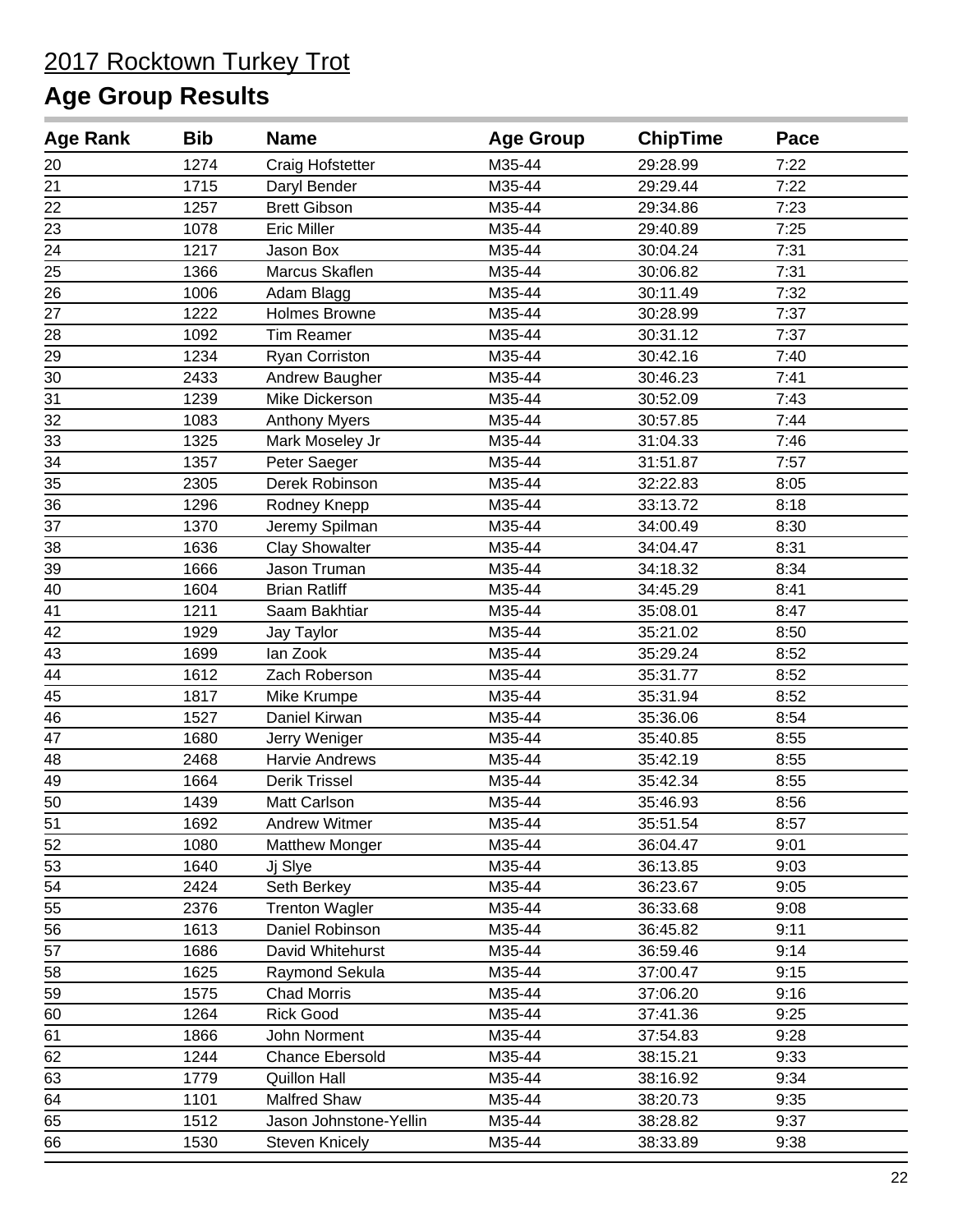| <b>Age Rank</b> | <b>Bib</b> | <b>Name</b>             | <b>Age Group</b> | <b>ChipTime</b> | Pace |
|-----------------|------------|-------------------------|------------------|-----------------|------|
| 20              | 1274       | <b>Craig Hofstetter</b> | M35-44           | 29:28.99        | 7:22 |
| 21              | 1715       | Daryl Bender            | M35-44           | 29:29.44        | 7:22 |
| 22              | 1257       | <b>Brett Gibson</b>     | M35-44           | 29:34.86        | 7:23 |
| 23              | 1078       | <b>Eric Miller</b>      | M35-44           | 29:40.89        | 7:25 |
| 24              | 1217       | Jason Box               | M35-44           | 30:04.24        | 7:31 |
| 25              | 1366       | Marcus Skaflen          | M35-44           | 30:06.82        | 7:31 |
| 26              | 1006       | Adam Blagg              | M35-44           | 30:11.49        | 7:32 |
| 27              | 1222       | <b>Holmes Browne</b>    | M35-44           | 30:28.99        | 7:37 |
| 28              | 1092       | <b>Tim Reamer</b>       | M35-44           | 30:31.12        | 7:37 |
| 29              | 1234       | Ryan Corriston          | M35-44           | 30:42.16        | 7:40 |
| 30              | 2433       | Andrew Baugher          | M35-44           | 30:46.23        | 7:41 |
| 31              | 1239       | Mike Dickerson          | M35-44           | 30:52.09        | 7:43 |
| 32              | 1083       | <b>Anthony Myers</b>    | M35-44           | 30:57.85        | 7:44 |
| 33              | 1325       | Mark Moseley Jr         | M35-44           | 31:04.33        | 7:46 |
| 34              | 1357       | Peter Saeger            | M35-44           | 31:51.87        | 7:57 |
| 35              | 2305       | Derek Robinson          | M35-44           | 32:22.83        | 8:05 |
| 36              | 1296       | Rodney Knepp            | M35-44           | 33:13.72        | 8:18 |
| 37              | 1370       | Jeremy Spilman          | M35-44           | 34:00.49        | 8:30 |
| 38              | 1636       | <b>Clay Showalter</b>   | M35-44           | 34:04.47        | 8:31 |
| 39              | 1666       | Jason Truman            | M35-44           | 34:18.32        | 8:34 |
| 40              | 1604       | <b>Brian Ratliff</b>    | M35-44           | 34:45.29        | 8:41 |
| 41              | 1211       | Saam Bakhtiar           | M35-44           | 35:08.01        | 8:47 |
| 42              | 1929       | Jay Taylor              | M35-44           | 35:21.02        | 8:50 |
| 43              | 1699       | lan Zook                | M35-44           | 35:29.24        | 8:52 |
| $\overline{44}$ | 1612       | Zach Roberson           | M35-44           | 35:31.77        | 8:52 |
| 45              | 1817       | Mike Krumpe             | M35-44           | 35:31.94        | 8:52 |
| 46              | 1527       | Daniel Kirwan           | M35-44           | 35:36.06        | 8:54 |
| 47              | 1680       | Jerry Weniger           | M35-44           | 35:40.85        | 8:55 |
| 48              | 2468       | Harvie Andrews          | M35-44           | 35:42.19        | 8:55 |
| 49              | 1664       | Derik Trissel           | M35-44           | 35:42.34        | 8:55 |
| 50              | 1439       | Matt Carlson            | M35-44           | 35:46.93        | 8:56 |
| 51              | 1692       | Andrew Witmer           | M35-44           | 35:51.54        | 8:57 |
| 52              | 1080       | <b>Matthew Monger</b>   | M35-44           | 36:04.47        | 9:01 |
| 53              | 1640       | Jj Slye                 | M35-44           | 36:13.85        | 9:03 |
| 54              | 2424       | Seth Berkey             | M35-44           | 36:23.67        | 9:05 |
| 55              | 2376       | <b>Trenton Wagler</b>   | M35-44           | 36:33.68        | 9:08 |
| 56              | 1613       | Daniel Robinson         | M35-44           | 36:45.82        | 9:11 |
| 57              | 1686       | David Whitehurst        | M35-44           | 36:59.46        | 9:14 |
| 58              | 1625       | Raymond Sekula          | M35-44           | 37:00.47        | 9:15 |
| 59              | 1575       | <b>Chad Morris</b>      | M35-44           | 37:06.20        | 9:16 |
| 60              | 1264       | <b>Rick Good</b>        | M35-44           | 37:41.36        | 9:25 |
| 61              | 1866       | John Norment            | M35-44           | 37:54.83        | 9:28 |
| 62              | 1244       | <b>Chance Ebersold</b>  | M35-44           | 38:15.21        | 9:33 |
| 63              | 1779       | <b>Quillon Hall</b>     | M35-44           | 38:16.92        | 9:34 |
| 64              | 1101       | Malfred Shaw            | M35-44           | 38:20.73        | 9:35 |
| 65              | 1512       | Jason Johnstone-Yellin  | M35-44           | 38:28.82        | 9:37 |
| 66              | 1530       | <b>Steven Knicely</b>   | M35-44           | 38:33.89        | 9:38 |
|                 |            |                         |                  |                 |      |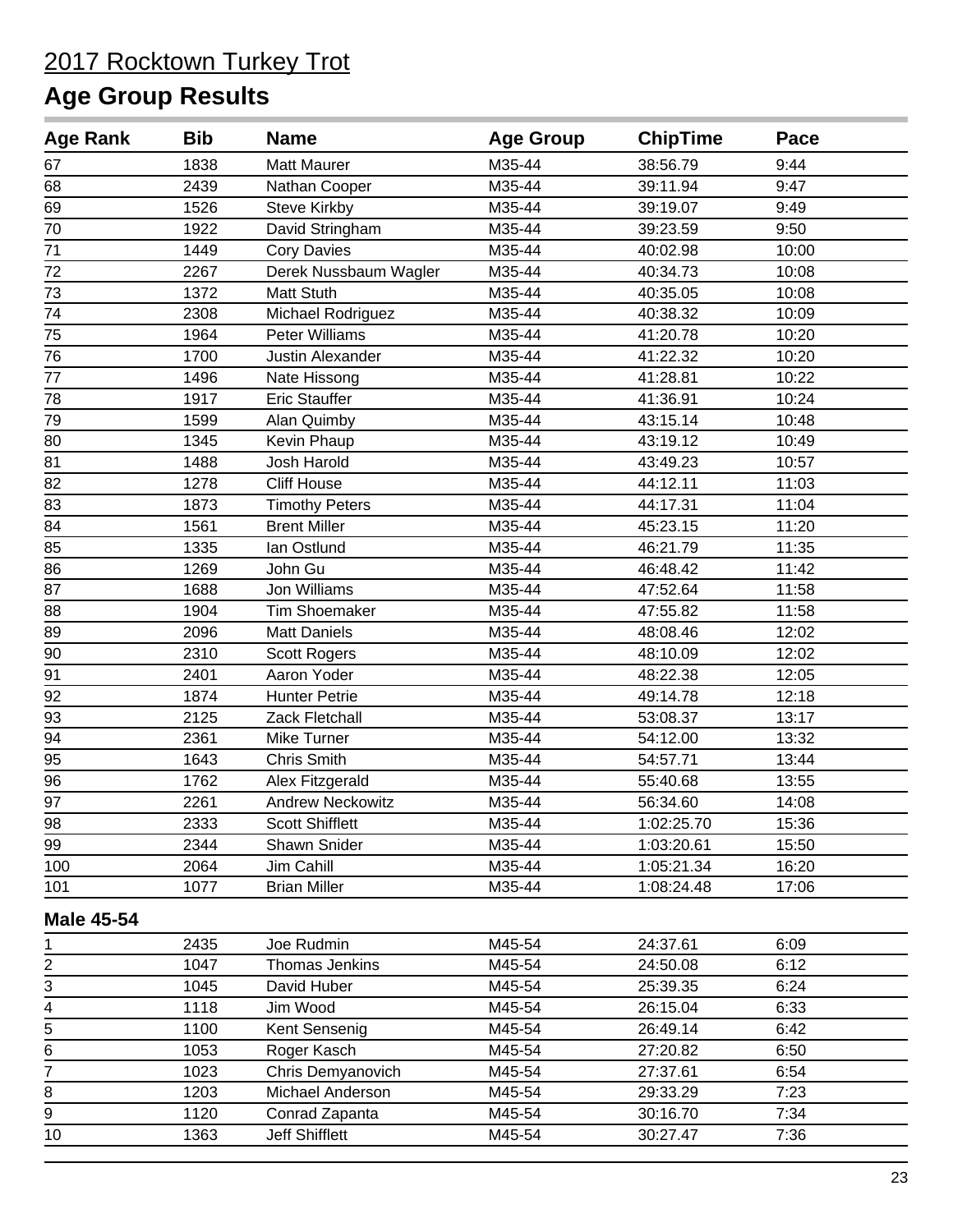| <b>Age Rank</b>         | <b>Bib</b> | <b>Name</b>             | <b>Age Group</b> | <b>ChipTime</b> | Pace  |  |
|-------------------------|------------|-------------------------|------------------|-----------------|-------|--|
| 67                      | 1838       | <b>Matt Maurer</b>      | M35-44           | 38:56.79        | 9:44  |  |
| 68                      | 2439       | Nathan Cooper           | M35-44           | 39:11.94        | 9:47  |  |
| 69                      | 1526       | <b>Steve Kirkby</b>     | M35-44           | 39:19.07        | 9:49  |  |
| 70                      | 1922       | David Stringham         | M35-44           | 39:23.59        | 9:50  |  |
| 71                      | 1449       | <b>Cory Davies</b>      | M35-44           | 40:02.98        | 10:00 |  |
| 72                      | 2267       | Derek Nussbaum Wagler   | M35-44           | 40:34.73        | 10:08 |  |
| 73                      | 1372       | Matt Stuth              | M35-44           | 40:35.05        | 10:08 |  |
| 74                      | 2308       | Michael Rodriguez       | M35-44           | 40:38.32        | 10:09 |  |
| 75                      | 1964       | <b>Peter Williams</b>   | M35-44           | 41:20.78        | 10:20 |  |
| 76                      | 1700       | Justin Alexander        | M35-44           | 41:22.32        | 10:20 |  |
| 77                      | 1496       | Nate Hissong            | M35-44           | 41:28.81        | 10:22 |  |
| 78                      | 1917       | <b>Eric Stauffer</b>    | M35-44           | 41:36.91        | 10:24 |  |
| 79                      | 1599       | Alan Quimby             | M35-44           | 43:15.14        | 10:48 |  |
| 80                      | 1345       | Kevin Phaup             | M35-44           | 43:19.12        | 10:49 |  |
| 81                      | 1488       | Josh Harold             | M35-44           | 43:49.23        | 10:57 |  |
| 82                      | 1278       | <b>Cliff House</b>      | M35-44           | 44:12.11        | 11:03 |  |
| 83                      | 1873       | <b>Timothy Peters</b>   | M35-44           | 44:17.31        | 11:04 |  |
| 84                      | 1561       | <b>Brent Miller</b>     | M35-44           | 45:23.15        | 11:20 |  |
| 85                      | 1335       | lan Ostlund             | M35-44           | 46:21.79        | 11:35 |  |
| 86                      | 1269       | John Gu                 | M35-44           | 46:48.42        | 11:42 |  |
| 87                      | 1688       | Jon Williams            | M35-44           | 47:52.64        | 11:58 |  |
| 88                      | 1904       | <b>Tim Shoemaker</b>    | M35-44           | 47:55.82        | 11:58 |  |
| 89                      | 2096       | <b>Matt Daniels</b>     | M35-44           | 48:08.46        | 12:02 |  |
| 90                      | 2310       | <b>Scott Rogers</b>     | M35-44           | 48:10.09        | 12:02 |  |
| 91                      | 2401       | Aaron Yoder             | M35-44           | 48:22.38        | 12:05 |  |
| 92                      | 1874       | <b>Hunter Petrie</b>    | M35-44           | 49:14.78        | 12:18 |  |
| 93                      | 2125       | Zack Fletchall          | M35-44           | 53:08.37        | 13:17 |  |
| 94                      | 2361       | Mike Turner             | M35-44           | 54:12.00        | 13:32 |  |
| 95                      | 1643       | Chris Smith             | M35-44           | 54:57.71        | 13:44 |  |
| 96                      | 1762       | Alex Fitzgerald         | M35-44           | 55:40.68        | 13:55 |  |
| 97                      | 2261       | <b>Andrew Neckowitz</b> | M35-44           | 56:34.60        | 14:08 |  |
| 98                      | 2333       | <b>Scott Shifflett</b>  | M35-44           | 1:02:25.70      | 15:36 |  |
| 99                      | 2344       | Shawn Snider            | M35-44           | 1:03:20.61      | 15:50 |  |
| 100                     | 2064       | Jim Cahill              | M35-44           | 1:05:21.34      | 16:20 |  |
| 101                     | 1077       | <b>Brian Miller</b>     | M35-44           | 1:08:24.48      | 17:06 |  |
| <b>Male 45-54</b>       |            |                         |                  |                 |       |  |
| 1                       | 2435       | Joe Rudmin              | M45-54           | 24:37.61        | 6:09  |  |
| $\overline{\mathbf{c}}$ | 1047       | Thomas Jenkins          | M45-54           | 24:50.08        | 6:12  |  |
| 3                       | 1045       | David Huber             | M45-54           | 25:39.35        | 6:24  |  |
| 4                       | 1118       | Jim Wood                | M45-54           | 26:15.04        | 6:33  |  |
| 5                       | 1100       | Kent Sensenig           | M45-54           | 26:49.14        | 6:42  |  |
| 6                       | 1053       | Roger Kasch             | M45-54           | 27:20.82        | 6:50  |  |
| $\overline{7}$          | 1023       | Chris Demyanovich       | M45-54           | 27:37.61        | 6:54  |  |
| 8                       | 1203       | Michael Anderson        | M45-54           | 29:33.29        | 7:23  |  |
| $\overline{9}$          | 1120       | Conrad Zapanta          | M45-54           | 30:16.70        | 7:34  |  |
| 10                      | 1363       | Jeff Shifflett          | M45-54           | 30:27.47        | 7:36  |  |
|                         |            |                         |                  |                 |       |  |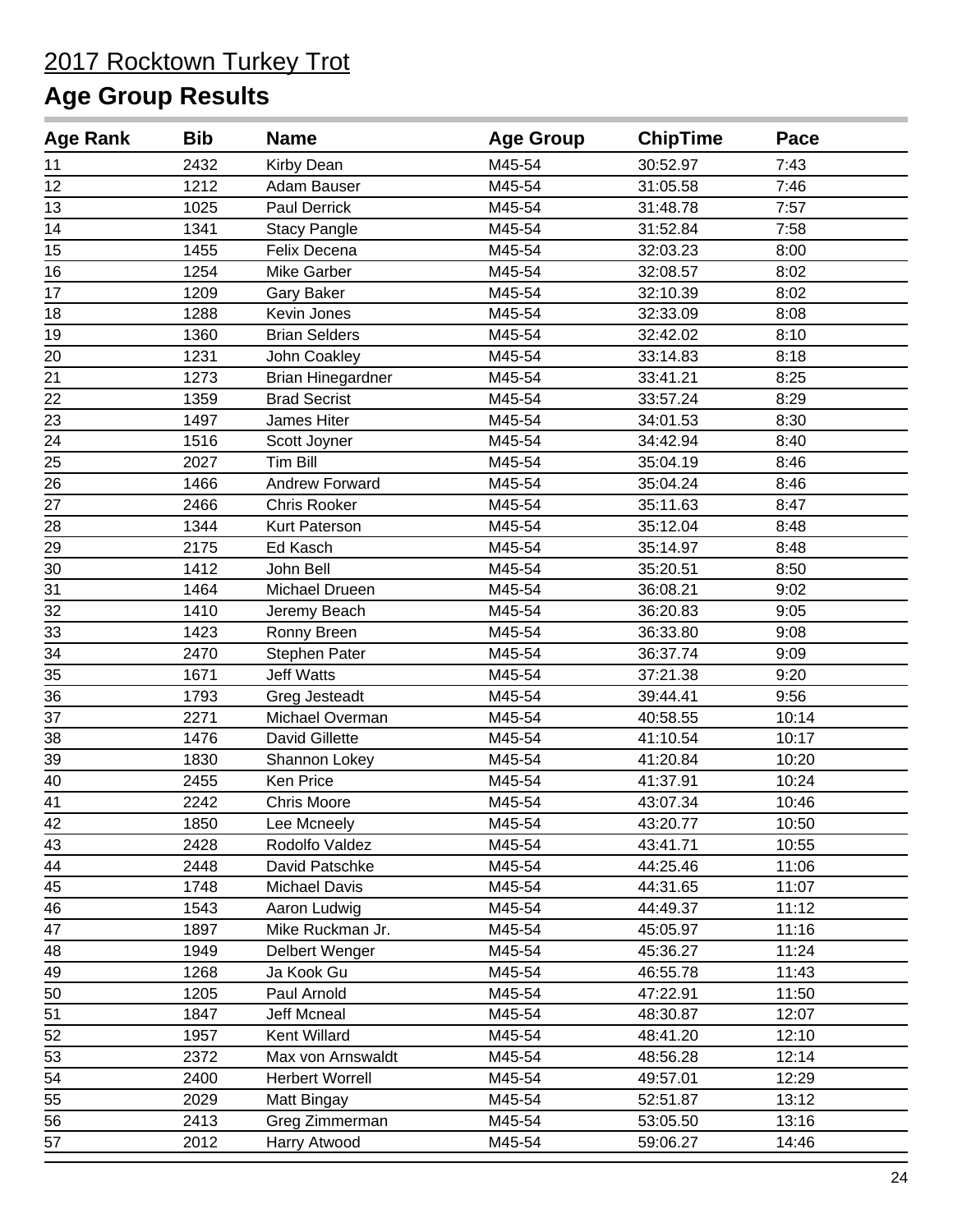| <b>Age Rank</b> | <b>Bib</b> | <b>Name</b>              | <b>Age Group</b> | <b>ChipTime</b> | Pace  |  |
|-----------------|------------|--------------------------|------------------|-----------------|-------|--|
| 11              | 2432       | Kirby Dean               | M45-54           | 30:52.97        | 7:43  |  |
| 12              | 1212       | Adam Bauser              | M45-54           | 31:05.58        | 7:46  |  |
| 13              | 1025       | Paul Derrick             | M45-54           | 31:48.78        | 7:57  |  |
| 14              | 1341       | <b>Stacy Pangle</b>      | M45-54           | 31:52.84        | 7:58  |  |
| 15              | 1455       | Felix Decena             | M45-54           | 32:03.23        | 8:00  |  |
| 16              | 1254       | Mike Garber              | M45-54           | 32:08.57        | 8:02  |  |
| 17              | 1209       | Gary Baker               | M45-54           | 32:10.39        | 8:02  |  |
| 18              | 1288       | Kevin Jones              | M45-54           | 32:33.09        | 8:08  |  |
| 19              | 1360       | <b>Brian Selders</b>     | M45-54           | 32:42.02        | 8:10  |  |
| 20              | 1231       | John Coakley             | M45-54           | 33:14.83        | 8:18  |  |
| 21              | 1273       | <b>Brian Hinegardner</b> | M45-54           | 33:41.21        | 8:25  |  |
| 22              | 1359       | <b>Brad Secrist</b>      | M45-54           | 33:57.24        | 8:29  |  |
| 23              | 1497       | James Hiter              | M45-54           | 34:01.53        | 8:30  |  |
| 24              | 1516       | Scott Joyner             | M45-54           | 34:42.94        | 8:40  |  |
| 25              | 2027       | Tim Bill                 | M45-54           | 35:04.19        | 8:46  |  |
| 26              | 1466       | <b>Andrew Forward</b>    | M45-54           | 35:04.24        | 8:46  |  |
| 27              | 2466       | Chris Rooker             | M45-54           | 35:11.63        | 8:47  |  |
| 28              | 1344       | Kurt Paterson            | M45-54           | 35:12.04        | 8:48  |  |
| 29              | 2175       | Ed Kasch                 | M45-54           | 35:14.97        | 8:48  |  |
| 30              | 1412       | John Bell                | M45-54           | 35:20.51        | 8:50  |  |
| 31              | 1464       | Michael Drueen           | M45-54           | 36:08.21        | 9:02  |  |
| 32              | 1410       | Jeremy Beach             | M45-54           | 36:20.83        | 9:05  |  |
| 33              | 1423       | Ronny Breen              | M45-54           | 36:33.80        | 9:08  |  |
| 34              | 2470       | Stephen Pater            | M45-54           | 36:37.74        | 9:09  |  |
| 35              | 1671       | <b>Jeff Watts</b>        | M45-54           | 37:21.38        | 9:20  |  |
| 36              | 1793       | Greg Jesteadt            | M45-54           | 39:44.41        | 9:56  |  |
| $\overline{37}$ | 2271       | Michael Overman          | M45-54           | 40:58.55        | 10:14 |  |
| 38              | 1476       | David Gillette           | M45-54           | 41:10.54        | 10:17 |  |
| 39              | 1830       | Shannon Lokey            | M45-54           | 41:20.84        | 10:20 |  |
| 40              | 2455       | Ken Price                | M45-54           | 41:37.91        | 10:24 |  |
| 41              | 2242       | <b>Chris Moore</b>       | M45-54           | 43:07.34        | 10:46 |  |
| 42              | 1850       | Lee Mcneely              | M45-54           | 43:20.77        | 10:50 |  |
| 43              | 2428       | Rodolfo Valdez           | M45-54           | 43:41.71        | 10:55 |  |
| 44              | 2448       | David Patschke           | M45-54           | 44:25.46        | 11:06 |  |
| 45              | 1748       | <b>Michael Davis</b>     | M45-54           | 44:31.65        | 11:07 |  |
| 46              | 1543       | Aaron Ludwig             | M45-54           | 44:49.37        | 11:12 |  |
| 47              | 1897       | Mike Ruckman Jr.         | M45-54           | 45:05.97        | 11:16 |  |
| 48              | 1949       | Delbert Wenger           | M45-54           | 45:36.27        | 11:24 |  |
| 49              | 1268       | Ja Kook Gu               | M45-54           | 46:55.78        | 11:43 |  |
| 50              | 1205       | Paul Arnold              | M45-54           | 47:22.91        | 11:50 |  |
| 51              | 1847       | <b>Jeff Mcneal</b>       | M45-54           | 48:30.87        | 12:07 |  |
| 52              | 1957       | Kent Willard             | M45-54           | 48:41.20        | 12:10 |  |
| 53              | 2372       | Max von Arnswaldt        | M45-54           | 48:56.28        | 12:14 |  |
| 54              | 2400       | <b>Herbert Worrell</b>   | M45-54           | 49:57.01        | 12:29 |  |
| 55              | 2029       | Matt Bingay              | M45-54           | 52:51.87        | 13:12 |  |
| 56              | 2413       | Greg Zimmerman           | M45-54           | 53:05.50        | 13:16 |  |
| 57              | 2012       | Harry Atwood             | M45-54           | 59:06.27        | 14:46 |  |
|                 |            |                          |                  |                 |       |  |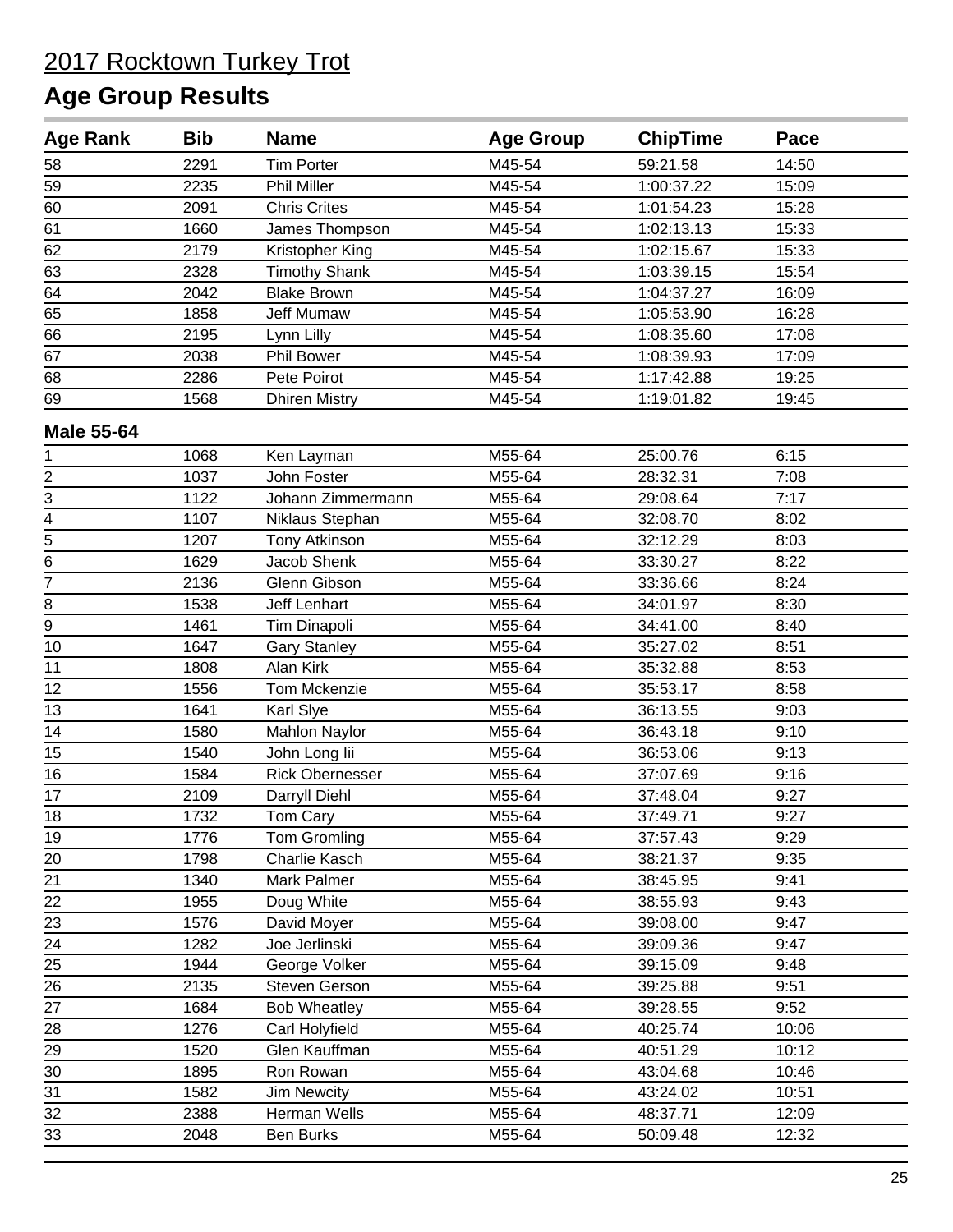| <b>Age Rank</b>   | <b>Bib</b> | <b>Name</b>            | <b>Age Group</b> | <b>ChipTime</b> | Pace  |  |
|-------------------|------------|------------------------|------------------|-----------------|-------|--|
| 58                | 2291       | <b>Tim Porter</b>      | M45-54           | 59:21.58        | 14:50 |  |
| 59                | 2235       | <b>Phil Miller</b>     | M45-54           | 1:00:37.22      | 15:09 |  |
| 60                | 2091       | <b>Chris Crites</b>    | M45-54           | 1:01:54.23      | 15:28 |  |
| 61                | 1660       | James Thompson         | M45-54           | 1:02:13.13      | 15:33 |  |
| 62                | 2179       | Kristopher King        | M45-54           | 1:02:15.67      | 15:33 |  |
| 63                | 2328       | <b>Timothy Shank</b>   | M45-54           | 1:03:39.15      | 15:54 |  |
| 64                | 2042       | <b>Blake Brown</b>     | M45-54           | 1:04:37.27      | 16:09 |  |
| 65                | 1858       | <b>Jeff Mumaw</b>      | M45-54           | 1:05:53.90      | 16:28 |  |
| 66                | 2195       | Lynn Lilly             | M45-54           | 1:08:35.60      | 17:08 |  |
| 67                | 2038       | Phil Bower             | M45-54           | 1:08:39.93      | 17:09 |  |
| 68                | 2286       | Pete Poirot            | M45-54           | 1:17:42.88      | 19:25 |  |
| 69                | 1568       | <b>Dhiren Mistry</b>   | M45-54           | 1:19:01.82      | 19:45 |  |
| <b>Male 55-64</b> |            |                        |                  |                 |       |  |
| 1                 | 1068       | Ken Layman             | M55-64           | 25:00.76        | 6:15  |  |
| 2                 | 1037       | John Foster            | M55-64           | 28:32.31        | 7:08  |  |
| 3                 | 1122       | Johann Zimmermann      | M55-64           | 29:08.64        | 7:17  |  |
| $\frac{1}{4}$     | 1107       | Niklaus Stephan        | M55-64           | 32:08.70        | 8:02  |  |
| $\overline{5}$    | 1207       | <b>Tony Atkinson</b>   | M55-64           | 32:12.29        | 8:03  |  |
| 6                 | 1629       | Jacob Shenk            | M55-64           | 33:30.27        | 8:22  |  |
| $\overline{7}$    | 2136       | Glenn Gibson           | M55-64           | 33:36.66        | 8:24  |  |
| 8                 | 1538       | <b>Jeff Lenhart</b>    | M55-64           | 34:01.97        | 8:30  |  |
| 9                 | 1461       | Tim Dinapoli           | M55-64           | 34:41.00        | 8:40  |  |
| 10                | 1647       | <b>Gary Stanley</b>    | M55-64           | 35:27.02        | 8:51  |  |
| 11                | 1808       | Alan Kirk              | M55-64           | 35:32.88        | 8:53  |  |
| 12                | 1556       | Tom Mckenzie           | M55-64           | 35:53.17        | 8:58  |  |
| 13                | 1641       | Karl Slye              | M55-64           | 36:13.55        | 9:03  |  |
| 14                | 1580       | <b>Mahlon Naylor</b>   | M55-64           | 36:43.18        | 9:10  |  |
| 15                | 1540       | John Long lii          | M55-64           | 36:53.06        | 9:13  |  |
| 16                | 1584       | <b>Rick Obernesser</b> | M55-64           | 37:07.69        | 9:16  |  |
| 17                | 2109       | Darryll Diehl          | M55-64           | 37:48.04        | 9:27  |  |
| 18                | 1732       | <b>Tom Cary</b>        | M55-64           | 37:49.71        | 9:27  |  |
| 19                | 1776       | <b>Tom Gromling</b>    | M55-64           | 37:57.43        | 9:29  |  |
| 20                | 1798       | Charlie Kasch          | M55-64           | 38:21.37        | 9:35  |  |
| 21                | 1340       | Mark Palmer            | M55-64           | 38:45.95        | 9:41  |  |
| 22                | 1955       | Doug White             | M55-64           | 38:55.93        | 9:43  |  |
| $\frac{23}{2}$    | 1576       | David Moyer            | M55-64           | 39:08.00        | 9:47  |  |
| $\frac{24}{1}$    | 1282       | Joe Jerlinski          | M55-64           | 39:09.36        | 9:47  |  |
| $\frac{25}{5}$    | 1944       | George Volker          | M55-64           | 39:15.09        | 9:48  |  |
| 26                | 2135       | Steven Gerson          | M55-64           | 39:25.88        | 9:51  |  |
| 27                | 1684       | <b>Bob Wheatley</b>    | M55-64           | 39:28.55        | 9:52  |  |
| 28                | 1276       | Carl Holyfield         | M55-64           | 40:25.74        | 10:06 |  |
| 29                | 1520       | Glen Kauffman          | M55-64           | 40:51.29        | 10:12 |  |
| 30                | 1895       | Ron Rowan              | M55-64           | 43:04.68        | 10:46 |  |
| 31                | 1582       | Jim Newcity            | M55-64           | 43:24.02        | 10:51 |  |
| 32                | 2388       | Herman Wells           | M55-64           | 48:37.71        | 12:09 |  |
| 33                | 2048       | Ben Burks              | M55-64           | 50:09.48        | 12:32 |  |
|                   |            |                        |                  |                 |       |  |